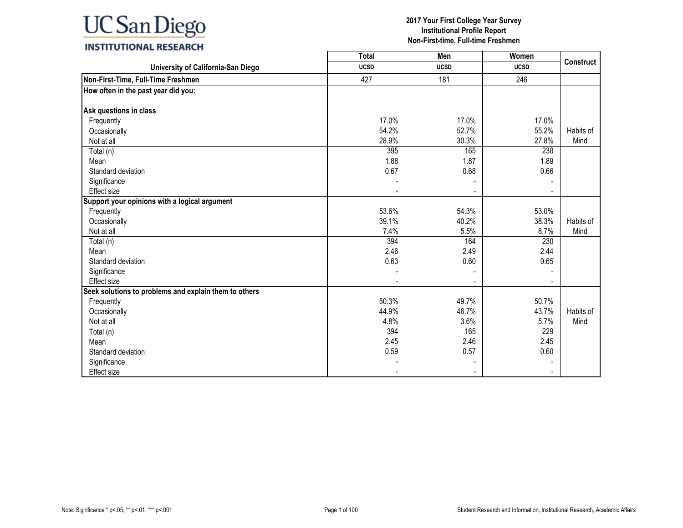|                                                       | <b>Total</b> | Men         | Women       | <b>Construct</b> |
|-------------------------------------------------------|--------------|-------------|-------------|------------------|
| University of California-San Diego                    | <b>UCSD</b>  | <b>UCSD</b> | <b>UCSD</b> |                  |
| Non-First-Time, Full-Time Freshmen                    | 427          | 181         | 246         |                  |
| How often in the past year did you:                   |              |             |             |                  |
|                                                       |              |             |             |                  |
| Ask questions in class                                |              |             |             |                  |
| Frequently                                            | 17.0%        | 17.0%       | 17.0%       |                  |
| Occasionally                                          | 54.2%        | 52.7%       | 55.2%       | Habits of        |
| Not at all                                            | 28.9%        | 30.3%       | 27.8%       | Mind             |
| Total (n)                                             | 395          | 165         | 230         |                  |
| Mean                                                  | 1.88         | 1.87        | 1.89        |                  |
| Standard deviation                                    | 0.67         | 0.68        | 0.66        |                  |
| Significance                                          |              |             |             |                  |
| <b>Effect size</b>                                    |              |             |             |                  |
| Support your opinions with a logical argument         |              |             |             |                  |
| Frequently                                            | 53.6%        | 54.3%       | 53.0%       |                  |
| Occasionally                                          | 39.1%        | 40.2%       | 38.3%       | Habits of        |
| Not at all                                            | 7.4%         | 5.5%        | 8.7%        | Mind             |
| Total (n)                                             | 394          | 164         | 230         |                  |
| Mean                                                  | 2.46         | 2.49        | 2.44        |                  |
| Standard deviation                                    | 0.63         | 0.60        | 0.65        |                  |
| Significance                                          |              |             |             |                  |
| Effect size                                           |              |             |             |                  |
| Seek solutions to problems and explain them to others |              |             |             |                  |
| Frequently                                            | 50.3%        | 49.7%       | 50.7%       |                  |
| Occasionally                                          | 44.9%        | 46.7%       | 43.7%       | Habits of        |
| Not at all                                            | 4.8%         | 3.6%        | 5.7%        | Mind             |
| Total (n)                                             | 394          | 165         | 229         |                  |
| Mean                                                  | 2.45         | 2.46        | 2.45        |                  |
| Standard deviation                                    | 0.59         | 0.57        | 0.60        |                  |
| Significance                                          |              |             |             |                  |
| <b>Effect size</b>                                    |              |             |             |                  |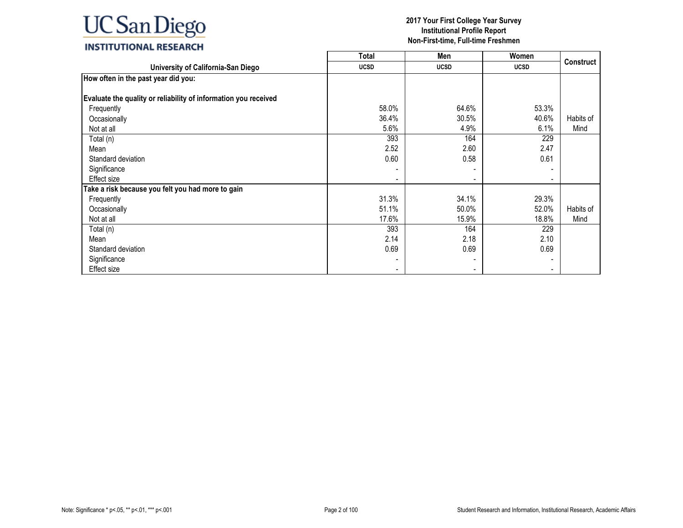

|                                                                 | <b>Total</b> | Men         | Women                    |                  |
|-----------------------------------------------------------------|--------------|-------------|--------------------------|------------------|
| University of California-San Diego                              | <b>UCSD</b>  | <b>UCSD</b> | <b>UCSD</b>              | <b>Construct</b> |
| How often in the past year did you:                             |              |             |                          |                  |
|                                                                 |              |             |                          |                  |
| Evaluate the quality or reliability of information you received |              |             |                          |                  |
| Frequently                                                      | 58.0%        | 64.6%       | 53.3%                    |                  |
| Occasionally                                                    | 36.4%        | 30.5%       | 40.6%                    | Habits of        |
| Not at all                                                      | 5.6%         | 4.9%        | 6.1%                     | Mind             |
| Total (n)                                                       | 393          | 164         | 229                      |                  |
| Mean                                                            | 2.52         | 2.60        | 2.47                     |                  |
| Standard deviation                                              | 0.60         | 0.58        | 0.61                     |                  |
| Significance                                                    |              |             |                          |                  |
| Effect size                                                     |              |             | $\overline{\phantom{a}}$ |                  |
| Take a risk because you felt you had more to gain               |              |             |                          |                  |
| Frequently                                                      | 31.3%        | 34.1%       | 29.3%                    |                  |
| Occasionally                                                    | 51.1%        | 50.0%       | 52.0%                    | Habits of        |
| Not at all                                                      | 17.6%        | 15.9%       | 18.8%                    | Mind             |
| Total (n)                                                       | 393          | 164         | 229                      |                  |
| Mean                                                            | 2.14         | 2.18        | 2.10                     |                  |
| Standard deviation                                              | 0.69         | 0.69        | 0.69                     |                  |
| Significance                                                    |              |             |                          |                  |
| Effect size                                                     |              |             |                          |                  |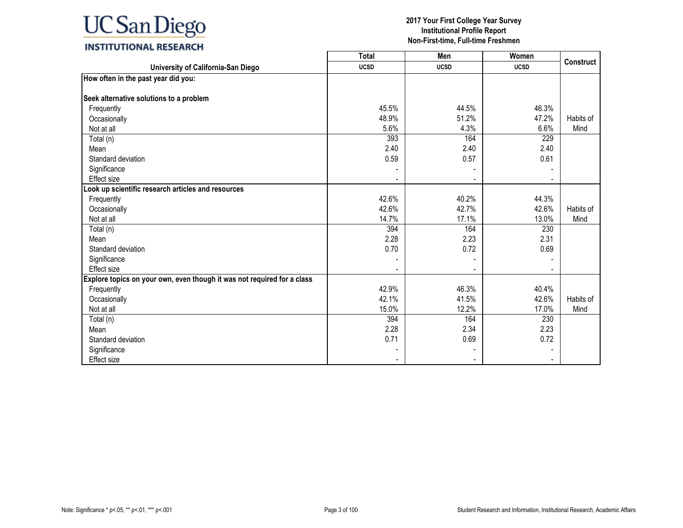|                                                                         | <b>Total</b> | Men         | <b>Women</b> | <b>Construct</b> |
|-------------------------------------------------------------------------|--------------|-------------|--------------|------------------|
| University of California-San Diego                                      | <b>UCSD</b>  | <b>UCSD</b> | <b>UCSD</b>  |                  |
| How often in the past year did you:                                     |              |             |              |                  |
|                                                                         |              |             |              |                  |
| Seek alternative solutions to a problem                                 |              |             |              |                  |
| Frequently                                                              | 45.5%        | 44.5%       | 46.3%        |                  |
| Occasionally                                                            | 48.9%        | 51.2%       | 47.2%        | Habits of        |
| Not at all                                                              | 5.6%         | 4.3%        | 6.6%         | Mind             |
| Total (n)                                                               | 393          | 164         | 229          |                  |
| Mean                                                                    | 2.40         | 2.40        | 2.40         |                  |
| Standard deviation                                                      | 0.59         | 0.57        | 0.61         |                  |
| Significance                                                            |              |             |              |                  |
| Effect size                                                             |              |             |              |                  |
| Look up scientific research articles and resources                      |              |             |              |                  |
| Frequently                                                              | 42.6%        | 40.2%       | 44.3%        |                  |
| Occasionally                                                            | 42.6%        | 42.7%       | 42.6%        | Habits of        |
| Not at all                                                              | 14.7%        | 17.1%       | 13.0%        | Mind             |
| Total (n)                                                               | 394          | 164         | 230          |                  |
| Mean                                                                    | 2.28         | 2.23        | 2.31         |                  |
| Standard deviation                                                      | 0.70         | 0.72        | 0.69         |                  |
| Significance                                                            |              |             |              |                  |
| <b>Effect size</b>                                                      |              |             |              |                  |
| Explore topics on your own, even though it was not required for a class |              |             |              |                  |
| Frequently                                                              | 42.9%        | 46.3%       | 40.4%        |                  |
| Occasionally                                                            | 42.1%        | 41.5%       | 42.6%        | Habits of        |
| Not at all                                                              | 15.0%        | 12.2%       | 17.0%        | Mind             |
| Total (n)                                                               | 394          | 164         | 230          |                  |
| Mean                                                                    | 2.28         | 2.34        | 2.23         |                  |
| Standard deviation                                                      | 0.71         | 0.69        | 0.72         |                  |
| Significance                                                            |              |             |              |                  |
| Effect size                                                             |              |             |              |                  |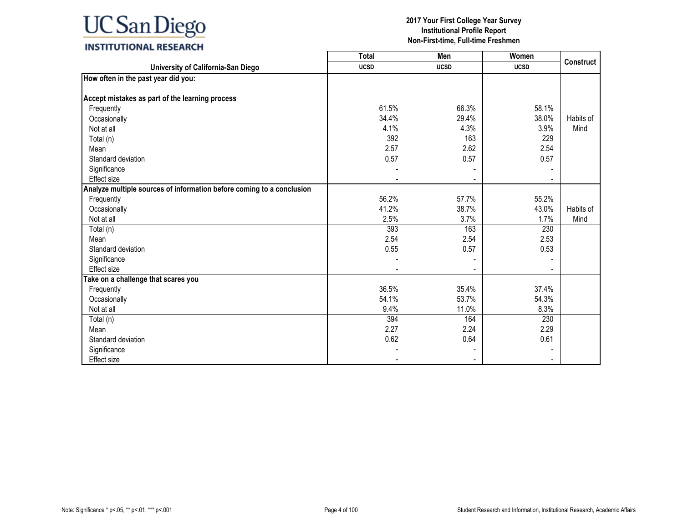

|                                                                       | <b>Total</b> | Men         | Women       | <b>Construct</b> |
|-----------------------------------------------------------------------|--------------|-------------|-------------|------------------|
| University of California-San Diego                                    | <b>UCSD</b>  | <b>UCSD</b> | <b>UCSD</b> |                  |
| How often in the past year did you:                                   |              |             |             |                  |
|                                                                       |              |             |             |                  |
| Accept mistakes as part of the learning process                       |              |             |             |                  |
| Frequently                                                            | 61.5%        | 66.3%       | 58.1%       |                  |
| Occasionally                                                          | 34.4%        | 29.4%       | 38.0%       | Habits of        |
| Not at all                                                            | 4.1%         | 4.3%        | 3.9%        | Mind             |
| Total (n)                                                             | 392          | 163         | 229         |                  |
| Mean                                                                  | 2.57         | 2.62        | 2.54        |                  |
| Standard deviation                                                    | 0.57         | 0.57        | 0.57        |                  |
| Significance                                                          |              |             |             |                  |
| <b>Effect size</b>                                                    |              |             |             |                  |
| Analyze multiple sources of information before coming to a conclusion |              |             |             |                  |
| Frequently                                                            | 56.2%        | 57.7%       | 55.2%       |                  |
| Occasionally                                                          | 41.2%        | 38.7%       | 43.0%       | Habits of        |
| Not at all                                                            | 2.5%         | 3.7%        | 1.7%        | Mind             |
| Total (n)                                                             | 393          | 163         | 230         |                  |
| Mean                                                                  | 2.54         | 2.54        | 2.53        |                  |
| Standard deviation                                                    | 0.55         | 0.57        | 0.53        |                  |
| Significance                                                          |              |             |             |                  |
| Effect size                                                           |              |             |             |                  |
| Take on a challenge that scares you                                   |              |             |             |                  |
| Frequently                                                            | 36.5%        | 35.4%       | 37.4%       |                  |
| Occasionally                                                          | 54.1%        | 53.7%       | 54.3%       |                  |
| Not at all                                                            | 9.4%         | 11.0%       | 8.3%        |                  |
| Total (n)                                                             | 394          | 164         | 230         |                  |
| Mean                                                                  | 2.27         | 2.24        | 2.29        |                  |
| Standard deviation                                                    | 0.62         | 0.64        | 0.61        |                  |
| Significance                                                          |              |             |             |                  |
| Effect size                                                           |              |             |             |                  |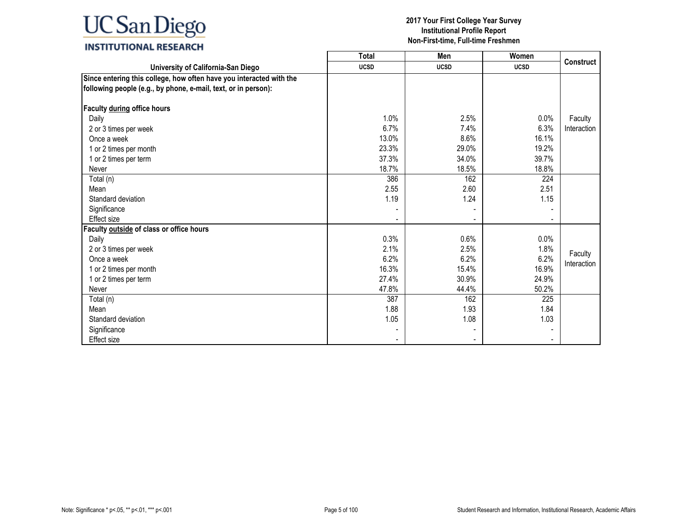|                                                                                                                                       | <b>Total</b> | Men         | Women       |                  |
|---------------------------------------------------------------------------------------------------------------------------------------|--------------|-------------|-------------|------------------|
| University of California-San Diego                                                                                                    | <b>UCSD</b>  | <b>UCSD</b> | <b>UCSD</b> | <b>Construct</b> |
| Since entering this college, how often have you interacted with the<br>following people (e.g., by phone, e-mail, text, or in person): |              |             |             |                  |
| Faculty during office hours                                                                                                           |              |             |             |                  |
| Daily                                                                                                                                 | 1.0%         | 2.5%        | 0.0%        | Faculty          |
| 2 or 3 times per week                                                                                                                 | 6.7%         | 7.4%        | 6.3%        | Interaction      |
| Once a week                                                                                                                           | 13.0%        | 8.6%        | 16.1%       |                  |
| 1 or 2 times per month                                                                                                                | 23.3%        | 29.0%       | 19.2%       |                  |
| 1 or 2 times per term                                                                                                                 | 37.3%        | 34.0%       | 39.7%       |                  |
| Never                                                                                                                                 | 18.7%        | 18.5%       | 18.8%       |                  |
| Total (n)                                                                                                                             | 386          | 162         | 224         |                  |
| Mean                                                                                                                                  | 2.55         | 2.60        | 2.51        |                  |
| Standard deviation                                                                                                                    | 1.19         | 1.24        | 1.15        |                  |
| Significance                                                                                                                          |              |             |             |                  |
| Effect size                                                                                                                           |              |             |             |                  |
| Faculty outside of class or office hours                                                                                              |              |             |             |                  |
| Daily                                                                                                                                 | 0.3%         | 0.6%        | $0.0\%$     |                  |
| 2 or 3 times per week                                                                                                                 | 2.1%         | 2.5%        | 1.8%        | Faculty          |
| Once a week                                                                                                                           | 6.2%         | 6.2%        | 6.2%        | Interaction      |
| 1 or 2 times per month                                                                                                                | 16.3%        | 15.4%       | 16.9%       |                  |
| 1 or 2 times per term                                                                                                                 | 27.4%        | 30.9%       | 24.9%       |                  |
| Never                                                                                                                                 | 47.8%        | 44.4%       | 50.2%       |                  |
| Total (n)                                                                                                                             | 387          | 162         | 225         |                  |
| Mean                                                                                                                                  | 1.88         | 1.93        | 1.84        |                  |
| Standard deviation                                                                                                                    | 1.05         | 1.08        | 1.03        |                  |
| Significance                                                                                                                          |              |             |             |                  |
| <b>Effect size</b>                                                                                                                    |              |             |             |                  |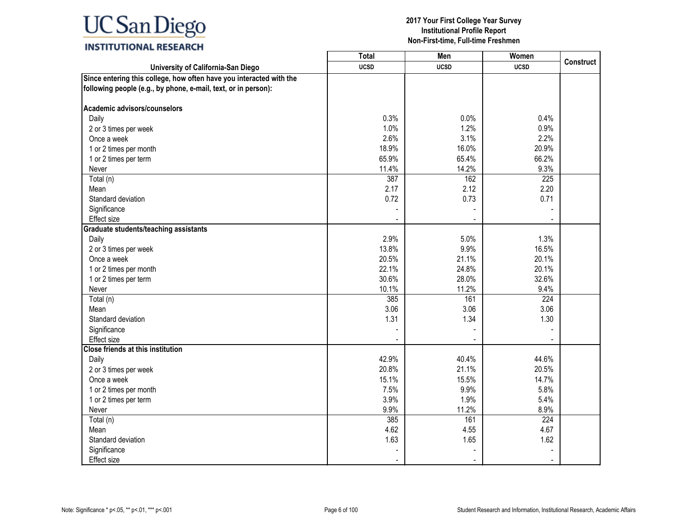|                                                                                                                                       | <b>Total</b> | Men         | Women            |                  |
|---------------------------------------------------------------------------------------------------------------------------------------|--------------|-------------|------------------|------------------|
| University of California-San Diego                                                                                                    | <b>UCSD</b>  | <b>UCSD</b> | <b>UCSD</b>      | <b>Construct</b> |
| Since entering this college, how often have you interacted with the<br>following people (e.g., by phone, e-mail, text, or in person): |              |             |                  |                  |
| Academic advisors/counselors                                                                                                          |              |             |                  |                  |
| Daily                                                                                                                                 | 0.3%         | 0.0%        | 0.4%             |                  |
| 2 or 3 times per week                                                                                                                 | 1.0%         | 1.2%        | 0.9%             |                  |
| Once a week                                                                                                                           | 2.6%         | 3.1%        | 2.2%             |                  |
| 1 or 2 times per month                                                                                                                | 18.9%        | 16.0%       | 20.9%            |                  |
| 1 or 2 times per term                                                                                                                 | 65.9%        | 65.4%       | 66.2%            |                  |
| Never                                                                                                                                 | 11.4%        | 14.2%       | 9.3%             |                  |
| Total (n)                                                                                                                             | 387          | 162         | $\overline{225}$ |                  |
| Mean                                                                                                                                  | 2.17         | 2.12        | 2.20             |                  |
| Standard deviation                                                                                                                    | 0.72         | 0.73        | 0.71             |                  |
| Significance                                                                                                                          |              |             |                  |                  |
| <b>Effect size</b>                                                                                                                    |              |             |                  |                  |
| <b>Graduate students/teaching assistants</b>                                                                                          |              |             |                  |                  |
| Daily                                                                                                                                 | 2.9%         | 5.0%        | 1.3%             |                  |
| 2 or 3 times per week                                                                                                                 | 13.8%        | 9.9%        | 16.5%            |                  |
| Once a week                                                                                                                           | 20.5%        | 21.1%       | 20.1%            |                  |
| 1 or 2 times per month                                                                                                                | 22.1%        | 24.8%       | 20.1%            |                  |
| 1 or 2 times per term                                                                                                                 | 30.6%        | 28.0%       | 32.6%            |                  |
| Never                                                                                                                                 | 10.1%        | 11.2%       | 9.4%             |                  |
| Total (n)                                                                                                                             | 385          | 161         | 224              |                  |
| Mean                                                                                                                                  | 3.06         | 3.06        | 3.06             |                  |
| Standard deviation                                                                                                                    | 1.31         | 1.34        | 1.30             |                  |
| Significance                                                                                                                          |              |             |                  |                  |
| Effect size                                                                                                                           |              |             |                  |                  |
| <b>Close friends at this institution</b>                                                                                              |              |             |                  |                  |
| Daily                                                                                                                                 | 42.9%        | 40.4%       | 44.6%            |                  |
| 2 or 3 times per week                                                                                                                 | 20.8%        | 21.1%       | 20.5%            |                  |
| Once a week                                                                                                                           | 15.1%        | 15.5%       | 14.7%            |                  |
| 1 or 2 times per month                                                                                                                | 7.5%         | 9.9%        | 5.8%             |                  |
| 1 or 2 times per term                                                                                                                 | 3.9%         | 1.9%        | 5.4%             |                  |
| Never                                                                                                                                 | 9.9%         | 11.2%       | 8.9%             |                  |
| Total (n)                                                                                                                             | 385          | 161<br>4.55 | 224<br>4.67      |                  |
| Mean<br>Standard deviation                                                                                                            | 4.62         |             |                  |                  |
|                                                                                                                                       | 1.63         | 1.65        | 1.62             |                  |
| Significance                                                                                                                          |              |             |                  |                  |
| Effect size                                                                                                                           |              |             |                  |                  |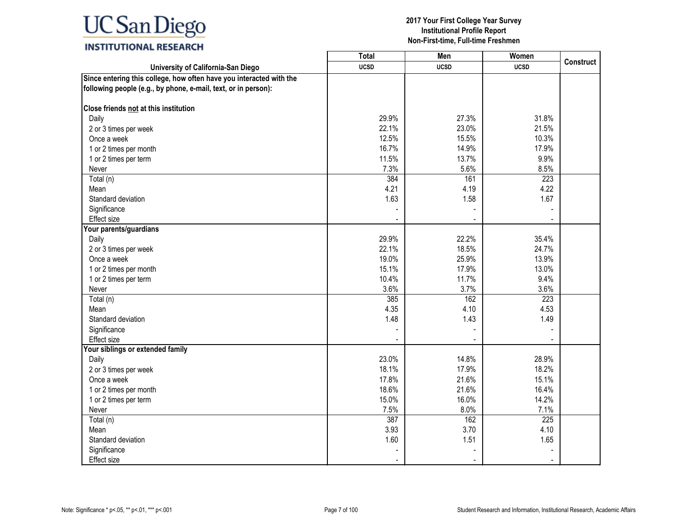| <b>Total</b> | Men                                                                                                                                                                           | Women                                                                                                                                                                         |                                                                                                                                                                     |
|--------------|-------------------------------------------------------------------------------------------------------------------------------------------------------------------------------|-------------------------------------------------------------------------------------------------------------------------------------------------------------------------------|---------------------------------------------------------------------------------------------------------------------------------------------------------------------|
| <b>UCSD</b>  | <b>UCSD</b>                                                                                                                                                                   | <b>UCSD</b>                                                                                                                                                                   | <b>Construct</b>                                                                                                                                                    |
|              |                                                                                                                                                                               |                                                                                                                                                                               |                                                                                                                                                                     |
|              |                                                                                                                                                                               |                                                                                                                                                                               |                                                                                                                                                                     |
|              |                                                                                                                                                                               | 31.8%                                                                                                                                                                         |                                                                                                                                                                     |
| 22.1%        | 23.0%                                                                                                                                                                         | 21.5%                                                                                                                                                                         |                                                                                                                                                                     |
| 12.5%        | 15.5%                                                                                                                                                                         | 10.3%                                                                                                                                                                         |                                                                                                                                                                     |
| 16.7%        | 14.9%                                                                                                                                                                         | 17.9%                                                                                                                                                                         |                                                                                                                                                                     |
| 11.5%        | 13.7%                                                                                                                                                                         | 9.9%                                                                                                                                                                          |                                                                                                                                                                     |
| 7.3%         | 5.6%                                                                                                                                                                          | 8.5%                                                                                                                                                                          |                                                                                                                                                                     |
| 384          | 161                                                                                                                                                                           | 223                                                                                                                                                                           |                                                                                                                                                                     |
|              |                                                                                                                                                                               |                                                                                                                                                                               |                                                                                                                                                                     |
|              |                                                                                                                                                                               |                                                                                                                                                                               |                                                                                                                                                                     |
|              |                                                                                                                                                                               |                                                                                                                                                                               |                                                                                                                                                                     |
|              |                                                                                                                                                                               |                                                                                                                                                                               |                                                                                                                                                                     |
|              |                                                                                                                                                                               |                                                                                                                                                                               |                                                                                                                                                                     |
|              |                                                                                                                                                                               |                                                                                                                                                                               |                                                                                                                                                                     |
|              |                                                                                                                                                                               |                                                                                                                                                                               |                                                                                                                                                                     |
|              |                                                                                                                                                                               |                                                                                                                                                                               |                                                                                                                                                                     |
|              |                                                                                                                                                                               |                                                                                                                                                                               |                                                                                                                                                                     |
|              |                                                                                                                                                                               |                                                                                                                                                                               |                                                                                                                                                                     |
|              |                                                                                                                                                                               |                                                                                                                                                                               |                                                                                                                                                                     |
|              |                                                                                                                                                                               |                                                                                                                                                                               |                                                                                                                                                                     |
|              |                                                                                                                                                                               |                                                                                                                                                                               |                                                                                                                                                                     |
|              |                                                                                                                                                                               |                                                                                                                                                                               |                                                                                                                                                                     |
|              |                                                                                                                                                                               |                                                                                                                                                                               |                                                                                                                                                                     |
|              |                                                                                                                                                                               |                                                                                                                                                                               |                                                                                                                                                                     |
|              |                                                                                                                                                                               |                                                                                                                                                                               |                                                                                                                                                                     |
|              |                                                                                                                                                                               |                                                                                                                                                                               |                                                                                                                                                                     |
|              |                                                                                                                                                                               |                                                                                                                                                                               |                                                                                                                                                                     |
|              |                                                                                                                                                                               |                                                                                                                                                                               |                                                                                                                                                                     |
|              |                                                                                                                                                                               |                                                                                                                                                                               |                                                                                                                                                                     |
|              |                                                                                                                                                                               |                                                                                                                                                                               |                                                                                                                                                                     |
|              |                                                                                                                                                                               |                                                                                                                                                                               |                                                                                                                                                                     |
|              |                                                                                                                                                                               |                                                                                                                                                                               |                                                                                                                                                                     |
|              |                                                                                                                                                                               |                                                                                                                                                                               |                                                                                                                                                                     |
|              |                                                                                                                                                                               |                                                                                                                                                                               |                                                                                                                                                                     |
|              |                                                                                                                                                                               |                                                                                                                                                                               |                                                                                                                                                                     |
|              | 29.9%<br>4.21<br>1.63<br>29.9%<br>22.1%<br>19.0%<br>15.1%<br>10.4%<br>3.6%<br>385<br>4.35<br>1.48<br>23.0%<br>18.1%<br>17.8%<br>18.6%<br>15.0%<br>7.5%<br>387<br>3.93<br>1.60 | 27.3%<br>4.19<br>1.58<br>22.2%<br>18.5%<br>25.9%<br>17.9%<br>11.7%<br>3.7%<br>162<br>4.10<br>1.43<br>14.8%<br>17.9%<br>21.6%<br>21.6%<br>16.0%<br>8.0%<br>162<br>3.70<br>1.51 | 4.22<br>1.67<br>35.4%<br>24.7%<br>13.9%<br>13.0%<br>9.4%<br>3.6%<br>223<br>4.53<br>1.49<br>28.9%<br>18.2%<br>15.1%<br>16.4%<br>14.2%<br>7.1%<br>225<br>4.10<br>1.65 |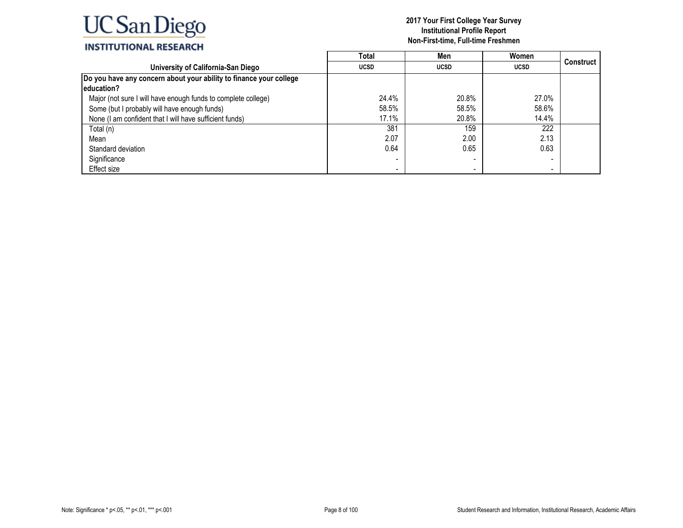|                                                                    | Total       | Men         | Women       |           |
|--------------------------------------------------------------------|-------------|-------------|-------------|-----------|
| University of California-San Diego                                 | <b>UCSD</b> | <b>UCSD</b> | <b>UCSD</b> | Construct |
| Do you have any concern about your ability to finance your college |             |             |             |           |
| leducation?                                                        |             |             |             |           |
| Major (not sure I will have enough funds to complete college)      | 24.4%       | 20.8%       | 27.0%       |           |
| Some (but I probably will have enough funds)                       | 58.5%       | 58.5%       | 58.6%       |           |
| None (I am confident that I will have sufficient funds)            | 17.1%       | 20.8%       | 14.4%       |           |
| Total (n)                                                          | 381         | 159         | 222         |           |
| Mean                                                               | 2.07        | 2.00        | 2.13        |           |
| Standard deviation                                                 | 0.64        | 0.65        | 0.63        |           |
| Significance                                                       |             |             |             |           |
| Effect size                                                        |             |             |             |           |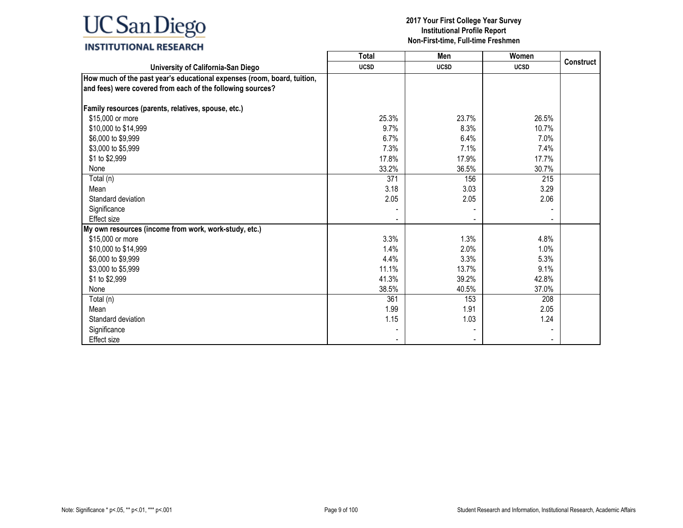### **INSTITUTIONAL RESEARCH**

|                                                                                                                                       | <b>Total</b> | Men         | Women       |                  |
|---------------------------------------------------------------------------------------------------------------------------------------|--------------|-------------|-------------|------------------|
| University of California-San Diego                                                                                                    | <b>UCSD</b>  | <b>UCSD</b> | <b>UCSD</b> | <b>Construct</b> |
| How much of the past year's educational expenses (room, board, tuition,<br>and fees) were covered from each of the following sources? |              |             |             |                  |
| Family resources (parents, relatives, spouse, etc.)                                                                                   |              |             |             |                  |
| \$15,000 or more                                                                                                                      | 25.3%        | 23.7%       | 26.5%       |                  |
| \$10,000 to \$14,999                                                                                                                  | 9.7%         | 8.3%        | 10.7%       |                  |
| \$6,000 to \$9,999                                                                                                                    | 6.7%         | 6.4%        | 7.0%        |                  |
| \$3,000 to \$5,999                                                                                                                    | 7.3%         | 7.1%        | 7.4%        |                  |
| \$1 to \$2,999                                                                                                                        | 17.8%        | 17.9%       | 17.7%       |                  |
| None                                                                                                                                  | 33.2%        | 36.5%       | 30.7%       |                  |
| Total (n)                                                                                                                             | 371          | 156         | 215         |                  |
| Mean                                                                                                                                  | 3.18         | 3.03        | 3.29        |                  |
| Standard deviation                                                                                                                    | 2.05         | 2.05        | 2.06        |                  |
| Significance                                                                                                                          |              |             |             |                  |
| Effect size                                                                                                                           |              |             |             |                  |
| My own resources (income from work, work-study, etc.)                                                                                 |              |             |             |                  |
| \$15,000 or more                                                                                                                      | 3.3%         | 1.3%        | 4.8%        |                  |
| \$10,000 to \$14,999                                                                                                                  | 1.4%         | 2.0%        | 1.0%        |                  |
| \$6,000 to \$9,999                                                                                                                    | 4.4%         | 3.3%        | 5.3%        |                  |
| \$3,000 to \$5,999                                                                                                                    | 11.1%        | 13.7%       | 9.1%        |                  |
| \$1 to \$2,999                                                                                                                        | 41.3%        | 39.2%       | 42.8%       |                  |
| None                                                                                                                                  | 38.5%        | 40.5%       | 37.0%       |                  |
| Total (n)                                                                                                                             | 361          | 153         | 208         |                  |
| Mean                                                                                                                                  | 1.99         | 1.91        | 2.05        |                  |
| Standard deviation                                                                                                                    | 1.15         | 1.03        | 1.24        |                  |
| Significance                                                                                                                          |              |             |             |                  |
| <b>Effect size</b>                                                                                                                    |              |             |             |                  |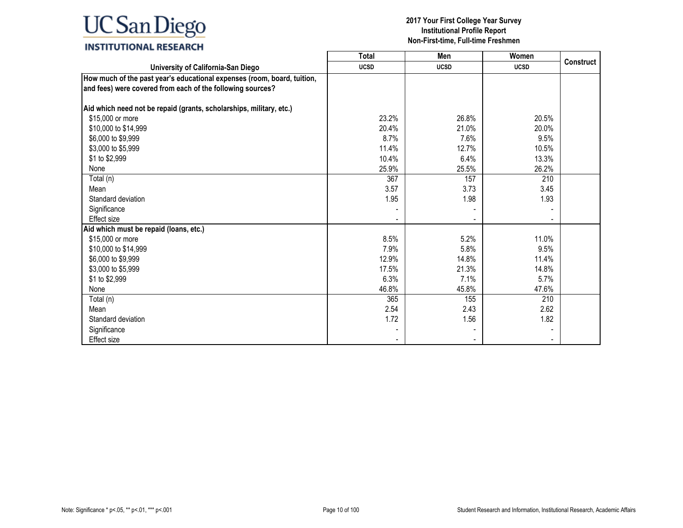#### **2017 Your First College Year Survey Institutional Profile Report Non-First-time, Full-time Freshmen**

┑

┰

### **INSTITUTIONAL RESEARCH**

|                                                                         | Total       | Men         | Women       | <b>Construct</b> |
|-------------------------------------------------------------------------|-------------|-------------|-------------|------------------|
| University of California-San Diego                                      | <b>UCSD</b> | <b>UCSD</b> | <b>UCSD</b> |                  |
| How much of the past year's educational expenses (room, board, tuition, |             |             |             |                  |
| and fees) were covered from each of the following sources?              |             |             |             |                  |
|                                                                         |             |             |             |                  |
| Aid which need not be repaid (grants, scholarships, military, etc.)     |             |             |             |                  |
| \$15,000 or more                                                        | 23.2%       | 26.8%       | 20.5%       |                  |
| \$10,000 to \$14,999                                                    | 20.4%       | 21.0%       | 20.0%       |                  |
| \$6,000 to \$9,999                                                      | 8.7%        | 7.6%        | 9.5%        |                  |
| \$3,000 to \$5,999                                                      | 11.4%       | 12.7%       | 10.5%       |                  |
| \$1 to \$2,999                                                          | 10.4%       | 6.4%        | 13.3%       |                  |
| None                                                                    | 25.9%       | 25.5%       | 26.2%       |                  |
| Total (n)                                                               | 367         | 157         | 210         |                  |
| Mean                                                                    | 3.57        | 3.73        | 3.45        |                  |
| Standard deviation                                                      | 1.95        | 1.98        | 1.93        |                  |
| Significance                                                            |             |             |             |                  |
| <b>Effect size</b>                                                      |             |             |             |                  |
| Aid which must be repaid (loans, etc.)                                  |             |             |             |                  |
| \$15,000 or more                                                        | 8.5%        | 5.2%        | 11.0%       |                  |
| \$10,000 to \$14,999                                                    | 7.9%        | 5.8%        | 9.5%        |                  |
| \$6,000 to \$9,999                                                      | 12.9%       | 14.8%       | 11.4%       |                  |
| \$3,000 to \$5,999                                                      | 17.5%       | 21.3%       | 14.8%       |                  |
| \$1 to \$2,999                                                          | 6.3%        | 7.1%        | 5.7%        |                  |
| None                                                                    | 46.8%       | 45.8%       | 47.6%       |                  |
| Total (n)                                                               | 365         | 155         | 210         |                  |
| Mean                                                                    | 2.54        | 2.43        | 2.62        |                  |
| Standard deviation                                                      | 1.72        | 1.56        | 1.82        |                  |
| Significance                                                            |             |             |             |                  |
| <b>Effect size</b>                                                      |             |             |             |                  |

Г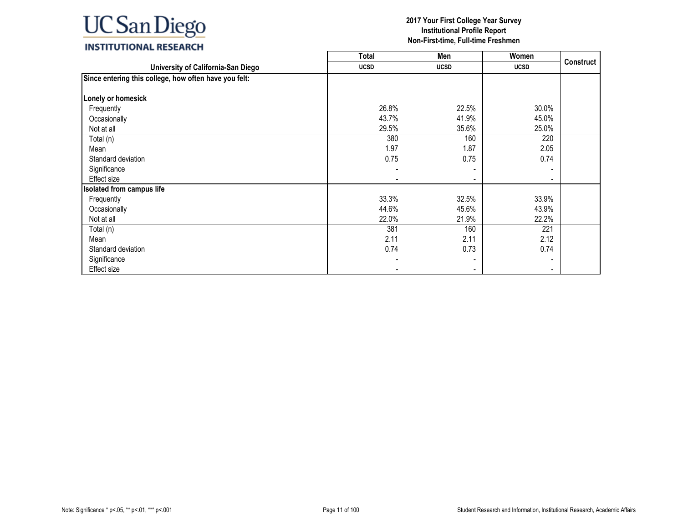|                                                       | <b>Total</b> | Men         | Women                        |                  |
|-------------------------------------------------------|--------------|-------------|------------------------------|------------------|
| University of California-San Diego                    | <b>UCSD</b>  | <b>UCSD</b> | <b>UCSD</b>                  | <b>Construct</b> |
| Since entering this college, how often have you felt: |              |             |                              |                  |
| Lonely or homesick                                    |              |             |                              |                  |
| Frequently                                            | 26.8%        | 22.5%       | 30.0%                        |                  |
| Occasionally                                          | 43.7%        | 41.9%       | 45.0%                        |                  |
| Not at all                                            | 29.5%        | 35.6%       | 25.0%                        |                  |
| Total (n)                                             | 380          | 160         | 220                          |                  |
| Mean                                                  | 1.97         | 1.87        | 2.05                         |                  |
| Standard deviation                                    | 0.75         | 0.75        | 0.74                         |                  |
| Significance                                          |              |             |                              |                  |
| Effect size                                           |              |             | $\overline{\phantom{0}}$     |                  |
| <b>Isolated from campus life</b>                      |              |             |                              |                  |
| Frequently                                            | 33.3%        | 32.5%       | 33.9%                        |                  |
| Occasionally                                          | 44.6%        | 45.6%       | 43.9%                        |                  |
| Not at all                                            | 22.0%        | 21.9%       | 22.2%                        |                  |
| Total (n)                                             | 381          | 160         | 221                          |                  |
| Mean                                                  | 2.11         | 2.11        | 2.12                         |                  |
| Standard deviation                                    | 0.74         | 0.73        | 0.74                         |                  |
| Significance                                          |              |             | $\qquad \qquad \blacksquare$ |                  |
| Effect size                                           |              |             | $\blacksquare$               |                  |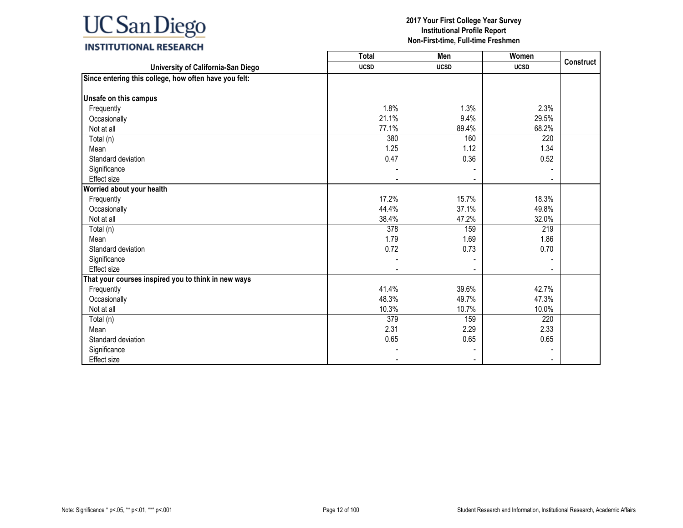### **INSTITUTIONAL RESEARCH**

|                                                       | <b>Total</b> | Men         | Women       | <b>Construct</b> |
|-------------------------------------------------------|--------------|-------------|-------------|------------------|
| University of California-San Diego                    | <b>UCSD</b>  | <b>UCSD</b> | <b>UCSD</b> |                  |
| Since entering this college, how often have you felt: |              |             |             |                  |
|                                                       |              |             |             |                  |
| Unsafe on this campus                                 |              |             |             |                  |
| Frequently                                            | 1.8%         | 1.3%        | 2.3%        |                  |
| Occasionally                                          | 21.1%        | 9.4%        | 29.5%       |                  |
| Not at all                                            | 77.1%        | 89.4%       | 68.2%       |                  |
| Total (n)                                             | 380          | 160         | 220         |                  |
| Mean                                                  | 1.25         | 1.12        | 1.34        |                  |
| Standard deviation                                    | 0.47         | 0.36        | 0.52        |                  |
| Significance                                          |              |             |             |                  |
| <b>Effect size</b>                                    |              |             |             |                  |
| Worried about your health                             |              |             |             |                  |
| Frequently                                            | 17.2%        | 15.7%       | 18.3%       |                  |
| Occasionally                                          | 44.4%        | 37.1%       | 49.8%       |                  |
| Not at all                                            | 38.4%        | 47.2%       | 32.0%       |                  |
| Total (n)                                             | 378          | 159         | 219         |                  |
| Mean                                                  | 1.79         | 1.69        | 1.86        |                  |
| Standard deviation                                    | 0.72         | 0.73        | 0.70        |                  |
| Significance                                          |              |             |             |                  |
| <b>Effect size</b>                                    |              |             |             |                  |
| That your courses inspired you to think in new ways   |              |             |             |                  |
| Frequently                                            | 41.4%        | 39.6%       | 42.7%       |                  |
| Occasionally                                          | 48.3%        | 49.7%       | 47.3%       |                  |
| Not at all                                            | 10.3%        | 10.7%       | 10.0%       |                  |
| Total (n)                                             | 379          | 159         | 220         |                  |
| Mean                                                  | 2.31         | 2.29        | 2.33        |                  |
| Standard deviation                                    | 0.65         | 0.65        | 0.65        |                  |
| Significance                                          |              |             |             |                  |
| <b>Effect size</b>                                    |              |             |             |                  |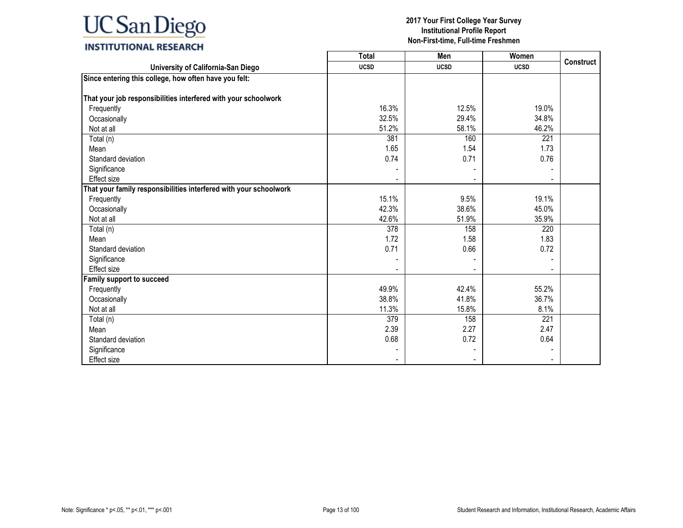|                                                                   | <b>Total</b> | Men         | Women       |                  |
|-------------------------------------------------------------------|--------------|-------------|-------------|------------------|
| University of California-San Diego                                | <b>UCSD</b>  | <b>UCSD</b> | <b>UCSD</b> | <b>Construct</b> |
| Since entering this college, how often have you felt:             |              |             |             |                  |
|                                                                   |              |             |             |                  |
| That your job responsibilities interfered with your schoolwork    |              |             |             |                  |
| Frequently                                                        | 16.3%        | 12.5%       | 19.0%       |                  |
| Occasionally                                                      | 32.5%        | 29.4%       | 34.8%       |                  |
| Not at all                                                        | 51.2%        | 58.1%       | 46.2%       |                  |
| Total (n)                                                         | 381          | 160         | 221         |                  |
| Mean                                                              | 1.65         | 1.54        | 1.73        |                  |
| Standard deviation                                                | 0.74         | 0.71        | 0.76        |                  |
| Significance                                                      |              |             |             |                  |
| Effect size                                                       |              |             |             |                  |
| That your family responsibilities interfered with your schoolwork |              |             |             |                  |
| Frequently                                                        | 15.1%        | 9.5%        | 19.1%       |                  |
| Occasionally                                                      | 42.3%        | 38.6%       | 45.0%       |                  |
| Not at all                                                        | 42.6%        | 51.9%       | 35.9%       |                  |
| Total (n)                                                         | 378          | 158         | 220         |                  |
| Mean                                                              | 1.72         | 1.58        | 1.83        |                  |
| Standard deviation                                                | 0.71         | 0.66        | 0.72        |                  |
| Significance                                                      |              |             |             |                  |
| <b>Effect size</b>                                                |              |             |             |                  |
| <b>Family support to succeed</b>                                  |              |             |             |                  |
| Frequently                                                        | 49.9%        | 42.4%       | 55.2%       |                  |
| Occasionally                                                      | 38.8%        | 41.8%       | 36.7%       |                  |
| Not at all                                                        | 11.3%        | 15.8%       | 8.1%        |                  |
| Total (n)                                                         | 379          | 158         | 221         |                  |
| Mean                                                              | 2.39         | 2.27        | 2.47        |                  |
| Standard deviation                                                | 0.68         | 0.72        | 0.64        |                  |
| Significance                                                      |              |             |             |                  |
| Effect size                                                       |              |             |             |                  |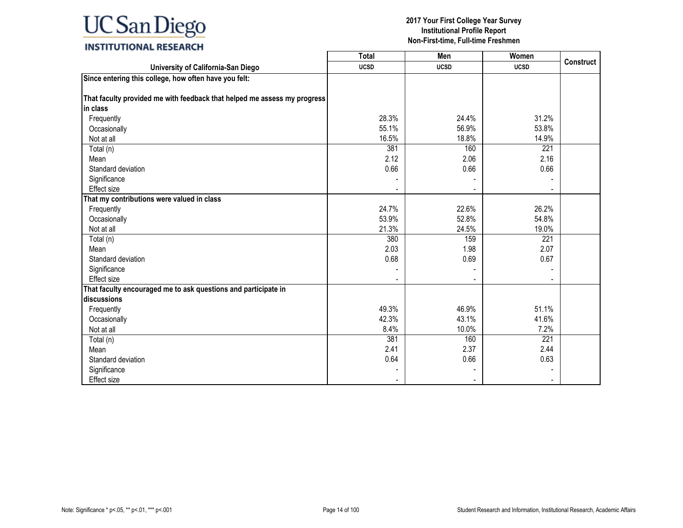### **INSTITUTIONAL RESEARCH**

|                                                                          | <b>Total</b> | Men         | Women       |                  |
|--------------------------------------------------------------------------|--------------|-------------|-------------|------------------|
| University of California-San Diego                                       | <b>UCSD</b>  | <b>UCSD</b> | <b>UCSD</b> | <b>Construct</b> |
| Since entering this college, how often have you felt:                    |              |             |             |                  |
|                                                                          |              |             |             |                  |
| That faculty provided me with feedback that helped me assess my progress |              |             |             |                  |
| in class                                                                 |              |             |             |                  |
| Frequently                                                               | 28.3%        | 24.4%       | 31.2%       |                  |
| Occasionally                                                             | 55.1%        | 56.9%       | 53.8%       |                  |
| Not at all                                                               | 16.5%        | 18.8%       | 14.9%       |                  |
| Total (n)                                                                | 381          | 160         | 221         |                  |
| Mean                                                                     | 2.12         | 2.06        | 2.16        |                  |
| Standard deviation                                                       | 0.66         | 0.66        | 0.66        |                  |
| Significance                                                             |              |             |             |                  |
| Effect size                                                              |              |             |             |                  |
| That my contributions were valued in class                               |              |             |             |                  |
| Frequently                                                               | 24.7%        | 22.6%       | 26.2%       |                  |
| Occasionally                                                             | 53.9%        | 52.8%       | 54.8%       |                  |
| Not at all                                                               | 21.3%        | 24.5%       | 19.0%       |                  |
| Total (n)                                                                | 380          | 159         | 221         |                  |
| Mean                                                                     | 2.03         | 1.98        | 2.07        |                  |
| Standard deviation                                                       | 0.68         | 0.69        | 0.67        |                  |
| Significance                                                             |              |             |             |                  |
| Effect size                                                              |              |             |             |                  |
| That faculty encouraged me to ask questions and participate in           |              |             |             |                  |
| discussions                                                              |              |             |             |                  |
| Frequently                                                               | 49.3%        | 46.9%       | 51.1%       |                  |
| Occasionally                                                             | 42.3%        | 43.1%       | 41.6%       |                  |
| Not at all                                                               | 8.4%         | 10.0%       | 7.2%        |                  |
| Total (n)                                                                | 381          | 160         | 221         |                  |
| Mean                                                                     | 2.41         | 2.37        | 2.44        |                  |
| Standard deviation                                                       | 0.64         | 0.66        | 0.63        |                  |
| Significance                                                             |              |             |             |                  |
| Effect size                                                              |              |             |             |                  |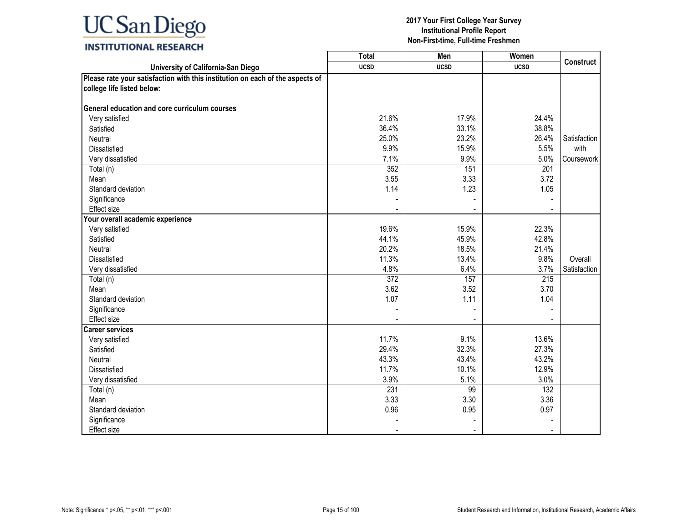### **INSTITUTIONAL RESEARCH**

|                                                                               | <b>Total</b> | Men         | Women       |              |
|-------------------------------------------------------------------------------|--------------|-------------|-------------|--------------|
| University of California-San Diego                                            | <b>UCSD</b>  | <b>UCSD</b> | <b>UCSD</b> | Construct    |
| Please rate your satisfaction with this institution on each of the aspects of |              |             |             |              |
| college life listed below:                                                    |              |             |             |              |
|                                                                               |              |             |             |              |
| General education and core curriculum courses                                 |              |             |             |              |
| Very satisfied                                                                | 21.6%        | 17.9%       | 24.4%       |              |
| Satisfied                                                                     | 36.4%        | 33.1%       | 38.8%       |              |
| Neutral                                                                       | 25.0%        | 23.2%       | 26.4%       | Satisfaction |
| Dissatisfied                                                                  | 9.9%         | 15.9%       | 5.5%        | with         |
| Very dissatisfied                                                             | 7.1%         | 9.9%        | 5.0%        | Coursework   |
| Total (n)                                                                     | 352          | 151         | 201         |              |
| Mean                                                                          | 3.55         | 3.33        | 3.72        |              |
| Standard deviation                                                            | 1.14         | 1.23        | 1.05        |              |
| Significance                                                                  |              |             |             |              |
| Effect size                                                                   |              |             |             |              |
| Your overall academic experience                                              |              |             |             |              |
| Very satisfied                                                                | 19.6%        | 15.9%       | 22.3%       |              |
| Satisfied                                                                     | 44.1%        | 45.9%       | 42.8%       |              |
| Neutral                                                                       | 20.2%        | 18.5%       | 21.4%       |              |
| <b>Dissatisfied</b>                                                           | 11.3%        | 13.4%       | 9.8%        | Overall      |
| Very dissatisfied                                                             | 4.8%         | 6.4%        | 3.7%        | Satisfaction |
| Total (n)                                                                     | 372          | 157         | 215         |              |
| Mean                                                                          | 3.62         | 3.52        | 3.70        |              |
| Standard deviation                                                            | 1.07         | 1.11        | 1.04        |              |
| Significance                                                                  |              |             |             |              |
| Effect size                                                                   |              |             |             |              |
| <b>Career services</b>                                                        |              |             |             |              |
| Very satisfied                                                                | 11.7%        | 9.1%        | 13.6%       |              |
| Satisfied                                                                     | 29.4%        | 32.3%       | 27.3%       |              |
| Neutral                                                                       | 43.3%        | 43.4%       | 43.2%       |              |
| Dissatisfied                                                                  | 11.7%        | 10.1%       | 12.9%       |              |
| Very dissatisfied                                                             | 3.9%         | 5.1%        | 3.0%        |              |
| Total (n)                                                                     | 231          | 99          | 132         |              |
| Mean                                                                          | 3.33         | 3.30        | 3.36        |              |
| Standard deviation                                                            | 0.96         | 0.95        | 0.97        |              |
| Significance                                                                  |              |             |             |              |
| <b>Effect size</b>                                                            |              |             |             |              |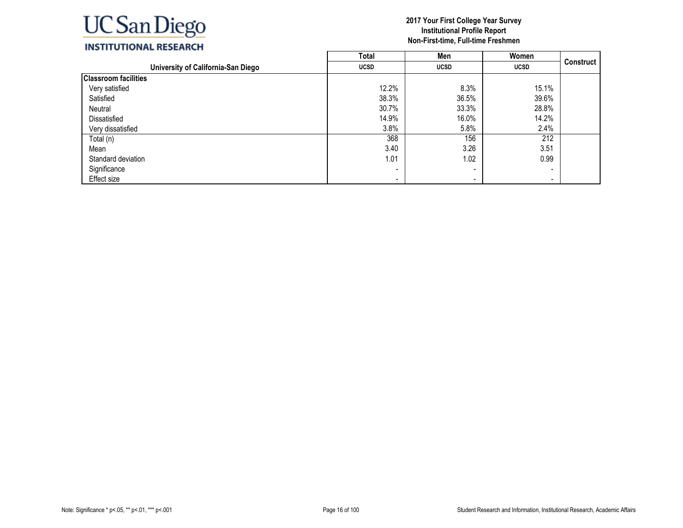

|                                    | <b>Total</b>             | Men                      | Women       |                  |
|------------------------------------|--------------------------|--------------------------|-------------|------------------|
| University of California-San Diego | <b>UCSD</b>              | <b>UCSD</b>              | <b>UCSD</b> | <b>Construct</b> |
| <b>Classroom facilities</b>        |                          |                          |             |                  |
| Very satisfied                     | 12.2%                    | 8.3%                     | 15.1%       |                  |
| Satisfied                          | 38.3%                    | 36.5%                    | 39.6%       |                  |
| Neutral                            | 30.7%                    | 33.3%                    | 28.8%       |                  |
| Dissatisfied                       | 14.9%                    | 16.0%                    | 14.2%       |                  |
| Very dissatisfied                  | 3.8%                     | 5.8%                     | 2.4%        |                  |
| Total (n)                          | 368                      | 156                      | 212         |                  |
| Mean                               | 3.40                     | 3.26                     | 3.51        |                  |
| Standard deviation                 | 1.01                     | 1.02                     | 0.99        |                  |
| Significance                       |                          | $\overline{\phantom{a}}$ |             |                  |
| Effect size                        | $\overline{\phantom{a}}$ | $\overline{\phantom{a}}$ | $\,$        |                  |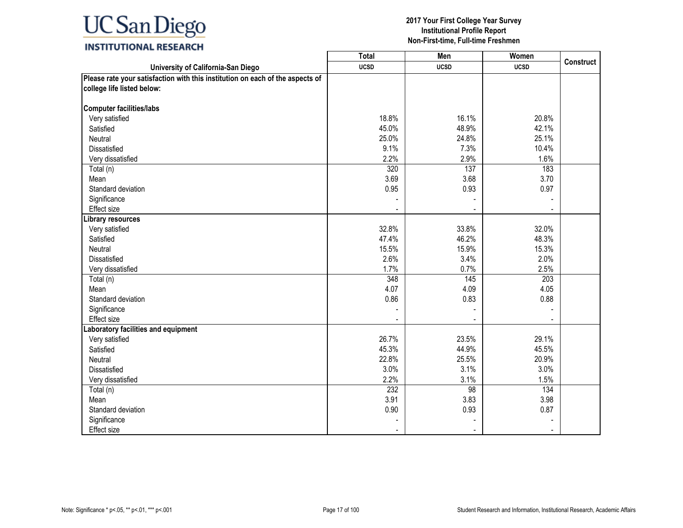### **INSTITUTIONAL RESEARCH**

|                                                                               | Total       | Men                      | Women       |                  |
|-------------------------------------------------------------------------------|-------------|--------------------------|-------------|------------------|
| University of California-San Diego                                            | <b>UCSD</b> | <b>UCSD</b>              | <b>UCSD</b> | <b>Construct</b> |
| Please rate your satisfaction with this institution on each of the aspects of |             |                          |             |                  |
| college life listed below:                                                    |             |                          |             |                  |
|                                                                               |             |                          |             |                  |
| <b>Computer facilities/labs</b>                                               |             |                          |             |                  |
| Very satisfied                                                                | 18.8%       | 16.1%                    | 20.8%       |                  |
| Satisfied                                                                     | 45.0%       | 48.9%                    | 42.1%       |                  |
| Neutral                                                                       | 25.0%       | 24.8%                    | 25.1%       |                  |
| <b>Dissatisfied</b>                                                           | 9.1%        | 7.3%                     | 10.4%       |                  |
| Very dissatisfied                                                             | 2.2%        | 2.9%                     | 1.6%        |                  |
| Total (n)                                                                     | 320         | 137                      | 183         |                  |
| Mean                                                                          | 3.69        | 3.68                     | 3.70        |                  |
| Standard deviation                                                            | 0.95        | 0.93                     | 0.97        |                  |
| Significance                                                                  |             |                          |             |                  |
| Effect size                                                                   |             |                          |             |                  |
| ibrary resources                                                              |             |                          |             |                  |
| Very satisfied                                                                | 32.8%       | 33.8%                    | 32.0%       |                  |
| Satisfied                                                                     | 47.4%       | 46.2%                    | 48.3%       |                  |
| Neutral                                                                       | 15.5%       | 15.9%                    | 15.3%       |                  |
| <b>Dissatisfied</b>                                                           | 2.6%        | 3.4%                     | 2.0%        |                  |
| Very dissatisfied                                                             | 1.7%        | 0.7%                     | 2.5%        |                  |
| Total (n)                                                                     | 348         | 145                      | 203         |                  |
| Mean                                                                          | 4.07        | 4.09                     | 4.05        |                  |
| Standard deviation                                                            | 0.86        | 0.83                     | 0.88        |                  |
| Significance                                                                  |             |                          |             |                  |
| <b>Effect size</b>                                                            |             | $\overline{\phantom{a}}$ |             |                  |
| aboratory facilities and equipment                                            |             |                          |             |                  |
| Very satisfied                                                                | 26.7%       | 23.5%                    | 29.1%       |                  |
| Satisfied                                                                     | 45.3%       | 44.9%                    | 45.5%       |                  |
| Neutral                                                                       | 22.8%       | 25.5%                    | 20.9%       |                  |
| <b>Dissatisfied</b>                                                           | 3.0%        | 3.1%                     | 3.0%        |                  |
| Very dissatisfied                                                             | 2.2%        | 3.1%                     | 1.5%        |                  |
| Total (n)                                                                     | 232         | $\overline{98}$          | 134         |                  |
| Mean                                                                          | 3.91        | 3.83                     | 3.98        |                  |
| Standard deviation                                                            | 0.90        | 0.93                     | 0.87        |                  |
| Significance                                                                  |             |                          |             |                  |
| Effect size                                                                   |             |                          |             |                  |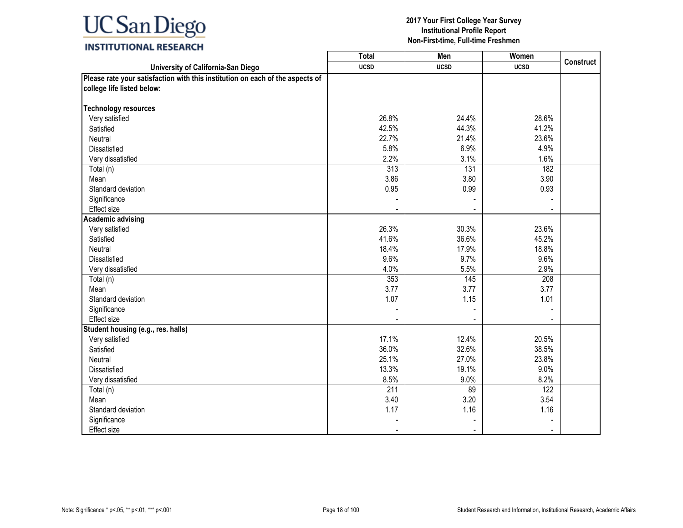### **INSTITUTIONAL RESEARCH**

|                                                                               | <b>Total</b>     | Men              | Women       |                  |
|-------------------------------------------------------------------------------|------------------|------------------|-------------|------------------|
| University of California-San Diego                                            | <b>UCSD</b>      | <b>UCSD</b>      | <b>UCSD</b> | <b>Construct</b> |
| Please rate your satisfaction with this institution on each of the aspects of |                  |                  |             |                  |
| college life listed below:                                                    |                  |                  |             |                  |
|                                                                               |                  |                  |             |                  |
| <b>Technology resources</b>                                                   |                  |                  |             |                  |
| Very satisfied                                                                | 26.8%            | 24.4%            | 28.6%       |                  |
| Satisfied                                                                     | 42.5%            | 44.3%            | 41.2%       |                  |
| Neutral                                                                       | 22.7%            | 21.4%            | 23.6%       |                  |
| Dissatisfied                                                                  | 5.8%             | 6.9%             | 4.9%        |                  |
| Very dissatisfied                                                             | 2.2%             | 3.1%             | 1.6%        |                  |
| Total (n)                                                                     | 313              | $\overline{131}$ | 182         |                  |
| Mean                                                                          | 3.86             | 3.80             | 3.90        |                  |
| Standard deviation                                                            | 0.95             | 0.99             | 0.93        |                  |
| Significance                                                                  |                  |                  |             |                  |
| Effect size                                                                   |                  |                  |             |                  |
| <b>Academic advising</b>                                                      |                  |                  |             |                  |
| Very satisfied                                                                | 26.3%            | 30.3%            | 23.6%       |                  |
| Satisfied                                                                     | 41.6%            | 36.6%            | 45.2%       |                  |
| Neutral                                                                       | 18.4%            | 17.9%            | 18.8%       |                  |
| <b>Dissatisfied</b>                                                           | 9.6%             | 9.7%             | 9.6%        |                  |
| Very dissatisfied                                                             | 4.0%             | 5.5%             | 2.9%        |                  |
| Total (n)                                                                     | 353              | 145              | 208         |                  |
| Mean                                                                          | 3.77             | 3.77             | 3.77        |                  |
| Standard deviation                                                            | 1.07             | 1.15             | 1.01        |                  |
| Significance                                                                  |                  |                  |             |                  |
| Effect size                                                                   |                  |                  |             |                  |
| Student housing (e.g., res. halls)                                            |                  |                  |             |                  |
| Very satisfied                                                                | 17.1%            | 12.4%            | 20.5%       |                  |
| Satisfied                                                                     | 36.0%            | 32.6%            | 38.5%       |                  |
| Neutral                                                                       | 25.1%            | 27.0%            | 23.8%       |                  |
| <b>Dissatisfied</b>                                                           | 13.3%            | 19.1%            | 9.0%        |                  |
| Very dissatisfied                                                             | 8.5%             | 9.0%             | 8.2%        |                  |
| Total (n)                                                                     | $\overline{211}$ | 89               | 122         |                  |
| Mean                                                                          | 3.40             | 3.20             | 3.54        |                  |
| Standard deviation                                                            | 1.17             | 1.16             | 1.16        |                  |
| Significance                                                                  |                  |                  |             |                  |
| Effect size                                                                   |                  |                  |             |                  |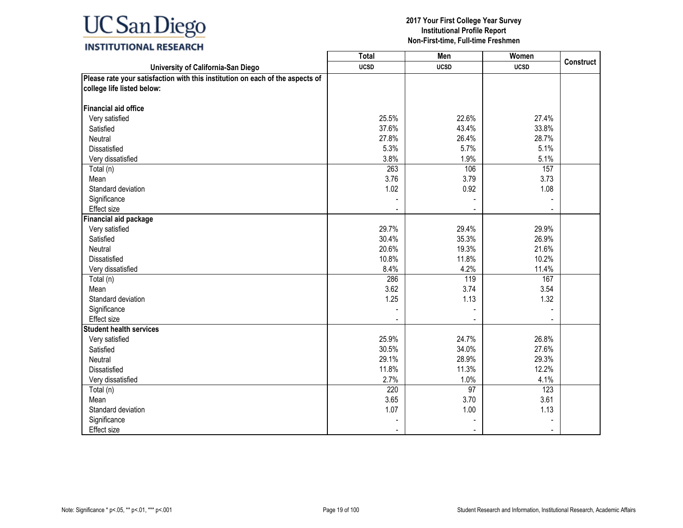### **INSTITUTIONAL RESEARCH**

|                                                                               | <b>Total</b> | Men             | Women       |                  |
|-------------------------------------------------------------------------------|--------------|-----------------|-------------|------------------|
| University of California-San Diego                                            | <b>UCSD</b>  | <b>UCSD</b>     | <b>UCSD</b> | <b>Construct</b> |
| Please rate your satisfaction with this institution on each of the aspects of |              |                 |             |                  |
| college life listed below:                                                    |              |                 |             |                  |
|                                                                               |              |                 |             |                  |
| <b>Financial aid office</b>                                                   |              |                 |             |                  |
| Very satisfied                                                                | 25.5%        | 22.6%           | 27.4%       |                  |
| Satisfied                                                                     | 37.6%        | 43.4%           | 33.8%       |                  |
| Neutral                                                                       | 27.8%        | 26.4%           | 28.7%       |                  |
| Dissatisfied                                                                  | 5.3%         | 5.7%            | 5.1%        |                  |
| Very dissatisfied                                                             | 3.8%         | 1.9%            | 5.1%        |                  |
| Total (n)                                                                     | 263          | 106             | 157         |                  |
| Mean                                                                          | 3.76         | 3.79            | 3.73        |                  |
| Standard deviation                                                            | 1.02         | 0.92            | 1.08        |                  |
| Significance                                                                  |              |                 |             |                  |
| Effect size                                                                   |              |                 |             |                  |
| <b>Financial aid package</b>                                                  |              |                 |             |                  |
| Very satisfied                                                                | 29.7%        | 29.4%           | 29.9%       |                  |
| Satisfied                                                                     | 30.4%        | 35.3%           | 26.9%       |                  |
| Neutral                                                                       | 20.6%        | 19.3%           | 21.6%       |                  |
| <b>Dissatisfied</b>                                                           | 10.8%        | 11.8%           | 10.2%       |                  |
| Very dissatisfied                                                             | 8.4%         | 4.2%            | 11.4%       |                  |
| Total (n)                                                                     | 286          | 119             | 167         |                  |
| Mean                                                                          | 3.62         | 3.74            | 3.54        |                  |
| Standard deviation                                                            | 1.25         | 1.13            | 1.32        |                  |
| Significance                                                                  |              |                 |             |                  |
| <b>Effect size</b>                                                            |              |                 |             |                  |
| <b>Student health services</b>                                                |              |                 |             |                  |
| Very satisfied                                                                | 25.9%        | 24.7%           | 26.8%       |                  |
| Satisfied                                                                     | 30.5%        | 34.0%           | 27.6%       |                  |
| Neutral                                                                       | 29.1%        | 28.9%           | 29.3%       |                  |
| Dissatisfied                                                                  | 11.8%        | 11.3%           | 12.2%       |                  |
| Very dissatisfied                                                             | 2.7%         | 1.0%            | 4.1%        |                  |
| Total (n)                                                                     | 220          | $\overline{97}$ | 123         |                  |
| Mean                                                                          | 3.65         | 3.70            | 3.61        |                  |
| Standard deviation                                                            | 1.07         | 1.00            | 1.13        |                  |
| Significance                                                                  |              |                 |             |                  |
| <b>Effect size</b>                                                            |              |                 |             |                  |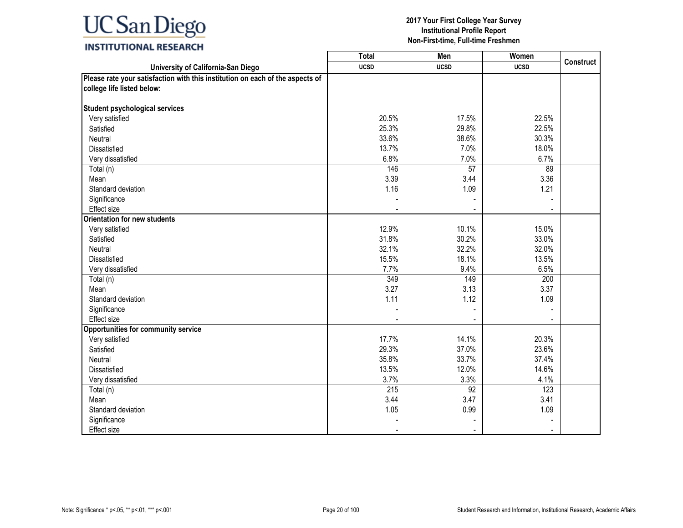### **INSTITUTIONAL RESEARCH**

|                                                                               | <b>Total</b>     | Men             | Women       |                  |
|-------------------------------------------------------------------------------|------------------|-----------------|-------------|------------------|
| University of California-San Diego                                            | <b>UCSD</b>      | <b>UCSD</b>     | <b>UCSD</b> | <b>Construct</b> |
| Please rate your satisfaction with this institution on each of the aspects of |                  |                 |             |                  |
| college life listed below:                                                    |                  |                 |             |                  |
|                                                                               |                  |                 |             |                  |
| <b>Student psychological services</b>                                         |                  |                 |             |                  |
| Very satisfied                                                                | 20.5%            | 17.5%           | 22.5%       |                  |
| Satisfied                                                                     | 25.3%            | 29.8%           | 22.5%       |                  |
| Neutral                                                                       | 33.6%            | 38.6%           | 30.3%       |                  |
| Dissatisfied                                                                  | 13.7%            | 7.0%            | 18.0%       |                  |
| Very dissatisfied                                                             | 6.8%             | 7.0%            | 6.7%        |                  |
| Total (n)                                                                     | 146              | $\overline{57}$ | 89          |                  |
| Mean                                                                          | 3.39             | 3.44            | 3.36        |                  |
| Standard deviation                                                            | 1.16             | 1.09            | 1.21        |                  |
| Significance                                                                  |                  |                 |             |                  |
| <b>Effect size</b>                                                            |                  |                 |             |                  |
| <b>Orientation for new students</b>                                           |                  |                 |             |                  |
| Very satisfied                                                                | 12.9%            | 10.1%           | 15.0%       |                  |
| Satisfied                                                                     | 31.8%            | 30.2%           | 33.0%       |                  |
| <b>Neutral</b>                                                                | 32.1%            | 32.2%           | 32.0%       |                  |
| <b>Dissatisfied</b>                                                           | 15.5%            | 18.1%           | 13.5%       |                  |
| Very dissatisfied                                                             | 7.7%             | 9.4%            | 6.5%        |                  |
| Total (n)                                                                     | 349              | 149             | 200         |                  |
| Mean                                                                          | 3.27             | 3.13            | 3.37        |                  |
| Standard deviation                                                            | 1.11             | 1.12            | 1.09        |                  |
| Significance                                                                  |                  |                 |             |                  |
| <b>Effect size</b>                                                            |                  |                 |             |                  |
| Opportunities for community service                                           |                  |                 |             |                  |
| Very satisfied                                                                | 17.7%            | 14.1%           | 20.3%       |                  |
| Satisfied                                                                     | 29.3%            | 37.0%           | 23.6%       |                  |
| Neutral                                                                       | 35.8%            | 33.7%           | 37.4%       |                  |
| <b>Dissatisfied</b>                                                           | 13.5%            | 12.0%           | 14.6%       |                  |
| Very dissatisfied                                                             | 3.7%             | 3.3%            | 4.1%        |                  |
| Total (n)                                                                     | $\overline{215}$ | 92              | 123         |                  |
| Mean                                                                          | 3.44             | 3.47            | 3.41        |                  |
| Standard deviation                                                            | 1.05             | 0.99            | 1.09        |                  |
| Significance                                                                  |                  |                 |             |                  |
| Effect size                                                                   |                  |                 |             |                  |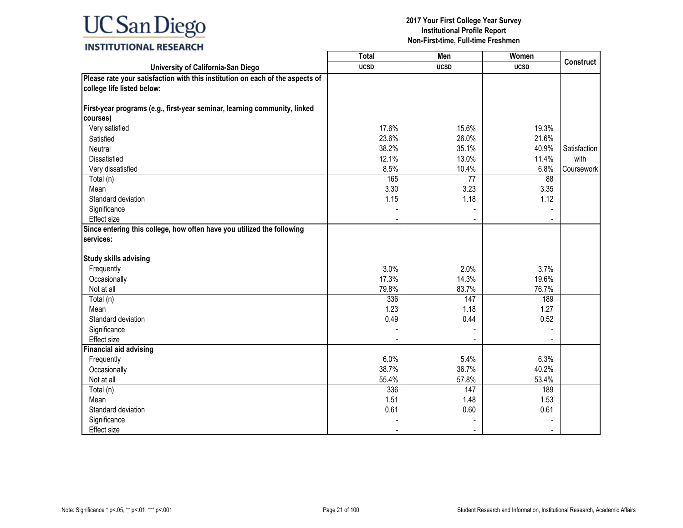### **INSTITUTIONAL RESEARCH**

|                                                                               | Total       | Men         | Women       |                  |
|-------------------------------------------------------------------------------|-------------|-------------|-------------|------------------|
| University of California-San Diego                                            | <b>UCSD</b> | <b>UCSD</b> | <b>UCSD</b> | <b>Construct</b> |
| Please rate your satisfaction with this institution on each of the aspects of |             |             |             |                  |
| college life listed below:                                                    |             |             |             |                  |
|                                                                               |             |             |             |                  |
| First-year programs (e.g., first-year seminar, learning community, linked     |             |             |             |                  |
| courses)                                                                      |             |             |             |                  |
| Very satisfied                                                                | 17.6%       | 15.6%       | 19.3%       |                  |
| Satisfied                                                                     | 23.6%       | 26.0%       | 21.6%       |                  |
| Neutral                                                                       | 38.2%       | 35.1%       | 40.9%       | Satisfaction     |
| <b>Dissatisfied</b>                                                           | 12.1%       | 13.0%       | 11.4%       | with             |
| Very dissatisfied                                                             | 8.5%        | 10.4%       | 6.8%        | Coursework       |
| Total (n)                                                                     | 165         | 77          | 88          |                  |
| Mean                                                                          | 3.30        | 3.23        | 3.35        |                  |
| Standard deviation                                                            | 1.15        | 1.18        | 1.12        |                  |
| Significance                                                                  |             |             |             |                  |
| Effect size                                                                   |             |             |             |                  |
| Since entering this college, how often have you utilized the following        |             |             |             |                  |
| services:                                                                     |             |             |             |                  |
|                                                                               |             |             |             |                  |
| <b>Study skills advising</b>                                                  |             |             |             |                  |
| Frequently                                                                    | 3.0%        | 2.0%        | 3.7%        |                  |
| Occasionally                                                                  | 17.3%       | 14.3%       | 19.6%       |                  |
| Not at all                                                                    | 79.8%       | 83.7%       | 76.7%       |                  |
| Total (n)                                                                     | 336         | 147         | 189         |                  |
| Mean                                                                          | 1.23        | 1.18        | 1.27        |                  |
| Standard deviation                                                            | 0.49        | 0.44        | 0.52        |                  |
| Significance                                                                  |             |             |             |                  |
| Effect size                                                                   |             |             |             |                  |
| <b>Financial aid advising</b>                                                 |             |             |             |                  |
| Frequently                                                                    | 6.0%        | 5.4%        | 6.3%        |                  |
| Occasionally                                                                  | 38.7%       | 36.7%       | 40.2%       |                  |
| Not at all                                                                    | 55.4%       | 57.8%       | 53.4%       |                  |
| Total (n)                                                                     | 336         | 147         | 189         |                  |
| Mean                                                                          | 1.51        | 1.48        | 1.53        |                  |
| Standard deviation                                                            | 0.61        | 0.60        | 0.61        |                  |
| Significance                                                                  |             |             |             |                  |
| Effect size                                                                   |             |             |             |                  |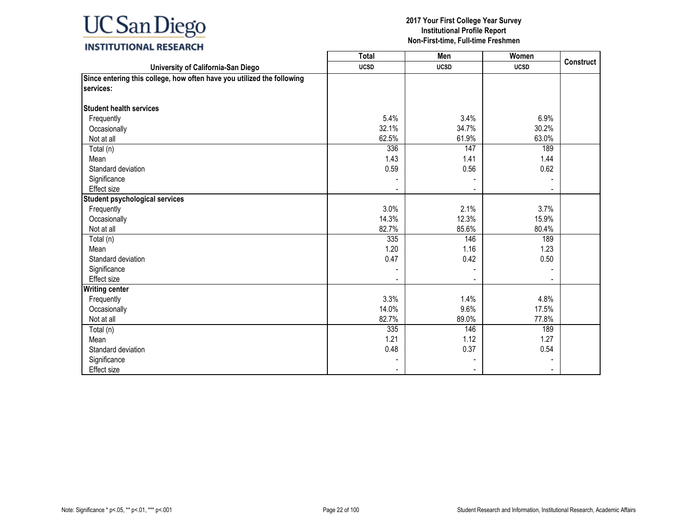### **INSTITUTIONAL RESEARCH**

|                                                                        | Total       | Men         | Women       |                  |
|------------------------------------------------------------------------|-------------|-------------|-------------|------------------|
| University of California-San Diego                                     | <b>UCSD</b> | <b>UCSD</b> | <b>UCSD</b> | <b>Construct</b> |
| Since entering this college, how often have you utilized the following |             |             |             |                  |
| services:                                                              |             |             |             |                  |
|                                                                        |             |             |             |                  |
| <b>Student health services</b>                                         |             |             |             |                  |
| Frequently                                                             | 5.4%        | 3.4%        | 6.9%        |                  |
| Occasionally                                                           | 32.1%       | 34.7%       | 30.2%       |                  |
| Not at all                                                             | 62.5%       | 61.9%       | 63.0%       |                  |
| Total (n)                                                              | 336         | 147         | 189         |                  |
| Mean                                                                   | 1.43        | 1.41        | 1.44        |                  |
| Standard deviation                                                     | 0.59        | 0.56        | 0.62        |                  |
| Significance                                                           |             |             |             |                  |
| Effect size                                                            |             |             |             |                  |
| Student psychological services                                         |             |             |             |                  |
| Frequently                                                             | 3.0%        | 2.1%        | 3.7%        |                  |
| Occasionally                                                           | 14.3%       | 12.3%       | 15.9%       |                  |
| Not at all                                                             | 82.7%       | 85.6%       | 80.4%       |                  |
| Total (n)                                                              | 335         | 146         | 189         |                  |
| Mean                                                                   | 1.20        | 1.16        | 1.23        |                  |
| Standard deviation                                                     | 0.47        | 0.42        | 0.50        |                  |
| Significance                                                           |             |             |             |                  |
| Effect size                                                            |             |             |             |                  |
| <b>Writing center</b>                                                  |             |             |             |                  |
| Frequently                                                             | 3.3%        | 1.4%        | 4.8%        |                  |
| Occasionally                                                           | 14.0%       | 9.6%        | 17.5%       |                  |
| Not at all                                                             | 82.7%       | 89.0%       | 77.8%       |                  |
| Total (n)                                                              | 335         | 146         | 189         |                  |
| Mean                                                                   | 1.21        | 1.12        | 1.27        |                  |
| Standard deviation                                                     | 0.48        | 0.37        | 0.54        |                  |
| Significance                                                           |             |             |             |                  |
| Effect size                                                            |             |             |             |                  |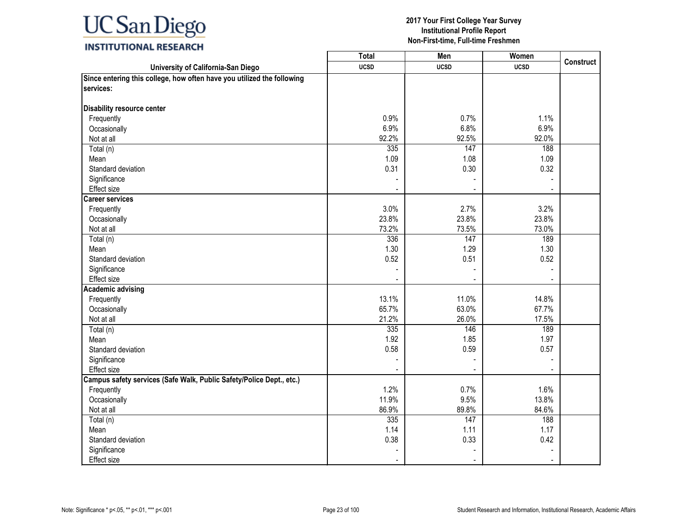### **INSTITUTIONAL RESEARCH**

| University of California-San Diego<br><b>UCSD</b><br><b>UCSD</b><br><b>UCSD</b><br>services:<br>Disability resource center<br>Frequently<br>0.9%<br>0.7%<br>1.1%<br>6.9%<br>6.8%<br>6.9%<br>Occasionally<br>92.2%<br>92.5%<br>Not at all<br>92.0%<br>335<br>Total (n)<br>147<br>188<br>1.09<br>1.08<br>1.09<br>Mean<br>Standard deviation<br>0.31<br>0.30<br>0.32<br>Significance<br>Effect size<br><b>Career services</b><br>3.0%<br>2.7%<br>3.2%<br>Frequently<br>23.8%<br>23.8%<br>23.8%<br>Occasionally<br>73.2%<br>73.5%<br>73.0%<br>Not at all<br>336<br>147<br>189<br>Total (n)<br>1.30<br>1.29<br>1.30<br>Mean<br>Standard deviation<br>0.52<br>0.51<br>0.52<br>Significance<br>Effect size<br><b>Academic advising</b><br>13.1%<br>11.0%<br>14.8%<br>Frequently<br>65.7%<br>63.0%<br>67.7%<br>Occasionally<br>21.2%<br>Not at all<br>26.0%<br>17.5%<br>335<br>146<br>189<br>Total (n)<br>1.92<br>1.85<br>1.97<br>Mean<br>Standard deviation<br>0.58<br>0.59<br>0.57<br>Significance<br>Effect size<br>$\blacksquare$<br>Campus safety services (Safe Walk, Public Safety/Police Dept., etc.)<br>1.2%<br>Frequently<br>0.7%<br>1.6%<br>11.9%<br>9.5%<br>13.8%<br>Occasionally<br>Not at all<br>86.9%<br>89.8%<br>84.6%<br>335<br>188<br>Total (n)<br>147<br>1.14<br>1.11<br>1.17<br>Mean<br>0.38<br>0.33<br>0.42<br>Standard deviation<br>Significance |                                                                        | <b>Total</b> | Men | Women |                  |
|----------------------------------------------------------------------------------------------------------------------------------------------------------------------------------------------------------------------------------------------------------------------------------------------------------------------------------------------------------------------------------------------------------------------------------------------------------------------------------------------------------------------------------------------------------------------------------------------------------------------------------------------------------------------------------------------------------------------------------------------------------------------------------------------------------------------------------------------------------------------------------------------------------------------------------------------------------------------------------------------------------------------------------------------------------------------------------------------------------------------------------------------------------------------------------------------------------------------------------------------------------------------------------------------------------------------------------------------------------------|------------------------------------------------------------------------|--------------|-----|-------|------------------|
|                                                                                                                                                                                                                                                                                                                                                                                                                                                                                                                                                                                                                                                                                                                                                                                                                                                                                                                                                                                                                                                                                                                                                                                                                                                                                                                                                                |                                                                        |              |     |       | <b>Construct</b> |
|                                                                                                                                                                                                                                                                                                                                                                                                                                                                                                                                                                                                                                                                                                                                                                                                                                                                                                                                                                                                                                                                                                                                                                                                                                                                                                                                                                | Since entering this college, how often have you utilized the following |              |     |       |                  |
|                                                                                                                                                                                                                                                                                                                                                                                                                                                                                                                                                                                                                                                                                                                                                                                                                                                                                                                                                                                                                                                                                                                                                                                                                                                                                                                                                                |                                                                        |              |     |       |                  |
|                                                                                                                                                                                                                                                                                                                                                                                                                                                                                                                                                                                                                                                                                                                                                                                                                                                                                                                                                                                                                                                                                                                                                                                                                                                                                                                                                                |                                                                        |              |     |       |                  |
|                                                                                                                                                                                                                                                                                                                                                                                                                                                                                                                                                                                                                                                                                                                                                                                                                                                                                                                                                                                                                                                                                                                                                                                                                                                                                                                                                                |                                                                        |              |     |       |                  |
|                                                                                                                                                                                                                                                                                                                                                                                                                                                                                                                                                                                                                                                                                                                                                                                                                                                                                                                                                                                                                                                                                                                                                                                                                                                                                                                                                                |                                                                        |              |     |       |                  |
|                                                                                                                                                                                                                                                                                                                                                                                                                                                                                                                                                                                                                                                                                                                                                                                                                                                                                                                                                                                                                                                                                                                                                                                                                                                                                                                                                                |                                                                        |              |     |       |                  |
|                                                                                                                                                                                                                                                                                                                                                                                                                                                                                                                                                                                                                                                                                                                                                                                                                                                                                                                                                                                                                                                                                                                                                                                                                                                                                                                                                                |                                                                        |              |     |       |                  |
|                                                                                                                                                                                                                                                                                                                                                                                                                                                                                                                                                                                                                                                                                                                                                                                                                                                                                                                                                                                                                                                                                                                                                                                                                                                                                                                                                                |                                                                        |              |     |       |                  |
|                                                                                                                                                                                                                                                                                                                                                                                                                                                                                                                                                                                                                                                                                                                                                                                                                                                                                                                                                                                                                                                                                                                                                                                                                                                                                                                                                                |                                                                        |              |     |       |                  |
|                                                                                                                                                                                                                                                                                                                                                                                                                                                                                                                                                                                                                                                                                                                                                                                                                                                                                                                                                                                                                                                                                                                                                                                                                                                                                                                                                                |                                                                        |              |     |       |                  |
|                                                                                                                                                                                                                                                                                                                                                                                                                                                                                                                                                                                                                                                                                                                                                                                                                                                                                                                                                                                                                                                                                                                                                                                                                                                                                                                                                                |                                                                        |              |     |       |                  |
|                                                                                                                                                                                                                                                                                                                                                                                                                                                                                                                                                                                                                                                                                                                                                                                                                                                                                                                                                                                                                                                                                                                                                                                                                                                                                                                                                                |                                                                        |              |     |       |                  |
|                                                                                                                                                                                                                                                                                                                                                                                                                                                                                                                                                                                                                                                                                                                                                                                                                                                                                                                                                                                                                                                                                                                                                                                                                                                                                                                                                                |                                                                        |              |     |       |                  |
|                                                                                                                                                                                                                                                                                                                                                                                                                                                                                                                                                                                                                                                                                                                                                                                                                                                                                                                                                                                                                                                                                                                                                                                                                                                                                                                                                                |                                                                        |              |     |       |                  |
|                                                                                                                                                                                                                                                                                                                                                                                                                                                                                                                                                                                                                                                                                                                                                                                                                                                                                                                                                                                                                                                                                                                                                                                                                                                                                                                                                                |                                                                        |              |     |       |                  |
|                                                                                                                                                                                                                                                                                                                                                                                                                                                                                                                                                                                                                                                                                                                                                                                                                                                                                                                                                                                                                                                                                                                                                                                                                                                                                                                                                                |                                                                        |              |     |       |                  |
|                                                                                                                                                                                                                                                                                                                                                                                                                                                                                                                                                                                                                                                                                                                                                                                                                                                                                                                                                                                                                                                                                                                                                                                                                                                                                                                                                                |                                                                        |              |     |       |                  |
|                                                                                                                                                                                                                                                                                                                                                                                                                                                                                                                                                                                                                                                                                                                                                                                                                                                                                                                                                                                                                                                                                                                                                                                                                                                                                                                                                                |                                                                        |              |     |       |                  |
|                                                                                                                                                                                                                                                                                                                                                                                                                                                                                                                                                                                                                                                                                                                                                                                                                                                                                                                                                                                                                                                                                                                                                                                                                                                                                                                                                                |                                                                        |              |     |       |                  |
|                                                                                                                                                                                                                                                                                                                                                                                                                                                                                                                                                                                                                                                                                                                                                                                                                                                                                                                                                                                                                                                                                                                                                                                                                                                                                                                                                                |                                                                        |              |     |       |                  |
|                                                                                                                                                                                                                                                                                                                                                                                                                                                                                                                                                                                                                                                                                                                                                                                                                                                                                                                                                                                                                                                                                                                                                                                                                                                                                                                                                                |                                                                        |              |     |       |                  |
|                                                                                                                                                                                                                                                                                                                                                                                                                                                                                                                                                                                                                                                                                                                                                                                                                                                                                                                                                                                                                                                                                                                                                                                                                                                                                                                                                                |                                                                        |              |     |       |                  |
|                                                                                                                                                                                                                                                                                                                                                                                                                                                                                                                                                                                                                                                                                                                                                                                                                                                                                                                                                                                                                                                                                                                                                                                                                                                                                                                                                                |                                                                        |              |     |       |                  |
|                                                                                                                                                                                                                                                                                                                                                                                                                                                                                                                                                                                                                                                                                                                                                                                                                                                                                                                                                                                                                                                                                                                                                                                                                                                                                                                                                                |                                                                        |              |     |       |                  |
|                                                                                                                                                                                                                                                                                                                                                                                                                                                                                                                                                                                                                                                                                                                                                                                                                                                                                                                                                                                                                                                                                                                                                                                                                                                                                                                                                                |                                                                        |              |     |       |                  |
|                                                                                                                                                                                                                                                                                                                                                                                                                                                                                                                                                                                                                                                                                                                                                                                                                                                                                                                                                                                                                                                                                                                                                                                                                                                                                                                                                                |                                                                        |              |     |       |                  |
|                                                                                                                                                                                                                                                                                                                                                                                                                                                                                                                                                                                                                                                                                                                                                                                                                                                                                                                                                                                                                                                                                                                                                                                                                                                                                                                                                                |                                                                        |              |     |       |                  |
|                                                                                                                                                                                                                                                                                                                                                                                                                                                                                                                                                                                                                                                                                                                                                                                                                                                                                                                                                                                                                                                                                                                                                                                                                                                                                                                                                                |                                                                        |              |     |       |                  |
|                                                                                                                                                                                                                                                                                                                                                                                                                                                                                                                                                                                                                                                                                                                                                                                                                                                                                                                                                                                                                                                                                                                                                                                                                                                                                                                                                                |                                                                        |              |     |       |                  |
|                                                                                                                                                                                                                                                                                                                                                                                                                                                                                                                                                                                                                                                                                                                                                                                                                                                                                                                                                                                                                                                                                                                                                                                                                                                                                                                                                                |                                                                        |              |     |       |                  |
|                                                                                                                                                                                                                                                                                                                                                                                                                                                                                                                                                                                                                                                                                                                                                                                                                                                                                                                                                                                                                                                                                                                                                                                                                                                                                                                                                                |                                                                        |              |     |       |                  |
|                                                                                                                                                                                                                                                                                                                                                                                                                                                                                                                                                                                                                                                                                                                                                                                                                                                                                                                                                                                                                                                                                                                                                                                                                                                                                                                                                                |                                                                        |              |     |       |                  |
|                                                                                                                                                                                                                                                                                                                                                                                                                                                                                                                                                                                                                                                                                                                                                                                                                                                                                                                                                                                                                                                                                                                                                                                                                                                                                                                                                                |                                                                        |              |     |       |                  |
|                                                                                                                                                                                                                                                                                                                                                                                                                                                                                                                                                                                                                                                                                                                                                                                                                                                                                                                                                                                                                                                                                                                                                                                                                                                                                                                                                                |                                                                        |              |     |       |                  |
|                                                                                                                                                                                                                                                                                                                                                                                                                                                                                                                                                                                                                                                                                                                                                                                                                                                                                                                                                                                                                                                                                                                                                                                                                                                                                                                                                                |                                                                        |              |     |       |                  |
|                                                                                                                                                                                                                                                                                                                                                                                                                                                                                                                                                                                                                                                                                                                                                                                                                                                                                                                                                                                                                                                                                                                                                                                                                                                                                                                                                                |                                                                        |              |     |       |                  |
|                                                                                                                                                                                                                                                                                                                                                                                                                                                                                                                                                                                                                                                                                                                                                                                                                                                                                                                                                                                                                                                                                                                                                                                                                                                                                                                                                                |                                                                        |              |     |       |                  |
|                                                                                                                                                                                                                                                                                                                                                                                                                                                                                                                                                                                                                                                                                                                                                                                                                                                                                                                                                                                                                                                                                                                                                                                                                                                                                                                                                                |                                                                        |              |     |       |                  |
|                                                                                                                                                                                                                                                                                                                                                                                                                                                                                                                                                                                                                                                                                                                                                                                                                                                                                                                                                                                                                                                                                                                                                                                                                                                                                                                                                                | Effect size                                                            |              |     |       |                  |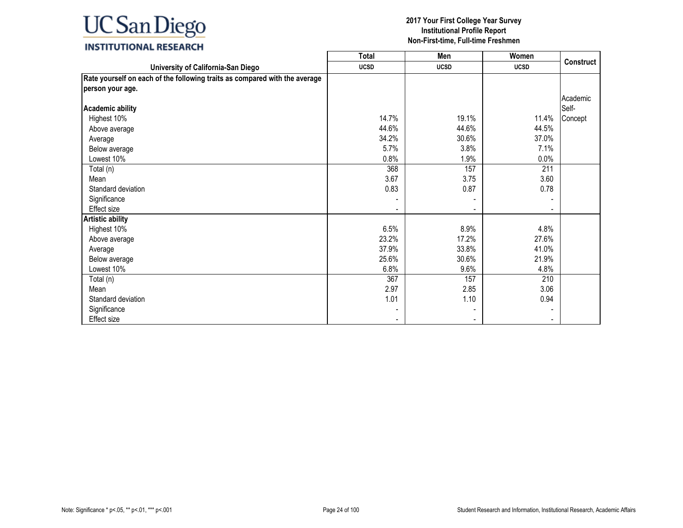### **INSTITUTIONAL RESEARCH**

|                                                                            | <b>Total</b> | Men         | Women       |           |
|----------------------------------------------------------------------------|--------------|-------------|-------------|-----------|
| University of California-San Diego                                         | <b>UCSD</b>  | <b>UCSD</b> | <b>UCSD</b> | Construct |
| Rate yourself on each of the following traits as compared with the average |              |             |             |           |
| person your age.                                                           |              |             |             |           |
|                                                                            |              |             |             | Academic  |
| <b>Academic ability</b>                                                    |              |             |             | Self-     |
| Highest 10%                                                                | 14.7%        | 19.1%       | 11.4%       | Concept   |
| Above average                                                              | 44.6%        | 44.6%       | 44.5%       |           |
| Average                                                                    | 34.2%        | 30.6%       | 37.0%       |           |
| Below average                                                              | 5.7%         | 3.8%        | 7.1%        |           |
| Lowest 10%                                                                 | 0.8%         | 1.9%        | 0.0%        |           |
| Total (n)                                                                  | 368          | 157         | 211         |           |
| Mean                                                                       | 3.67         | 3.75        | 3.60        |           |
| Standard deviation                                                         | 0.83         | 0.87        | 0.78        |           |
| Significance                                                               |              |             |             |           |
| Effect size                                                                |              |             |             |           |
| <b>Artistic ability</b>                                                    |              |             |             |           |
| Highest 10%                                                                | 6.5%         | 8.9%        | 4.8%        |           |
| Above average                                                              | 23.2%        | 17.2%       | 27.6%       |           |
| Average                                                                    | 37.9%        | 33.8%       | 41.0%       |           |
| Below average                                                              | 25.6%        | 30.6%       | 21.9%       |           |
| Lowest 10%                                                                 | 6.8%         | 9.6%        | 4.8%        |           |
| Total (n)                                                                  | 367          | 157         | 210         |           |
| Mean                                                                       | 2.97         | 2.85        | 3.06        |           |
| Standard deviation                                                         | 1.01         | 1.10        | 0.94        |           |
| Significance                                                               |              |             |             |           |
| Effect size                                                                |              |             |             |           |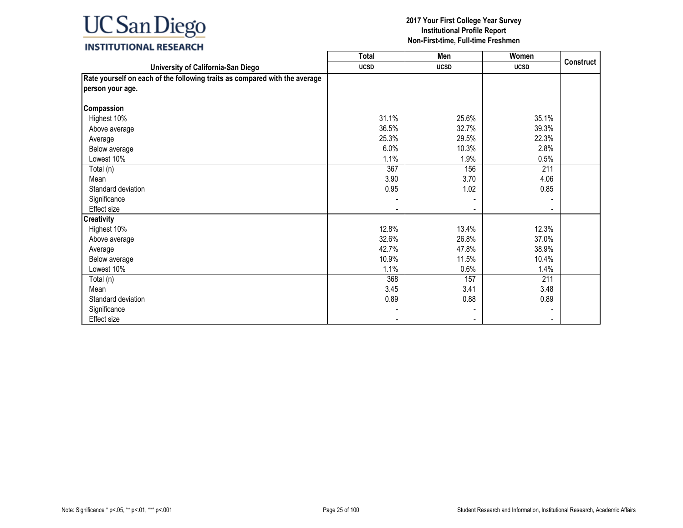### **INSTITUTIONAL RESEARCH**

|                                                                            | <b>Total</b> | Men         | Women       |           |
|----------------------------------------------------------------------------|--------------|-------------|-------------|-----------|
| University of California-San Diego                                         | <b>UCSD</b>  | <b>UCSD</b> | <b>UCSD</b> | Construct |
| Rate yourself on each of the following traits as compared with the average |              |             |             |           |
| person your age.                                                           |              |             |             |           |
|                                                                            |              |             |             |           |
| Compassion                                                                 |              |             |             |           |
| Highest 10%                                                                | 31.1%        | 25.6%       | 35.1%       |           |
| Above average                                                              | 36.5%        | 32.7%       | 39.3%       |           |
| Average                                                                    | 25.3%        | 29.5%       | 22.3%       |           |
| Below average                                                              | 6.0%         | 10.3%       | 2.8%        |           |
| Lowest 10%                                                                 | 1.1%         | 1.9%        | 0.5%        |           |
| Total (n)                                                                  | 367          | 156         | 211         |           |
| Mean                                                                       | 3.90         | 3.70        | 4.06        |           |
| Standard deviation                                                         | 0.95         | 1.02        | 0.85        |           |
| Significance                                                               |              |             |             |           |
| Effect size                                                                |              |             |             |           |
| <b>Creativity</b>                                                          |              |             |             |           |
| Highest 10%                                                                | 12.8%        | 13.4%       | 12.3%       |           |
| Above average                                                              | 32.6%        | 26.8%       | 37.0%       |           |
| Average                                                                    | 42.7%        | 47.8%       | 38.9%       |           |
| Below average                                                              | 10.9%        | 11.5%       | 10.4%       |           |
| Lowest 10%                                                                 | 1.1%         | 0.6%        | 1.4%        |           |
| Total (n)                                                                  | 368          | 157         | 211         |           |
| Mean                                                                       | 3.45         | 3.41        | 3.48        |           |
| Standard deviation                                                         | 0.89         | 0.88        | 0.89        |           |
| Significance                                                               |              |             |             |           |
| Effect size                                                                |              |             |             |           |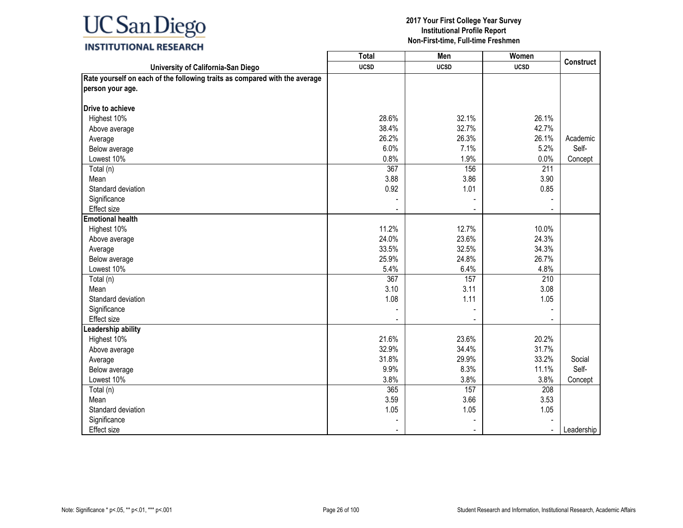### **INSTITUTIONAL RESEARCH**

|                                                                            | <b>Total</b> | Men            | Women          |                  |
|----------------------------------------------------------------------------|--------------|----------------|----------------|------------------|
| University of California-San Diego                                         | <b>UCSD</b>  | <b>UCSD</b>    | <b>UCSD</b>    | <b>Construct</b> |
| Rate yourself on each of the following traits as compared with the average |              |                |                |                  |
| person your age.                                                           |              |                |                |                  |
|                                                                            |              |                |                |                  |
| <b>Drive to achieve</b>                                                    |              |                |                |                  |
| Highest 10%                                                                | 28.6%        | 32.1%          | 26.1%          |                  |
| Above average                                                              | 38.4%        | 32.7%          | 42.7%          |                  |
| Average                                                                    | 26.2%        | 26.3%          | 26.1%          | Academic         |
| Below average                                                              | 6.0%         | 7.1%           | 5.2%           | Self-            |
| Lowest 10%                                                                 | 0.8%         | 1.9%           | 0.0%           | Concept          |
| Total (n)                                                                  | 367          | 156            | 211            |                  |
| Mean                                                                       | 3.88         | 3.86           | 3.90           |                  |
| Standard deviation                                                         | 0.92         | 1.01           | 0.85           |                  |
| Significance                                                               |              |                |                |                  |
| Effect size                                                                |              |                |                |                  |
| <b>Emotional health</b>                                                    |              |                |                |                  |
| Highest 10%                                                                | 11.2%        | 12.7%          | 10.0%          |                  |
| Above average                                                              | 24.0%        | 23.6%          | 24.3%          |                  |
| Average                                                                    | 33.5%        | 32.5%          | 34.3%          |                  |
| Below average                                                              | 25.9%        | 24.8%          | 26.7%          |                  |
| Lowest 10%                                                                 | 5.4%         | 6.4%           | 4.8%           |                  |
| Total (n)                                                                  | 367          | 157            | 210            |                  |
| Mean                                                                       | 3.10         | 3.11           | 3.08           |                  |
| Standard deviation                                                         | 1.08         | 1.11           | 1.05           |                  |
| Significance                                                               |              |                |                |                  |
| <b>Effect size</b>                                                         |              | $\blacksquare$ |                |                  |
| eadership ability                                                          |              |                |                |                  |
| Highest 10%                                                                | 21.6%        | 23.6%          | 20.2%          |                  |
| Above average                                                              | 32.9%        | 34.4%          | 31.7%          |                  |
| Average                                                                    | 31.8%        | 29.9%          | 33.2%          | Social           |
| Below average                                                              | 9.9%         | 8.3%           | 11.1%          | Self-            |
| Lowest 10%                                                                 | 3.8%         | 3.8%           | 3.8%           | Concept          |
| Total (n)                                                                  | 365          | 157            | 208            |                  |
| Mean                                                                       | 3.59         | 3.66           | 3.53           |                  |
| Standard deviation                                                         | 1.05         | 1.05           | 1.05           |                  |
| Significance                                                               |              |                |                |                  |
| <b>Effect size</b>                                                         |              |                | $\blacksquare$ | Leadership       |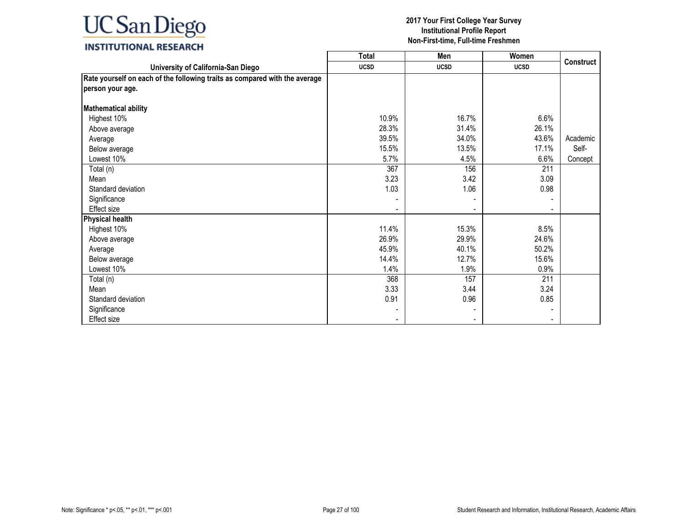### **INSTITUTIONAL RESEARCH**

|                                                                            | <b>Total</b> | Men         | Women       |           |
|----------------------------------------------------------------------------|--------------|-------------|-------------|-----------|
| University of California-San Diego                                         | <b>UCSD</b>  | <b>UCSD</b> | <b>UCSD</b> | Construct |
| Rate yourself on each of the following traits as compared with the average |              |             |             |           |
| person your age.                                                           |              |             |             |           |
|                                                                            |              |             |             |           |
| <b>Mathematical ability</b>                                                |              |             |             |           |
| Highest 10%                                                                | 10.9%        | 16.7%       | 6.6%        |           |
| Above average                                                              | 28.3%        | 31.4%       | 26.1%       |           |
| Average                                                                    | 39.5%        | 34.0%       | 43.6%       | Academic  |
| Below average                                                              | 15.5%        | 13.5%       | 17.1%       | Self-     |
| Lowest 10%                                                                 | 5.7%         | 4.5%        | 6.6%        | Concept   |
| Total (n)                                                                  | 367          | 156         | 211         |           |
| Mean                                                                       | 3.23         | 3.42        | 3.09        |           |
| Standard deviation                                                         | 1.03         | 1.06        | 0.98        |           |
| Significance                                                               |              |             |             |           |
| <b>Effect size</b>                                                         |              |             |             |           |
| <b>Physical health</b>                                                     |              |             |             |           |
| Highest 10%                                                                | 11.4%        | 15.3%       | 8.5%        |           |
| Above average                                                              | 26.9%        | 29.9%       | 24.6%       |           |
| Average                                                                    | 45.9%        | 40.1%       | 50.2%       |           |
| Below average                                                              | 14.4%        | 12.7%       | 15.6%       |           |
| Lowest 10%                                                                 | 1.4%         | 1.9%        | 0.9%        |           |
| Total (n)                                                                  | 368          | 157         | 211         |           |
| Mean                                                                       | 3.33         | 3.44        | 3.24        |           |
| Standard deviation                                                         | 0.91         | 0.96        | 0.85        |           |
| Significance                                                               |              |             |             |           |
| Effect size                                                                |              |             |             |           |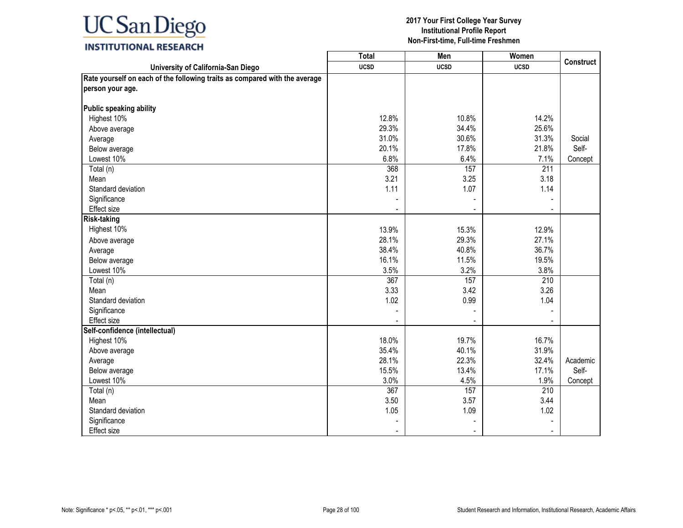### **INSTITUTIONAL RESEARCH**

|                                                                            | <b>Total</b> | Men         | Women       |                  |
|----------------------------------------------------------------------------|--------------|-------------|-------------|------------------|
| University of California-San Diego                                         | <b>UCSD</b>  | <b>UCSD</b> | <b>UCSD</b> | <b>Construct</b> |
| Rate yourself on each of the following traits as compared with the average |              |             |             |                  |
| person your age.                                                           |              |             |             |                  |
|                                                                            |              |             |             |                  |
| Public speaking ability                                                    |              |             |             |                  |
| Highest 10%                                                                | 12.8%        | 10.8%       | 14.2%       |                  |
| Above average                                                              | 29.3%        | 34.4%       | 25.6%       |                  |
| Average                                                                    | 31.0%        | 30.6%       | 31.3%       | Social           |
| Below average                                                              | 20.1%        | 17.8%       | 21.8%       | Self-            |
| Lowest 10%                                                                 | 6.8%         | 6.4%        | 7.1%        | Concept          |
| Total (n)                                                                  | 368          | 157         | 211         |                  |
| Mean                                                                       | 3.21         | 3.25        | 3.18        |                  |
| Standard deviation                                                         | 1.11         | 1.07        | 1.14        |                  |
| Significance                                                               |              |             |             |                  |
| Effect size                                                                |              |             |             |                  |
| <b>Risk-taking</b>                                                         |              |             |             |                  |
| Highest 10%                                                                | 13.9%        | 15.3%       | 12.9%       |                  |
| Above average                                                              | 28.1%        | 29.3%       | 27.1%       |                  |
| Average                                                                    | 38.4%        | 40.8%       | 36.7%       |                  |
| Below average                                                              | 16.1%        | 11.5%       | 19.5%       |                  |
| Lowest 10%                                                                 | 3.5%         | 3.2%        | 3.8%        |                  |
| Total (n)                                                                  | 367          | 157         | 210         |                  |
| Mean                                                                       | 3.33         | 3.42        | 3.26        |                  |
| Standard deviation                                                         | 1.02         | 0.99        | 1.04        |                  |
| Significance                                                               |              |             |             |                  |
| Effect size                                                                |              |             |             |                  |
| Self-confidence (intellectual)                                             |              |             |             |                  |
| Highest 10%                                                                | 18.0%        | 19.7%       | 16.7%       |                  |
| Above average                                                              | 35.4%        | 40.1%       | 31.9%       |                  |
| Average                                                                    | 28.1%        | 22.3%       | 32.4%       | Academic         |
| Below average                                                              | 15.5%        | 13.4%       | 17.1%       | Self-            |
| Lowest 10%                                                                 | 3.0%         | 4.5%        | 1.9%        | Concept          |
| Total (n)                                                                  | 367          | 157         | 210         |                  |
| Mean                                                                       | 3.50         | 3.57        | 3.44        |                  |
| Standard deviation                                                         | 1.05         | 1.09        | 1.02        |                  |
| Significance                                                               |              |             |             |                  |
| <b>Effect size</b>                                                         |              |             |             |                  |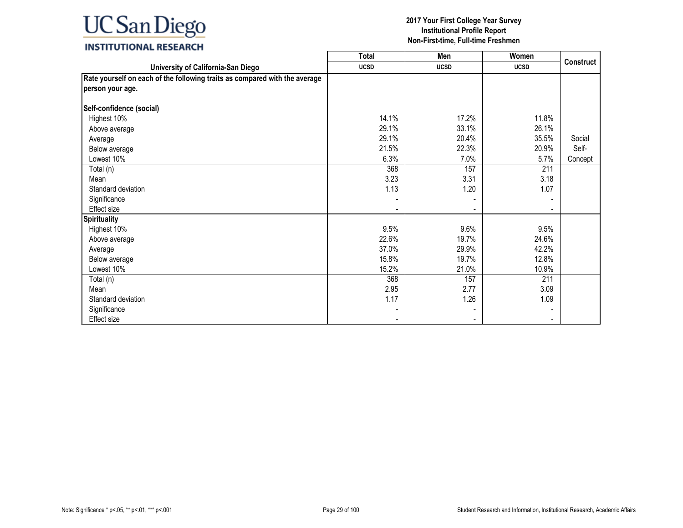### **INSTITUTIONAL RESEARCH**

|                                                                            | <b>Total</b> | Men         | Women       |           |
|----------------------------------------------------------------------------|--------------|-------------|-------------|-----------|
| University of California-San Diego                                         | <b>UCSD</b>  | <b>UCSD</b> | <b>UCSD</b> | Construct |
| Rate yourself on each of the following traits as compared with the average |              |             |             |           |
| person your age.                                                           |              |             |             |           |
|                                                                            |              |             |             |           |
| Self-confidence (social)                                                   |              |             |             |           |
| Highest 10%                                                                | 14.1%        | 17.2%       | 11.8%       |           |
| Above average                                                              | 29.1%        | 33.1%       | 26.1%       |           |
| Average                                                                    | 29.1%        | 20.4%       | 35.5%       | Social    |
| Below average                                                              | 21.5%        | 22.3%       | 20.9%       | Self-     |
| Lowest 10%                                                                 | 6.3%         | 7.0%        | 5.7%        | Concept   |
| Total (n)                                                                  | 368          | 157         | 211         |           |
| Mean                                                                       | 3.23         | 3.31        | 3.18        |           |
| Standard deviation                                                         | 1.13         | 1.20        | 1.07        |           |
| Significance                                                               |              |             |             |           |
| <b>Effect size</b>                                                         |              |             |             |           |
| <b>Spirituality</b>                                                        |              |             |             |           |
| Highest 10%                                                                | 9.5%         | 9.6%        | 9.5%        |           |
| Above average                                                              | 22.6%        | 19.7%       | 24.6%       |           |
| Average                                                                    | 37.0%        | 29.9%       | 42.2%       |           |
| Below average                                                              | 15.8%        | 19.7%       | 12.8%       |           |
| Lowest 10%                                                                 | 15.2%        | 21.0%       | 10.9%       |           |
| Total (n)                                                                  | 368          | 157         | 211         |           |
| Mean                                                                       | 2.95         | 2.77        | 3.09        |           |
| Standard deviation                                                         | 1.17         | 1.26        | 1.09        |           |
| Significance                                                               |              |             |             |           |
| Effect size                                                                |              |             |             |           |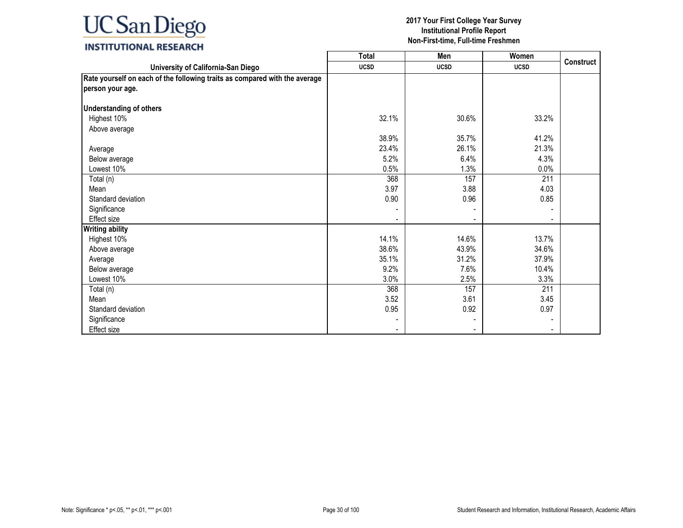### **INSTITUTIONAL RESEARCH**

|                                                                            | <b>Total</b> | Men         | Women       |                  |
|----------------------------------------------------------------------------|--------------|-------------|-------------|------------------|
| University of California-San Diego                                         | <b>UCSD</b>  | <b>UCSD</b> | <b>UCSD</b> | <b>Construct</b> |
| Rate yourself on each of the following traits as compared with the average |              |             |             |                  |
| person your age.                                                           |              |             |             |                  |
|                                                                            |              |             |             |                  |
| <b>Understanding of others</b>                                             |              |             |             |                  |
| Highest 10%                                                                | 32.1%        | 30.6%       | 33.2%       |                  |
| Above average                                                              |              |             |             |                  |
|                                                                            | 38.9%        | 35.7%       | 41.2%       |                  |
| Average                                                                    | 23.4%        | 26.1%       | 21.3%       |                  |
| Below average                                                              | 5.2%         | 6.4%        | 4.3%        |                  |
| Lowest 10%                                                                 | 0.5%         | 1.3%        | 0.0%        |                  |
| Total (n)                                                                  | 368          | 157         | 211         |                  |
| Mean                                                                       | 3.97         | 3.88        | 4.03        |                  |
| Standard deviation                                                         | 0.90         | 0.96        | 0.85        |                  |
| Significance                                                               |              |             |             |                  |
| <b>Effect size</b>                                                         |              |             |             |                  |
| <b>Writing ability</b>                                                     |              |             |             |                  |
| Highest 10%                                                                | 14.1%        | 14.6%       | 13.7%       |                  |
| Above average                                                              | 38.6%        | 43.9%       | 34.6%       |                  |
| Average                                                                    | 35.1%        | 31.2%       | 37.9%       |                  |
| Below average                                                              | 9.2%         | 7.6%        | 10.4%       |                  |
| Lowest 10%                                                                 | 3.0%         | 2.5%        | 3.3%        |                  |
| Total (n)                                                                  | 368          | 157         | 211         |                  |
| Mean                                                                       | 3.52         | 3.61        | 3.45        |                  |
| Standard deviation                                                         | 0.95         | 0.92        | 0.97        |                  |
| Significance                                                               |              |             |             |                  |
| <b>Effect size</b>                                                         |              |             |             |                  |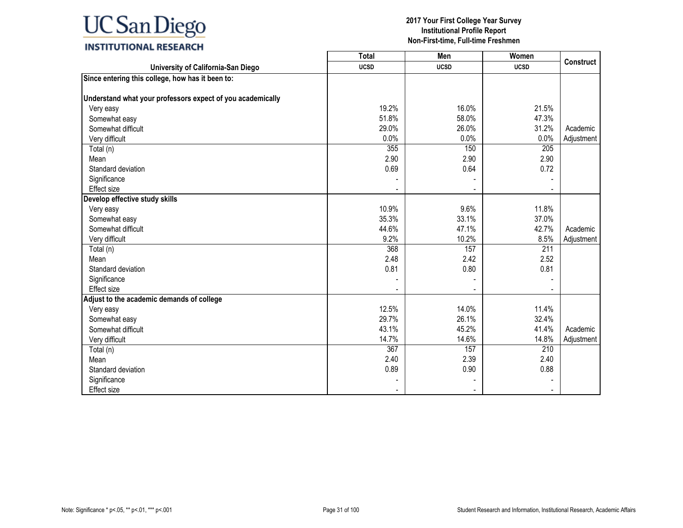|                                                            | <b>Total</b> | Men         | Women       | <b>Construct</b> |
|------------------------------------------------------------|--------------|-------------|-------------|------------------|
| University of California-San Diego                         | <b>UCSD</b>  | <b>UCSD</b> | <b>UCSD</b> |                  |
| Since entering this college, how has it been to:           |              |             |             |                  |
|                                                            |              |             |             |                  |
| Understand what your professors expect of you academically |              |             |             |                  |
| Very easy                                                  | 19.2%        | 16.0%       | 21.5%       |                  |
| Somewhat easy                                              | 51.8%        | 58.0%       | 47.3%       |                  |
| Somewhat difficult                                         | 29.0%        | 26.0%       | 31.2%       | Academic         |
| Very difficult                                             | 0.0%         | 0.0%        | 0.0%        | Adjustment       |
| Total (n)                                                  | 355          | 150         | 205         |                  |
| Mean                                                       | 2.90         | 2.90        | 2.90        |                  |
| Standard deviation                                         | 0.69         | 0.64        | 0.72        |                  |
| Significance                                               |              |             |             |                  |
| Effect size                                                |              |             |             |                  |
| Develop effective study skills                             |              |             |             |                  |
| Very easy                                                  | 10.9%        | 9.6%        | 11.8%       |                  |
| Somewhat easy                                              | 35.3%        | 33.1%       | 37.0%       |                  |
| Somewhat difficult                                         | 44.6%        | 47.1%       | 42.7%       | Academic         |
| Very difficult                                             | 9.2%         | 10.2%       | 8.5%        | Adjustment       |
| Total (n)                                                  | 368          | 157         | 211         |                  |
| Mean                                                       | 2.48         | 2.42        | 2.52        |                  |
| Standard deviation                                         | 0.81         | 0.80        | 0.81        |                  |
| Significance                                               |              |             |             |                  |
| <b>Effect size</b>                                         |              |             |             |                  |
| Adjust to the academic demands of college                  |              |             |             |                  |
| Very easy                                                  | 12.5%        | 14.0%       | 11.4%       |                  |
| Somewhat easy                                              | 29.7%        | 26.1%       | 32.4%       |                  |
| Somewhat difficult                                         | 43.1%        | 45.2%       | 41.4%       | Academic         |
| Very difficult                                             | 14.7%        | 14.6%       | 14.8%       | Adjustment       |
| Total (n)                                                  | 367          | 157         | 210         |                  |
| Mean                                                       | 2.40         | 2.39        | 2.40        |                  |
| Standard deviation                                         | 0.89         | 0.90        | 0.88        |                  |
| Significance                                               |              |             |             |                  |
| Effect size                                                |              |             |             |                  |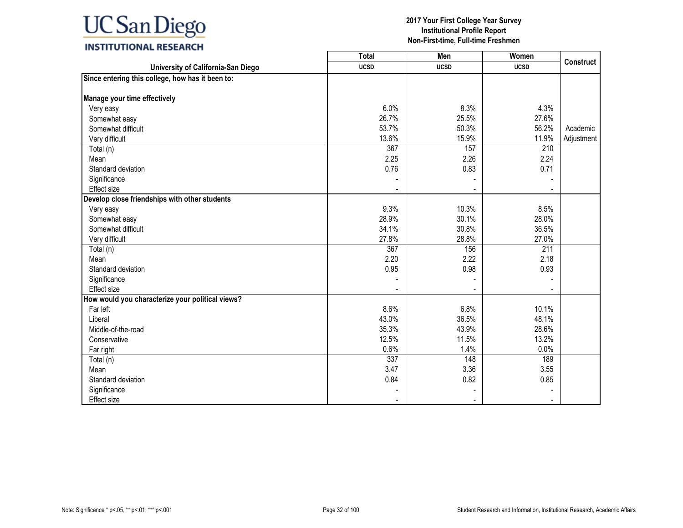|                                                  | Total       | Men         | Women       | <b>Construct</b> |
|--------------------------------------------------|-------------|-------------|-------------|------------------|
| University of California-San Diego               | <b>UCSD</b> | <b>UCSD</b> | <b>UCSD</b> |                  |
| Since entering this college, how has it been to: |             |             |             |                  |
|                                                  |             |             |             |                  |
| Manage your time effectively                     |             |             |             |                  |
| Very easy                                        | 6.0%        | 8.3%        | 4.3%        |                  |
| Somewhat easy                                    | 26.7%       | 25.5%       | 27.6%       |                  |
| Somewhat difficult                               | 53.7%       | 50.3%       | 56.2%       | Academic         |
| Very difficult                                   | 13.6%       | 15.9%       | 11.9%       | Adjustment       |
| Total (n)                                        | 367         | 157         | 210         |                  |
| Mean                                             | 2.25        | 2.26        | 2.24        |                  |
| Standard deviation                               | 0.76        | 0.83        | 0.71        |                  |
| Significance                                     |             |             |             |                  |
| Effect size                                      |             |             |             |                  |
| Develop close friendships with other students    |             |             |             |                  |
| Very easy                                        | 9.3%        | 10.3%       | 8.5%        |                  |
| Somewhat easy                                    | 28.9%       | 30.1%       | 28.0%       |                  |
| Somewhat difficult                               | 34.1%       | 30.8%       | 36.5%       |                  |
| Very difficult                                   | 27.8%       | 28.8%       | 27.0%       |                  |
| Total (n)                                        | 367         | 156         | 211         |                  |
| Mean                                             | 2.20        | 2.22        | 2.18        |                  |
| Standard deviation                               | 0.95        | 0.98        | 0.93        |                  |
| Significance                                     |             |             |             |                  |
| Effect size                                      |             |             |             |                  |
| How would you characterize your political views? |             |             |             |                  |
| Far left                                         | 8.6%        | 6.8%        | 10.1%       |                  |
| Liberal                                          | 43.0%       | 36.5%       | 48.1%       |                  |
| Middle-of-the-road                               | 35.3%       | 43.9%       | 28.6%       |                  |
| Conservative                                     | 12.5%       | 11.5%       | 13.2%       |                  |
| Far right                                        | 0.6%        | 1.4%        | 0.0%        |                  |
| Total (n)                                        | 337         | 148         | 189         |                  |
| Mean                                             | 3.47        | 3.36        | 3.55        |                  |
| Standard deviation                               | 0.84        | 0.82        | 0.85        |                  |
| Significance                                     |             |             |             |                  |
| Effect size                                      |             |             |             |                  |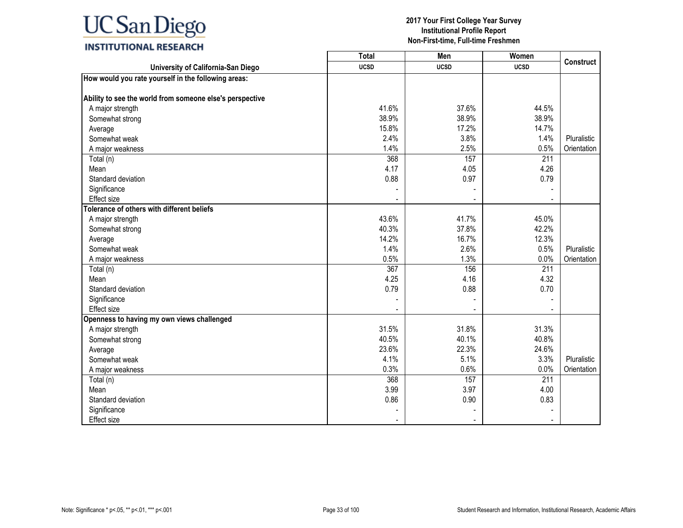|                                                          | <b>Total</b> | Men         | Women       | <b>Construct</b> |
|----------------------------------------------------------|--------------|-------------|-------------|------------------|
| University of California-San Diego                       | <b>UCSD</b>  | <b>UCSD</b> | <b>UCSD</b> |                  |
| How would you rate yourself in the following areas:      |              |             |             |                  |
|                                                          |              |             |             |                  |
| Ability to see the world from someone else's perspective |              |             |             |                  |
| A major strength                                         | 41.6%        | 37.6%       | 44.5%       |                  |
| Somewhat strong                                          | 38.9%        | 38.9%       | 38.9%       |                  |
| Average                                                  | 15.8%        | 17.2%       | 14.7%       |                  |
| Somewhat weak                                            | 2.4%         | 3.8%        | 1.4%        | Pluralistic      |
| A major weakness                                         | 1.4%         | 2.5%        | 0.5%        | Orientation      |
| Total (n)                                                | 368          | 157         | 211         |                  |
| Mean                                                     | 4.17         | 4.05        | 4.26        |                  |
| Standard deviation                                       | 0.88         | 0.97        | 0.79        |                  |
| Significance                                             |              |             |             |                  |
| <b>Effect size</b>                                       |              |             |             |                  |
| Tolerance of others with different beliefs               |              |             |             |                  |
| A major strength                                         | 43.6%        | 41.7%       | 45.0%       |                  |
| Somewhat strong                                          | 40.3%        | 37.8%       | 42.2%       |                  |
| Average                                                  | 14.2%        | 16.7%       | 12.3%       |                  |
| Somewhat weak                                            | 1.4%         | 2.6%        | 0.5%        | Pluralistic      |
| A major weakness                                         | 0.5%         | 1.3%        | 0.0%        | Orientation      |
| Total (n)                                                | 367          | 156         | 211         |                  |
| Mean                                                     | 4.25         | 4.16        | 4.32        |                  |
| Standard deviation                                       | 0.79         | 0.88        | 0.70        |                  |
| Significance                                             |              |             |             |                  |
| Effect size                                              |              |             |             |                  |
| Openness to having my own views challenged               |              |             |             |                  |
| A major strength                                         | 31.5%        | 31.8%       | 31.3%       |                  |
| Somewhat strong                                          | 40.5%        | 40.1%       | 40.8%       |                  |
| Average                                                  | 23.6%        | 22.3%       | 24.6%       |                  |
| Somewhat weak                                            | 4.1%         | 5.1%        | 3.3%        | Pluralistic      |
| A major weakness                                         | 0.3%         | 0.6%        | 0.0%        | Orientation      |
| Total (n)                                                | 368          | 157         | 211         |                  |
| Mean                                                     | 3.99         | 3.97        | 4.00        |                  |
| Standard deviation                                       | 0.86         | 0.90        | 0.83        |                  |
| Significance                                             |              |             |             |                  |
| <b>Effect size</b>                                       |              |             |             |                  |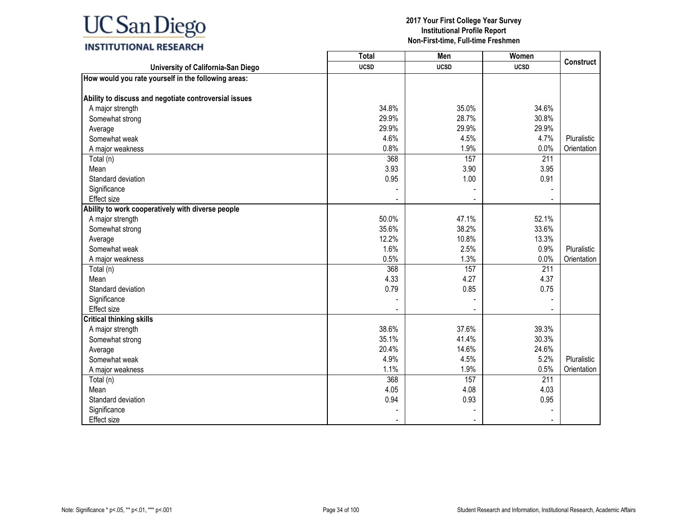|                                                       | <b>Total</b> | Men         | Women       | <b>Construct</b> |
|-------------------------------------------------------|--------------|-------------|-------------|------------------|
| University of California-San Diego                    | <b>UCSD</b>  | <b>UCSD</b> | <b>UCSD</b> |                  |
| How would you rate yourself in the following areas:   |              |             |             |                  |
|                                                       |              |             |             |                  |
| Ability to discuss and negotiate controversial issues |              |             |             |                  |
| A major strength                                      | 34.8%        | 35.0%       | 34.6%       |                  |
| Somewhat strong                                       | 29.9%        | 28.7%       | 30.8%       |                  |
| Average                                               | 29.9%        | 29.9%       | 29.9%       |                  |
| Somewhat weak                                         | 4.6%         | 4.5%        | 4.7%        | Pluralistic      |
| A major weakness                                      | 0.8%         | 1.9%        | 0.0%        | Orientation      |
| Total (n)                                             | 368          | 157         | 211         |                  |
| Mean                                                  | 3.93         | 3.90        | 3.95        |                  |
| Standard deviation                                    | 0.95         | 1.00        | 0.91        |                  |
| Significance                                          |              |             |             |                  |
| Effect size                                           |              |             |             |                  |
| Ability to work cooperatively with diverse people     |              |             |             |                  |
| A major strength                                      | 50.0%        | 47.1%       | 52.1%       |                  |
| Somewhat strong                                       | 35.6%        | 38.2%       | 33.6%       |                  |
| Average                                               | 12.2%        | 10.8%       | 13.3%       |                  |
| Somewhat weak                                         | 1.6%         | 2.5%        | 0.9%        | Pluralistic      |
| A major weakness                                      | 0.5%         | 1.3%        | 0.0%        | Orientation      |
| Total (n)                                             | 368          | 157         | 211         |                  |
| Mean                                                  | 4.33         | 4.27        | 4.37        |                  |
| Standard deviation                                    | 0.79         | 0.85        | 0.75        |                  |
| Significance                                          |              |             |             |                  |
| <b>Effect size</b>                                    |              |             |             |                  |
| <b>Critical thinking skills</b>                       |              |             |             |                  |
| A major strength                                      | 38.6%        | 37.6%       | 39.3%       |                  |
| Somewhat strong                                       | 35.1%        | 41.4%       | 30.3%       |                  |
| Average                                               | 20.4%        | 14.6%       | 24.6%       |                  |
| Somewhat weak                                         | 4.9%         | 4.5%        | 5.2%        | Pluralistic      |
| A major weakness                                      | 1.1%         | 1.9%        | 0.5%        | Orientation      |
| Total (n)                                             | 368          | 157         | 211         |                  |
| Mean                                                  | 4.05         | 4.08        | 4.03        |                  |
| Standard deviation                                    | 0.94         | 0.93        | 0.95        |                  |
| Significance                                          |              |             |             |                  |
| <b>Effect size</b>                                    |              |             |             |                  |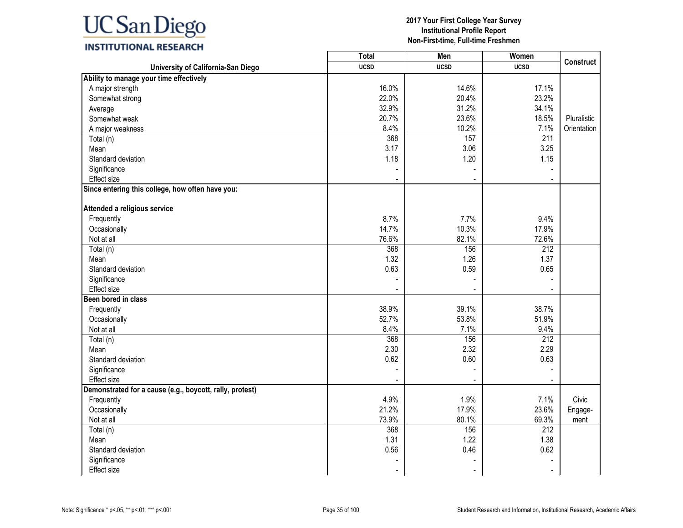### **INSTITUTIONAL RESEARCH**

|                                                          | <b>Total</b> | Men         | Women       | Construct   |
|----------------------------------------------------------|--------------|-------------|-------------|-------------|
| University of California-San Diego                       | <b>UCSD</b>  | <b>UCSD</b> | <b>UCSD</b> |             |
| Ability to manage your time effectively                  |              |             |             |             |
| A major strength                                         | 16.0%        | 14.6%       | 17.1%       |             |
| Somewhat strong                                          | 22.0%        | 20.4%       | 23.2%       |             |
| Average                                                  | 32.9%        | 31.2%       | 34.1%       |             |
| Somewhat weak                                            | 20.7%        | 23.6%       | 18.5%       | Pluralistic |
| A major weakness                                         | 8.4%         | 10.2%       | 7.1%        | Orientation |
| Total (n)                                                | 368          | 157         | 211         |             |
| Mean                                                     | 3.17         | 3.06        | 3.25        |             |
| Standard deviation                                       | 1.18         | 1.20        | 1.15        |             |
| Significance                                             |              |             |             |             |
| Effect size                                              |              |             |             |             |
| Since entering this college, how often have you:         |              |             |             |             |
| Attended a religious service                             |              |             |             |             |
| Frequently                                               | 8.7%         | 7.7%        | 9.4%        |             |
| Occasionally                                             | 14.7%        | 10.3%       | 17.9%       |             |
| Not at all                                               | 76.6%        | 82.1%       | 72.6%       |             |
| $\overline{\mathrm{Total}}$ (n)                          | 368          | 156         | 212         |             |
| Mean                                                     | 1.32         | 1.26        | 1.37        |             |
| Standard deviation                                       | 0.63         | 0.59        | 0.65        |             |
| Significance                                             |              |             |             |             |
| Effect size                                              |              |             |             |             |
| <b>Been bored in class</b>                               |              |             |             |             |
| Frequently                                               | 38.9%        | 39.1%       | 38.7%       |             |
| Occasionally                                             | 52.7%        | 53.8%       | 51.9%       |             |
| Not at all                                               | 8.4%         | 7.1%        | 9.4%        |             |
| Total (n)                                                | 368          | 156         | 212         |             |
| Mean                                                     | 2.30         | 2.32        | 2.29        |             |
| Standard deviation                                       | 0.62         | 0.60        | 0.63        |             |
| Significance                                             |              |             |             |             |
| Effect size                                              |              |             |             |             |
| Demonstrated for a cause (e.g., boycott, rally, protest) |              |             |             |             |
| Frequently                                               | 4.9%         | 1.9%        | 7.1%        | Civic       |
| Occasionally                                             | 21.2%        | 17.9%       | 23.6%       | Engage-     |
| Not at all                                               | 73.9%        | 80.1%       | 69.3%       | ment        |
| Total (n)                                                | 368          | 156         | 212         |             |
| Mean                                                     | 1.31         | 1.22        | 1.38        |             |
| Standard deviation                                       | 0.56         | 0.46        | 0.62        |             |
| Significance                                             |              |             |             |             |
| Effect size                                              |              |             |             |             |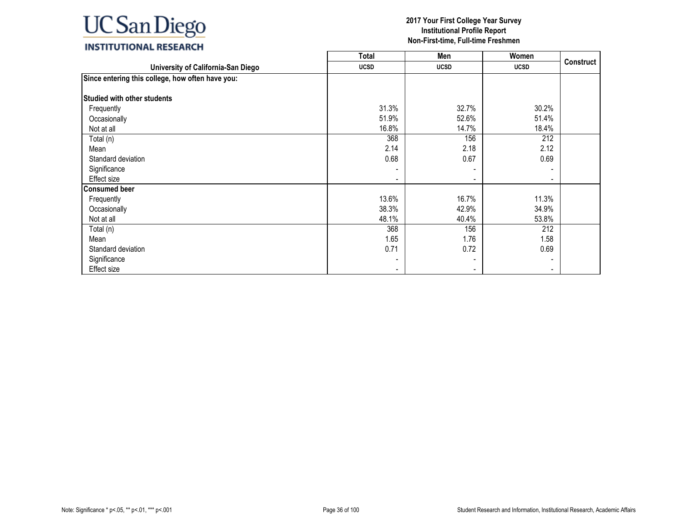|                                                  | <b>Total</b> | Men         | Women                    |                  |
|--------------------------------------------------|--------------|-------------|--------------------------|------------------|
| University of California-San Diego               | <b>UCSD</b>  | <b>UCSD</b> | <b>UCSD</b>              | <b>Construct</b> |
| Since entering this college, how often have you: |              |             |                          |                  |
| <b>Studied with other students</b>               |              |             |                          |                  |
| Frequently                                       | 31.3%        | 32.7%       | 30.2%                    |                  |
| Occasionally                                     | 51.9%        | 52.6%       | 51.4%                    |                  |
| Not at all                                       | 16.8%        | 14.7%       | 18.4%                    |                  |
| Total (n)                                        | 368          | 156         | 212                      |                  |
| Mean                                             | 2.14         | 2.18        | 2.12                     |                  |
| Standard deviation                               | 0.68         | 0.67        | 0.69                     |                  |
| Significance                                     |              |             |                          |                  |
| Effect size                                      |              |             | $\overline{\phantom{0}}$ |                  |
| <b>Consumed beer</b>                             |              |             |                          |                  |
| Frequently                                       | 13.6%        | 16.7%       | 11.3%                    |                  |
| Occasionally                                     | 38.3%        | 42.9%       | 34.9%                    |                  |
| Not at all                                       | 48.1%        | 40.4%       | 53.8%                    |                  |
| Total (n)                                        | 368          | 156         | 212                      |                  |
| Mean                                             | 1.65         | 1.76        | 1.58                     |                  |
| Standard deviation                               | 0.71         | 0.72        | 0.69                     |                  |
| Significance                                     |              |             | $\blacksquare$           |                  |
| Effect size                                      |              |             | $\blacksquare$           |                  |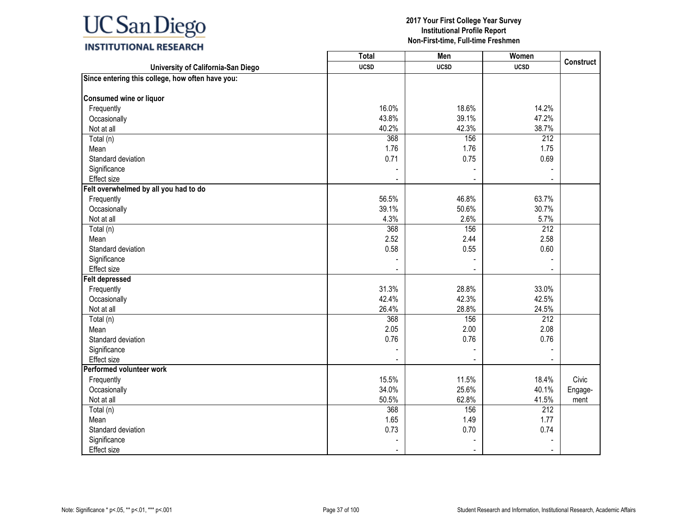## **INSTITUTIONAL RESEARCH**

|                                                  | <b>Total</b> | Men         | Women            | <b>Construct</b> |
|--------------------------------------------------|--------------|-------------|------------------|------------------|
| University of California-San Diego               | <b>UCSD</b>  | <b>UCSD</b> | <b>UCSD</b>      |                  |
| Since entering this college, how often have you: |              |             |                  |                  |
|                                                  |              |             |                  |                  |
| Consumed wine or liquor                          |              |             |                  |                  |
| Frequently                                       | 16.0%        | 18.6%       | 14.2%            |                  |
| Occasionally                                     | 43.8%        | 39.1%       | 47.2%            |                  |
| Not at all                                       | 40.2%        | 42.3%       | 38.7%            |                  |
| Total (n)                                        | 368          | 156         | 212              |                  |
| Mean                                             | 1.76         | 1.76        | 1.75             |                  |
| Standard deviation                               | 0.71         | 0.75        | 0.69             |                  |
| Significance                                     |              |             |                  |                  |
| Effect size                                      |              |             |                  |                  |
| Felt overwhelmed by all you had to do            |              |             |                  |                  |
| Frequently                                       | 56.5%        | 46.8%       | 63.7%            |                  |
| Occasionally                                     | 39.1%        | 50.6%       | 30.7%            |                  |
| Not at all                                       | 4.3%         | 2.6%        | 5.7%             |                  |
| Total (n)                                        | 368          | 156         | $\overline{212}$ |                  |
| Mean                                             | 2.52         | 2.44        | 2.58             |                  |
| Standard deviation                               | 0.58         | 0.55        | 0.60             |                  |
| Significance                                     |              |             |                  |                  |
| Effect size                                      |              |             |                  |                  |
| <b>Felt depressed</b>                            |              |             |                  |                  |
| Frequently                                       | 31.3%        | 28.8%       | 33.0%            |                  |
| Occasionally                                     | 42.4%        | 42.3%       | 42.5%            |                  |
| Not at all                                       | 26.4%        | 28.8%       | 24.5%            |                  |
| Total (n)                                        | 368          | 156         | $\overline{212}$ |                  |
| Mean                                             | 2.05         | 2.00        | 2.08             |                  |
| Standard deviation                               | 0.76         | 0.76        | 0.76             |                  |
| Significance                                     |              |             |                  |                  |
| Effect size                                      |              |             |                  |                  |
| Performed volunteer work                         |              |             |                  |                  |
| Frequently                                       | 15.5%        | 11.5%       | 18.4%            | Civic            |
| Occasionally                                     | 34.0%        | 25.6%       | 40.1%            | Engage-          |
| Not at all                                       | 50.5%        | 62.8%       | 41.5%            | ment             |
| Total (n)                                        | 368          | 156         | 212              |                  |
| Mean                                             | 1.65         | 1.49        | 1.77             |                  |
| Standard deviation                               | 0.73         | 0.70        | 0.74             |                  |
| Significance                                     |              |             |                  |                  |
| Effect size                                      |              |             |                  |                  |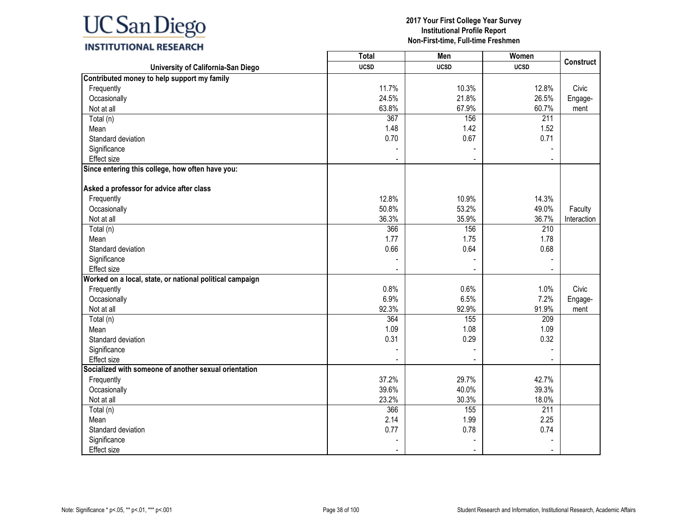#### **2017 Your First College Year Survey Institutional Profile Report Non-First-time, Full-time Freshmen**

**Construct**

Civic Engagement

Faculty Interaction

Civic Engagement

|                                                          | Total       | Men         | Women       |
|----------------------------------------------------------|-------------|-------------|-------------|
| University of California-San Diego                       | <b>UCSD</b> | <b>UCSD</b> | <b>UCSD</b> |
| Contributed money to help support my family              |             |             |             |
| Frequently                                               | 11.7%       | 10.3%       | 12.8%       |
| Occasionally                                             | 24.5%       | 21.8%       | 26.5%       |
| Not at all                                               | 63.8%       | 67.9%       | 60.7%       |
| Total (n)                                                | 367         | 156         | 211         |
| Mean                                                     | 1.48        | 1.42        | 1.52        |
| Standard deviation                                       | 0.70        | 0.67        | 0.71        |
| Significance                                             |             |             |             |
| Effect size                                              |             |             |             |
| Since entering this college, how often have you:         |             |             |             |
| Asked a professor for advice after class                 |             |             |             |
| Frequently                                               | 12.8%       | 10.9%       | 14.3%       |
| Occasionally                                             | 50.8%       | 53.2%       | 49.0%       |
| Not at all                                               | 36.3%       | 35.9%       | 36.7%       |
| Total (n)                                                | 366         | 156         | 210         |
| Mean                                                     | 1.77        | 1.75        | 1.78        |
| Standard deviation                                       | 0.66        | 0.64        | 0.68        |
| Significance                                             |             |             |             |
| <b>Effect size</b>                                       |             |             |             |
| Worked on a local, state, or national political campaign |             |             |             |
| Frequently                                               | 0.8%        | 0.6%        | 1.0%        |
| Occasionally                                             | 6.9%        | 6.5%        | 7.2%        |
| Not at all                                               | 92.3%       | 92.9%       | 91.9%       |
| Total (n)                                                | 364         | 155         | 209         |
| Mean                                                     | 1.09        | 1.08        | 1.09        |
| Standard deviation                                       | 0.31        | 0.29        | 0.32        |
| Significance                                             |             |             |             |
| <b>Effect size</b>                                       |             |             |             |
| Socialized with someone of another sexual orientation    |             |             |             |
| Frequently                                               | 37.2%       | 29.7%       | 42.7%       |

Occasionally 39.6% 40.0% 39.3% Not at all 23.2% 30.3% 18.0% Total (n) 366 155 211 Mean 2.14 1.99 2.25 Standard deviation 0.74 0.77 0.78 0.74 0.74 0.79 0.74 0.79 0.74 0.79 0.74 contract to the Contract of the Contract of the Contract of the Contract of the Contract of the Contract of the Contract of the Contract of the Cont Significance - - - Effect size - - -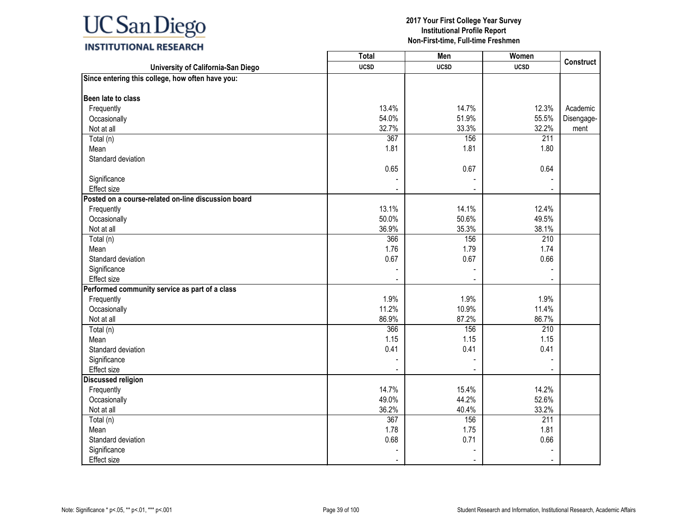## **INSTITUTIONAL RESEARCH**

|                                                     | <b>Total</b> | Men         | Women       | <b>Construct</b> |
|-----------------------------------------------------|--------------|-------------|-------------|------------------|
| University of California-San Diego                  | <b>UCSD</b>  | <b>UCSD</b> | <b>UCSD</b> |                  |
| Since entering this college, how often have you:    |              |             |             |                  |
| Been late to class                                  |              |             |             |                  |
| Frequently                                          | 13.4%        | 14.7%       | 12.3%       | Academic         |
| Occasionally                                        | 54.0%        | 51.9%       | 55.5%       | Disengage-       |
| Not at all                                          | 32.7%        | 33.3%       | 32.2%       | ment             |
| Total (n)                                           | 367          | 156         | 211         |                  |
| Mean                                                | 1.81         | 1.81        | 1.80        |                  |
| Standard deviation                                  |              |             |             |                  |
|                                                     | 0.65         | 0.67        | 0.64        |                  |
| Significance                                        |              |             |             |                  |
| Effect size                                         |              |             |             |                  |
| Posted on a course-related on-line discussion board |              |             |             |                  |
| Frequently                                          | 13.1%        | 14.1%       | 12.4%       |                  |
| Occasionally                                        | 50.0%        | 50.6%       | 49.5%       |                  |
| Not at all                                          | 36.9%        | 35.3%       | 38.1%       |                  |
| Total (n)                                           | 366          | 156         | 210         |                  |
| Mean                                                | 1.76         | 1.79        | 1.74        |                  |
| Standard deviation                                  | 0.67         | 0.67        | 0.66        |                  |
| Significance                                        |              |             |             |                  |
| Effect size                                         |              |             |             |                  |
| Performed community service as part of a class      |              |             |             |                  |
| Frequently                                          | 1.9%         | 1.9%        | 1.9%        |                  |
| Occasionally                                        | 11.2%        | 10.9%       | 11.4%       |                  |
| Not at all                                          | 86.9%        | 87.2%       | 86.7%       |                  |
| Total (n)                                           | 366          | 156         | 210         |                  |
| Mean                                                | 1.15         | 1.15        | 1.15        |                  |
| Standard deviation                                  | 0.41         | 0.41        | 0.41        |                  |
| Significance                                        |              |             |             |                  |
| Effect size                                         |              |             |             |                  |
| <b>Discussed religion</b>                           |              |             |             |                  |
| Frequently                                          | 14.7%        | 15.4%       | 14.2%       |                  |
| Occasionally                                        | 49.0%        | 44.2%       | 52.6%       |                  |
| Not at all                                          | 36.2%        | 40.4%       | 33.2%       |                  |
| Total (n)                                           | 367          | 156         | 211         |                  |
| Mean                                                | 1.78         | 1.75        | 1.81        |                  |
| Standard deviation                                  | 0.68         | 0.71        | 0.66        |                  |
| Significance                                        |              |             |             |                  |
| <b>Effect size</b>                                  |              |             |             |                  |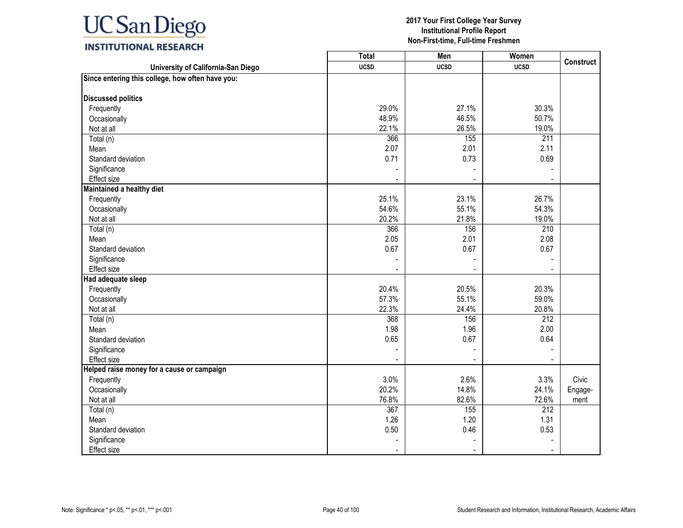## **INSTITUTIONAL RESEARCH**

|                                                  | Total       | Men         | Women            |                  |
|--------------------------------------------------|-------------|-------------|------------------|------------------|
| University of California-San Diego               | <b>UCSD</b> | <b>UCSD</b> | <b>UCSD</b>      | <b>Construct</b> |
| Since entering this college, how often have you: |             |             |                  |                  |
|                                                  |             |             |                  |                  |
| <b>Discussed politics</b>                        |             |             |                  |                  |
| Frequently                                       | 29.0%       | 27.1%       | 30.3%            |                  |
| Occasionally                                     | 48.9%       | 46.5%       | 50.7%            |                  |
| Not at all                                       | 22.1%       | 26.5%       | 19.0%            |                  |
| Total (n)                                        | 366         | 155         | $\overline{211}$ |                  |
| Mean                                             | 2.07        | 2.01        | 2.11             |                  |
| Standard deviation                               | 0.71        | 0.73        | 0.69             |                  |
| Significance                                     |             |             |                  |                  |
| Effect size                                      |             |             |                  |                  |
| Maintained a healthy diet                        |             |             |                  |                  |
| Frequently                                       | 25.1%       | 23.1%       | 26.7%            |                  |
| Occasionally                                     | 54.6%       | 55.1%       | 54.3%            |                  |
| Not at all                                       | 20.2%       | 21.8%       | 19.0%            |                  |
| Total (n)                                        | 366         | 156         | 210              |                  |
| Mean                                             | 2.05        | 2.01        | 2.08             |                  |
| Standard deviation                               | 0.67        | 0.67        | 0.67             |                  |
| Significance                                     |             |             |                  |                  |
| <b>Effect size</b>                               |             |             |                  |                  |
| Had adequate sleep                               |             |             |                  |                  |
| Frequently                                       | 20.4%       | 20.5%       | 20.3%            |                  |
| Occasionally                                     | 57.3%       | 55.1%       | 59.0%            |                  |
| Not at all                                       | 22.3%       | 24.4%       | 20.8%            |                  |
| Total (n)                                        | 368         | 156         | 212              |                  |
| Mean                                             | 1.98        | 1.96        | 2.00             |                  |
| Standard deviation                               | 0.65        | 0.67        | 0.64             |                  |
| Significance                                     |             |             |                  |                  |
| Effect size                                      |             |             |                  |                  |
| Helped raise money for a cause or campaign       |             |             |                  |                  |
| Frequently                                       | 3.0%        | 2.6%        | 3.3%             | Civic            |
| Occasionally                                     | 20.2%       | 14.8%       | 24.1%            | Engage-          |
| Not at all                                       | 76.8%       | 82.6%       | 72.6%            | ment             |
| Total (n)                                        | 367         | 155         | 212              |                  |
| Mean                                             | 1.26        | 1.20        | 1.31             |                  |
| Standard deviation                               | 0.50        | 0.46        | 0.53             |                  |
| Significance                                     |             |             |                  |                  |
| <b>Effect size</b>                               |             |             |                  |                  |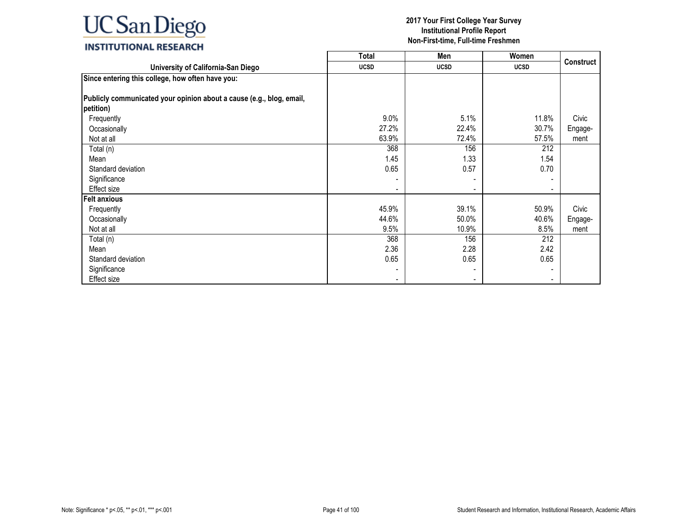|                                                                                   | Total       | Men         | Women       |                  |
|-----------------------------------------------------------------------------------|-------------|-------------|-------------|------------------|
| University of California-San Diego                                                | <b>UCSD</b> | <b>UCSD</b> | <b>UCSD</b> | <b>Construct</b> |
| Since entering this college, how often have you:                                  |             |             |             |                  |
| Publicly communicated your opinion about a cause (e.g., blog, email,<br>petition) |             |             |             |                  |
| Frequently                                                                        | 9.0%        | 5.1%        | 11.8%       | Civic            |
| Occasionally                                                                      | 27.2%       | 22.4%       | 30.7%       | Engage-          |
| Not at all                                                                        | 63.9%       | 72.4%       | 57.5%       | ment             |
| Total (n)                                                                         | 368         | 156         | 212         |                  |
| Mean                                                                              | 1.45        | 1.33        | 1.54        |                  |
| Standard deviation                                                                | 0.65        | 0.57        | 0.70        |                  |
| Significance                                                                      |             |             |             |                  |
| Effect size                                                                       |             |             |             |                  |
| <b>Felt anxious</b>                                                               |             |             |             |                  |
| Frequently                                                                        | 45.9%       | 39.1%       | 50.9%       | Civic            |
| Occasionally                                                                      | 44.6%       | 50.0%       | 40.6%       | Engage-          |
| Not at all                                                                        | 9.5%        | 10.9%       | 8.5%        | ment             |
| Total (n)                                                                         | 368         | 156         | 212         |                  |
| Mean                                                                              | 2.36        | 2.28        | 2.42        |                  |
| Standard deviation                                                                | 0.65        | 0.65        | 0.65        |                  |
| Significance                                                                      |             |             |             |                  |
| Effect size                                                                       |             |             |             |                  |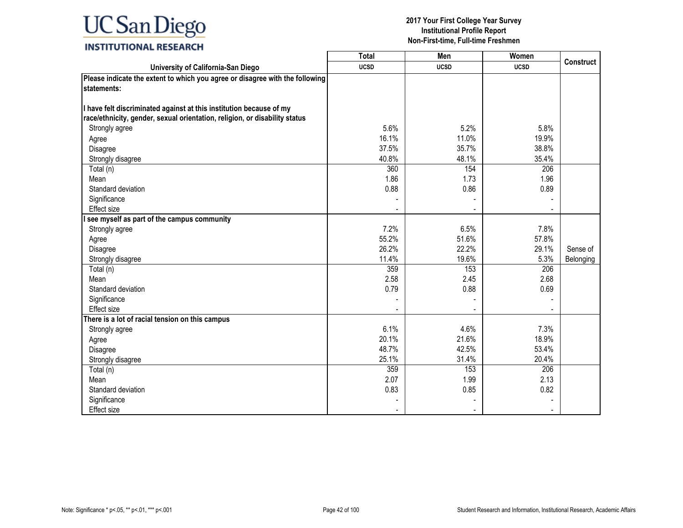|                                                                              | <b>Total</b> | Men         | Women       |                  |
|------------------------------------------------------------------------------|--------------|-------------|-------------|------------------|
| University of California-San Diego                                           | <b>UCSD</b>  | <b>UCSD</b> | <b>UCSD</b> | <b>Construct</b> |
| Please indicate the extent to which you agree or disagree with the following |              |             |             |                  |
| statements:                                                                  |              |             |             |                  |
|                                                                              |              |             |             |                  |
| I have felt discriminated against at this institution because of my          |              |             |             |                  |
| race/ethnicity, gender, sexual orientation, religion, or disability status   |              |             |             |                  |
| Strongly agree                                                               | 5.6%         | 5.2%        | 5.8%        |                  |
| Agree                                                                        | 16.1%        | 11.0%       | 19.9%       |                  |
| Disagree                                                                     | 37.5%        | 35.7%       | 38.8%       |                  |
| Strongly disagree                                                            | 40.8%        | 48.1%       | 35.4%       |                  |
| Total (n)                                                                    | 360          | 154         | 206         |                  |
| Mean                                                                         | 1.86         | 1.73        | 1.96        |                  |
| Standard deviation                                                           | 0.88         | 0.86        | 0.89        |                  |
| Significance                                                                 |              |             |             |                  |
| Effect size                                                                  |              |             |             |                  |
| see myself as part of the campus community                                   |              |             |             |                  |
| Strongly agree                                                               | 7.2%         | 6.5%        | 7.8%        |                  |
| Agree                                                                        | 55.2%        | 51.6%       | 57.8%       |                  |
| Disagree                                                                     | 26.2%        | 22.2%       | 29.1%       | Sense of         |
| Strongly disagree                                                            | 11.4%        | 19.6%       | 5.3%        | Belonging        |
| Total (n)                                                                    | 359          | 153         | 206         |                  |
| Mean                                                                         | 2.58         | 2.45        | 2.68        |                  |
| Standard deviation                                                           | 0.79         | 0.88        | 0.69        |                  |
| Significance                                                                 |              |             |             |                  |
| <b>Effect size</b>                                                           |              |             |             |                  |
| There is a lot of racial tension on this campus                              |              |             |             |                  |
| Strongly agree                                                               | 6.1%         | 4.6%        | 7.3%        |                  |
| Agree                                                                        | 20.1%        | 21.6%       | 18.9%       |                  |
| Disagree                                                                     | 48.7%        | 42.5%       | 53.4%       |                  |
| Strongly disagree                                                            | 25.1%        | 31.4%       | 20.4%       |                  |
| Total (n)                                                                    | 359          | 153         | 206         |                  |
| Mean                                                                         | 2.07         | 1.99        | 2.13        |                  |
| Standard deviation                                                           | 0.83         | 0.85        | 0.82        |                  |
| Significance                                                                 |              |             |             |                  |
| <b>Effect size</b>                                                           |              |             |             |                  |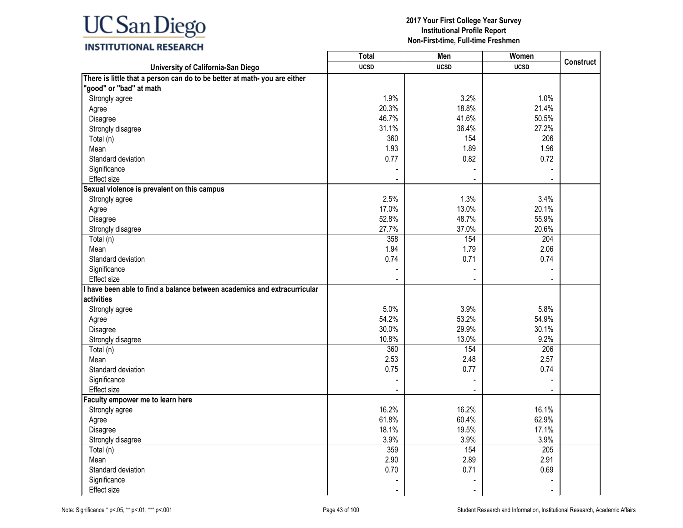## **INSTITUTIONAL RESEARCH**

|                                                                           | <b>Total</b> | Men         | Women       |                  |
|---------------------------------------------------------------------------|--------------|-------------|-------------|------------------|
| University of California-San Diego                                        | <b>UCSD</b>  | <b>UCSD</b> | <b>UCSD</b> | <b>Construct</b> |
| There is little that a person can do to be better at math- you are either |              |             |             |                  |
| "good" or "bad" at math                                                   |              |             |             |                  |
| Strongly agree                                                            | 1.9%         | 3.2%        | 1.0%        |                  |
| Agree                                                                     | 20.3%        | 18.8%       | 21.4%       |                  |
| Disagree                                                                  | 46.7%        | 41.6%       | 50.5%       |                  |
| Strongly disagree                                                         | 31.1%        | 36.4%       | 27.2%       |                  |
| Total (n)                                                                 | 360          | 154         | 206         |                  |
| Mean                                                                      | 1.93         | 1.89        | 1.96        |                  |
| Standard deviation                                                        | 0.77         | 0.82        | 0.72        |                  |
| Significance                                                              |              |             |             |                  |
| <b>Effect size</b>                                                        |              |             |             |                  |
| Sexual violence is prevalent on this campus                               |              |             |             |                  |
| Strongly agree                                                            | 2.5%         | 1.3%        | 3.4%        |                  |
| Agree                                                                     | 17.0%        | 13.0%       | 20.1%       |                  |
| Disagree                                                                  | 52.8%        | 48.7%       | 55.9%       |                  |
| Strongly disagree                                                         | 27.7%        | 37.0%       | 20.6%       |                  |
| Total (n)                                                                 | 358          | 154         | 204         |                  |
| Mean                                                                      | 1.94         | 1.79        | 2.06        |                  |
| Standard deviation                                                        | 0.74         | 0.71        | 0.74        |                  |
| Significance                                                              |              |             |             |                  |
| <b>Effect size</b>                                                        |              |             |             |                  |
| I have been able to find a balance between academics and extracurricular  |              |             |             |                  |
| activities                                                                |              |             |             |                  |
| Strongly agree                                                            | 5.0%         | 3.9%        | 5.8%        |                  |
| Agree                                                                     | 54.2%        | 53.2%       | 54.9%       |                  |
| Disagree                                                                  | 30.0%        | 29.9%       | 30.1%       |                  |
| Strongly disagree                                                         | 10.8%        | 13.0%       | 9.2%        |                  |
| Total (n)                                                                 | 360          | 154         | 206         |                  |
| Mean                                                                      | 2.53         | 2.48        | 2.57        |                  |
| Standard deviation                                                        | 0.75         | 0.77        | 0.74        |                  |
| Significance                                                              |              |             |             |                  |
| <b>Effect size</b>                                                        |              |             |             |                  |
| Faculty empower me to learn here                                          |              |             |             |                  |
| Strongly agree                                                            | 16.2%        | 16.2%       | 16.1%       |                  |
| Agree                                                                     | 61.8%        | 60.4%       | 62.9%       |                  |
| Disagree                                                                  | 18.1%        | 19.5%       | 17.1%       |                  |
| Strongly disagree                                                         | 3.9%         | 3.9%        | 3.9%        |                  |
| Total (n)                                                                 | 359          | 154         | 205         |                  |
| Mean                                                                      | 2.90         | 2.89        | 2.91        |                  |
| Standard deviation                                                        | 0.70         | 0.71        | 0.69        |                  |
| Significance                                                              |              |             |             |                  |
| Effect size                                                               |              |             |             |                  |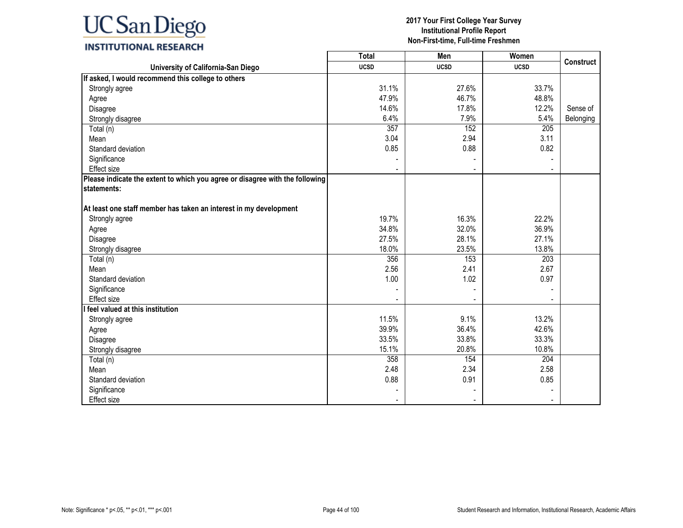### **INSTITUTIONAL RESEARCH**

|                                                                              | <b>Total</b> | Men         | Women       |                  |
|------------------------------------------------------------------------------|--------------|-------------|-------------|------------------|
| University of California-San Diego                                           | <b>UCSD</b>  | <b>UCSD</b> | <b>UCSD</b> | <b>Construct</b> |
| If asked, I would recommend this college to others                           |              |             |             |                  |
| Strongly agree                                                               | 31.1%        | 27.6%       | 33.7%       |                  |
| Agree                                                                        | 47.9%        | 46.7%       | 48.8%       |                  |
| Disagree                                                                     | 14.6%        | 17.8%       | 12.2%       | Sense of         |
| Strongly disagree                                                            | 6.4%         | 7.9%        | 5.4%        | Belonging        |
| Total (n)                                                                    | 357          | 152         | 205         |                  |
| Mean                                                                         | 3.04         | 2.94        | 3.11        |                  |
| Standard deviation                                                           | 0.85         | 0.88        | 0.82        |                  |
| Significance                                                                 |              |             |             |                  |
| <b>Effect size</b>                                                           |              |             |             |                  |
| Please indicate the extent to which you agree or disagree with the following |              |             |             |                  |
| statements:                                                                  |              |             |             |                  |
|                                                                              |              |             |             |                  |
| At least one staff member has taken an interest in my development            |              |             |             |                  |
| Strongly agree                                                               | 19.7%        | 16.3%       | 22.2%       |                  |
| Agree                                                                        | 34.8%        | 32.0%       | 36.9%       |                  |
| Disagree                                                                     | 27.5%        | 28.1%       | 27.1%       |                  |
| Strongly disagree                                                            | 18.0%        | 23.5%       | 13.8%       |                  |
| Total (n)                                                                    | 356          | 153         | 203         |                  |
| Mean                                                                         | 2.56         | 2.41        | 2.67        |                  |
| Standard deviation                                                           | 1.00         | 1.02        | 0.97        |                  |
| Significance                                                                 |              |             |             |                  |
| <b>Effect</b> size                                                           |              |             |             |                  |
| I feel valued at this institution                                            |              |             |             |                  |
| Strongly agree                                                               | 11.5%        | 9.1%        | 13.2%       |                  |
| Agree                                                                        | 39.9%        | 36.4%       | 42.6%       |                  |
| Disagree                                                                     | 33.5%        | 33.8%       | 33.3%       |                  |
| Strongly disagree                                                            | 15.1%        | 20.8%       | 10.8%       |                  |
| Total (n)                                                                    | 358          | 154         | 204         |                  |
| Mean                                                                         | 2.48         | 2.34        | 2.58        |                  |
| Standard deviation                                                           | 0.88         | 0.91        | 0.85        |                  |
| Significance                                                                 |              |             |             |                  |
| <b>Effect size</b>                                                           |              |             |             |                  |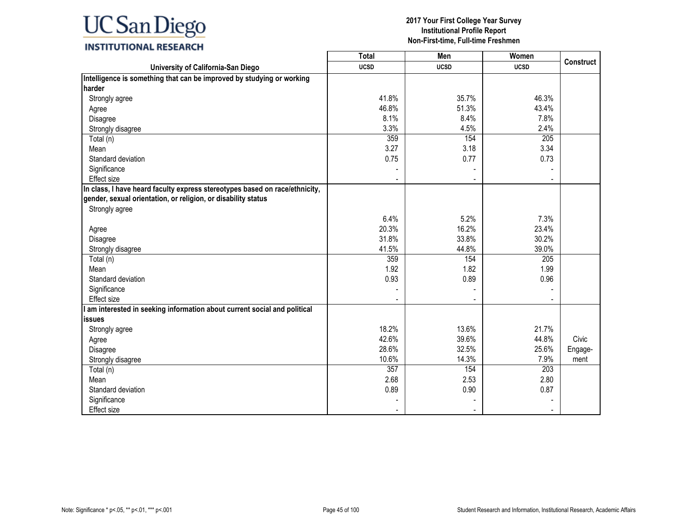### **INSTITUTIONAL RESEARCH**

|                                                                             | Total       | Men                      | Women       |                  |
|-----------------------------------------------------------------------------|-------------|--------------------------|-------------|------------------|
| University of California-San Diego                                          | <b>UCSD</b> | <b>UCSD</b>              | <b>UCSD</b> | <b>Construct</b> |
| Intelligence is something that can be improved by studying or working       |             |                          |             |                  |
| harder                                                                      |             |                          |             |                  |
| Strongly agree                                                              | 41.8%       | 35.7%                    | 46.3%       |                  |
| Agree                                                                       | 46.8%       | 51.3%                    | 43.4%       |                  |
| Disagree                                                                    | 8.1%        | 8.4%                     | 7.8%        |                  |
| Strongly disagree                                                           | 3.3%        | 4.5%                     | 2.4%        |                  |
| Total (n)                                                                   | 359         | 154                      | 205         |                  |
| Mean                                                                        | 3.27        | 3.18                     | 3.34        |                  |
| Standard deviation                                                          | 0.75        | 0.77                     | 0.73        |                  |
| Significance                                                                |             |                          |             |                  |
| Effect size                                                                 |             | $\overline{\phantom{0}}$ |             |                  |
| In class, I have heard faculty express stereotypes based on race/ethnicity, |             |                          |             |                  |
| gender, sexual orientation, or religion, or disability status               |             |                          |             |                  |
| Strongly agree                                                              |             |                          |             |                  |
|                                                                             | 6.4%        | 5.2%                     | 7.3%        |                  |
| Agree                                                                       | 20.3%       | 16.2%                    | 23.4%       |                  |
| Disagree                                                                    | 31.8%       | 33.8%                    | 30.2%       |                  |
| Strongly disagree                                                           | 41.5%       | 44.8%                    | 39.0%       |                  |
| Total (n)                                                                   | 359         | 154                      | 205         |                  |
| Mean                                                                        | 1.92        | 1.82                     | 1.99        |                  |
| Standard deviation                                                          | 0.93        | 0.89                     | 0.96        |                  |
| Significance                                                                |             |                          |             |                  |
| <b>Effect size</b>                                                          |             |                          |             |                  |
| am interested in seeking information about current social and political     |             |                          |             |                  |
| <b>issues</b>                                                               |             |                          |             |                  |
| Strongly agree                                                              | 18.2%       | 13.6%                    | 21.7%       |                  |
| Agree                                                                       | 42.6%       | 39.6%                    | 44.8%       | Civic            |
| Disagree                                                                    | 28.6%       | 32.5%                    | 25.6%       | Engage-          |
| Strongly disagree                                                           | 10.6%       | 14.3%                    | 7.9%        | ment             |
| Total (n)                                                                   | 357         | 154                      | 203         |                  |
| Mean                                                                        | 2.68        | 2.53                     | 2.80        |                  |
| Standard deviation                                                          | 0.89        | 0.90                     | 0.87        |                  |
| Significance                                                                |             |                          |             |                  |
| Effect size                                                                 |             |                          |             |                  |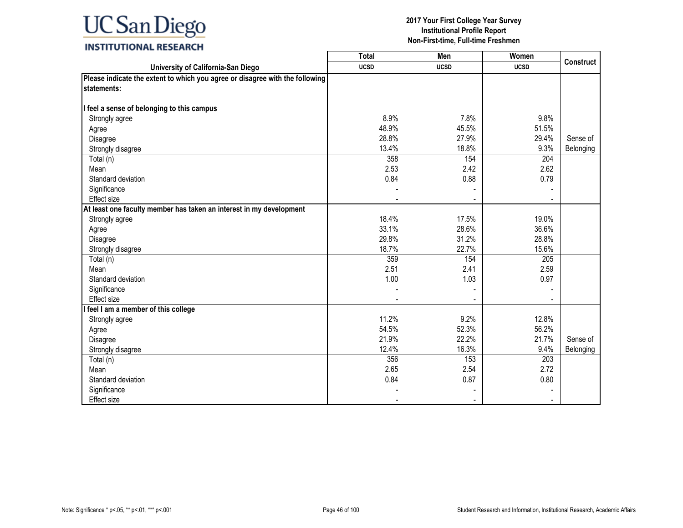## **INSTITUTIONAL RESEARCH**

|                                                                              | <b>Total</b> | Men                      | Women       |                  |
|------------------------------------------------------------------------------|--------------|--------------------------|-------------|------------------|
| University of California-San Diego                                           | <b>UCSD</b>  | <b>UCSD</b>              | <b>UCSD</b> | <b>Construct</b> |
| Please indicate the extent to which you agree or disagree with the following |              |                          |             |                  |
| statements:                                                                  |              |                          |             |                  |
|                                                                              |              |                          |             |                  |
| I feel a sense of belonging to this campus                                   |              |                          |             |                  |
| Strongly agree                                                               | 8.9%         | 7.8%                     | 9.8%        |                  |
| Agree                                                                        | 48.9%        | 45.5%                    | 51.5%       |                  |
| Disagree                                                                     | 28.8%        | 27.9%                    | 29.4%       | Sense of         |
| Strongly disagree                                                            | 13.4%        | 18.8%                    | 9.3%        | Belonging        |
| Total (n)                                                                    | 358          | 154                      | 204         |                  |
| Mean                                                                         | 2.53         | 2.42                     | 2.62        |                  |
| Standard deviation                                                           | 0.84         | 0.88                     | 0.79        |                  |
| Significance                                                                 |              |                          |             |                  |
| <b>Effect size</b>                                                           |              |                          |             |                  |
| At least one faculty member has taken an interest in my development          |              |                          |             |                  |
| Strongly agree                                                               | 18.4%        | 17.5%                    | 19.0%       |                  |
| Agree                                                                        | 33.1%        | 28.6%                    | 36.6%       |                  |
| Disagree                                                                     | 29.8%        | 31.2%                    | 28.8%       |                  |
| Strongly disagree                                                            | 18.7%        | 22.7%                    | 15.6%       |                  |
| Total (n)                                                                    | 359          | 154                      | 205         |                  |
| Mean                                                                         | 2.51         | 2.41                     | 2.59        |                  |
| Standard deviation                                                           | 1.00         | 1.03                     | 0.97        |                  |
| Significance                                                                 |              |                          |             |                  |
| Effect size                                                                  |              | $\overline{\phantom{a}}$ |             |                  |
| I feel I am a member of this college                                         |              |                          |             |                  |
| Strongly agree                                                               | 11.2%        | 9.2%                     | 12.8%       |                  |
| Agree                                                                        | 54.5%        | 52.3%                    | 56.2%       |                  |
| Disagree                                                                     | 21.9%        | 22.2%                    | 21.7%       | Sense of         |
| Strongly disagree                                                            | 12.4%        | 16.3%                    | 9.4%        | Belonging        |
| Total (n)                                                                    | 356          | 153                      | 203         |                  |
| Mean                                                                         | 2.65         | 2.54                     | 2.72        |                  |
| Standard deviation                                                           | 0.84         | 0.87                     | 0.80        |                  |
| Significance                                                                 |              |                          |             |                  |
| Effect size                                                                  |              | $\sim$                   |             |                  |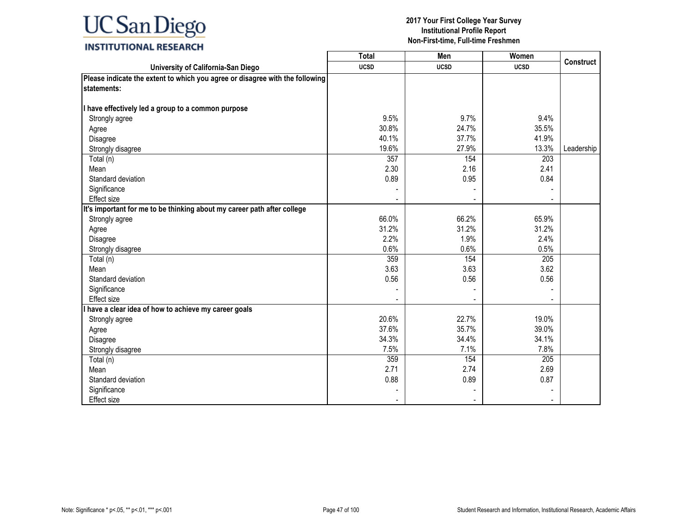## **INSTITUTIONAL RESEARCH**

|                                                                              | <b>Total</b> | Men         | Women       |                  |
|------------------------------------------------------------------------------|--------------|-------------|-------------|------------------|
| University of California-San Diego                                           | <b>UCSD</b>  | <b>UCSD</b> | <b>UCSD</b> | <b>Construct</b> |
| Please indicate the extent to which you agree or disagree with the following |              |             |             |                  |
| statements:                                                                  |              |             |             |                  |
|                                                                              |              |             |             |                  |
| I have effectively led a group to a common purpose                           |              |             |             |                  |
| Strongly agree                                                               | 9.5%         | 9.7%        | 9.4%        |                  |
| Agree                                                                        | 30.8%        | 24.7%       | 35.5%       |                  |
| Disagree                                                                     | 40.1%        | 37.7%       | 41.9%       |                  |
| Strongly disagree                                                            | 19.6%        | 27.9%       | 13.3%       | Leadership       |
| Total (n)                                                                    | 357          | 154         | 203         |                  |
| Mean                                                                         | 2.30         | 2.16        | 2.41        |                  |
| Standard deviation                                                           | 0.89         | 0.95        | 0.84        |                  |
| Significance                                                                 |              |             |             |                  |
| <b>Effect size</b>                                                           |              |             |             |                  |
| It's important for me to be thinking about my career path after college      |              |             |             |                  |
| Strongly agree                                                               | 66.0%        | 66.2%       | 65.9%       |                  |
| Agree                                                                        | 31.2%        | 31.2%       | 31.2%       |                  |
| Disagree                                                                     | 2.2%         | 1.9%        | 2.4%        |                  |
| Strongly disagree                                                            | 0.6%         | 0.6%        | 0.5%        |                  |
| Total (n)                                                                    | 359          | 154         | 205         |                  |
| Mean                                                                         | 3.63         | 3.63        | 3.62        |                  |
| Standard deviation                                                           | 0.56         | 0.56        | 0.56        |                  |
| Significance                                                                 |              |             |             |                  |
| Effect size                                                                  |              |             |             |                  |
| I have a clear idea of how to achieve my career goals                        |              |             |             |                  |
| Strongly agree                                                               | 20.6%        | 22.7%       | 19.0%       |                  |
| Agree                                                                        | 37.6%        | 35.7%       | 39.0%       |                  |
| Disagree                                                                     | 34.3%        | 34.4%       | 34.1%       |                  |
| Strongly disagree                                                            | 7.5%         | 7.1%        | 7.8%        |                  |
| Total (n)                                                                    | 359          | 154         | 205         |                  |
| Mean                                                                         | 2.71         | 2.74        | 2.69        |                  |
| Standard deviation                                                           | 0.88         | 0.89        | 0.87        |                  |
| Significance                                                                 |              |             |             |                  |
| Effect size                                                                  |              |             |             |                  |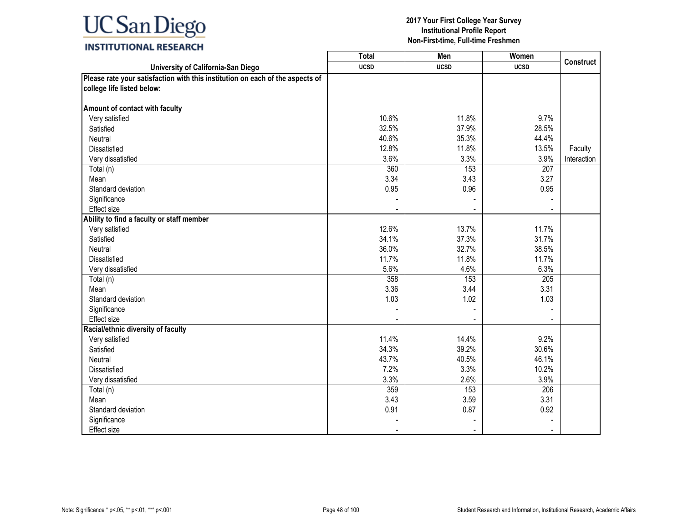## **INSTITUTIONAL RESEARCH**

|                                                                               | <b>Total</b> | Men         | Women       |                  |
|-------------------------------------------------------------------------------|--------------|-------------|-------------|------------------|
| University of California-San Diego                                            | <b>UCSD</b>  | <b>UCSD</b> | <b>UCSD</b> | <b>Construct</b> |
| Please rate your satisfaction with this institution on each of the aspects of |              |             |             |                  |
| college life listed below:                                                    |              |             |             |                  |
|                                                                               |              |             |             |                  |
| Amount of contact with faculty                                                |              |             |             |                  |
| Very satisfied                                                                | 10.6%        | 11.8%       | 9.7%        |                  |
| Satisfied                                                                     | 32.5%        | 37.9%       | 28.5%       |                  |
| Neutral                                                                       | 40.6%        | 35.3%       | 44.4%       |                  |
| Dissatisfied                                                                  | 12.8%        | 11.8%       | 13.5%       | Faculty          |
| Very dissatisfied                                                             | 3.6%         | 3.3%        | 3.9%        | Interaction      |
| Total (n)                                                                     | 360          | 153         | 207         |                  |
| Mean                                                                          | 3.34         | 3.43        | 3.27        |                  |
| Standard deviation                                                            | 0.95         | 0.96        | 0.95        |                  |
| Significance                                                                  |              |             |             |                  |
| Effect size                                                                   |              |             |             |                  |
| Ability to find a faculty or staff member                                     |              |             |             |                  |
| Very satisfied                                                                | 12.6%        | 13.7%       | 11.7%       |                  |
| Satisfied                                                                     | 34.1%        | 37.3%       | 31.7%       |                  |
| Neutral                                                                       | 36.0%        | 32.7%       | 38.5%       |                  |
| <b>Dissatisfied</b>                                                           | 11.7%        | 11.8%       | 11.7%       |                  |
| Very dissatisfied                                                             | 5.6%         | 4.6%        | 6.3%        |                  |
| Total (n)                                                                     | 358          | 153         | 205         |                  |
| Mean                                                                          | 3.36         | 3.44        | 3.31        |                  |
| Standard deviation                                                            | 1.03         | 1.02        | 1.03        |                  |
| Significance                                                                  |              |             |             |                  |
| Effect size                                                                   |              |             |             |                  |
| Racial/ethnic diversity of faculty                                            |              |             |             |                  |
| Very satisfied                                                                | 11.4%        | 14.4%       | 9.2%        |                  |
| Satisfied                                                                     | 34.3%        | 39.2%       | 30.6%       |                  |
| Neutral                                                                       | 43.7%        | 40.5%       | 46.1%       |                  |
| Dissatisfied                                                                  | 7.2%         | 3.3%        | 10.2%       |                  |
| Very dissatisfied                                                             | 3.3%         | 2.6%        | 3.9%        |                  |
| Total (n)                                                                     | 359          | 153         | 206         |                  |
| Mean                                                                          | 3.43         | 3.59        | 3.31        |                  |
| Standard deviation                                                            | 0.91         | 0.87        | 0.92        |                  |
| Significance                                                                  |              |             |             |                  |
| Effect size                                                                   |              |             |             |                  |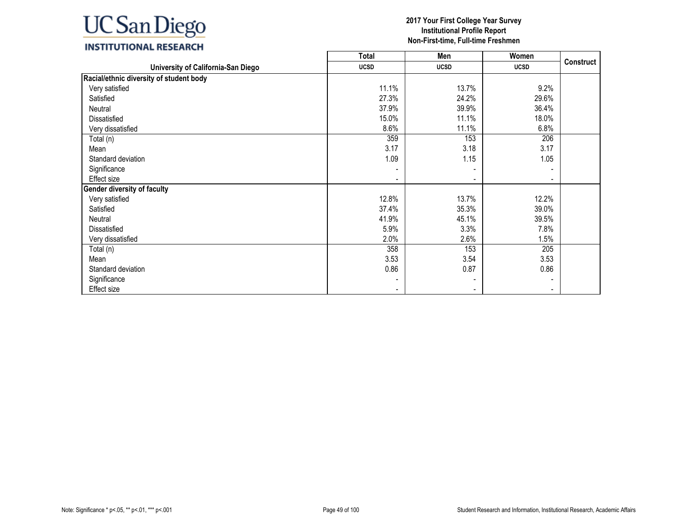## **INSTITUTIONAL RESEARCH**

|                                         | <b>Total</b> | Men         | Women       |                  |
|-----------------------------------------|--------------|-------------|-------------|------------------|
| University of California-San Diego      | <b>UCSD</b>  | <b>UCSD</b> | <b>UCSD</b> | <b>Construct</b> |
| Racial/ethnic diversity of student body |              |             |             |                  |
| Very satisfied                          | 11.1%        | 13.7%       | 9.2%        |                  |
| Satisfied                               | 27.3%        | 24.2%       | 29.6%       |                  |
| Neutral                                 | 37.9%        | 39.9%       | 36.4%       |                  |
| Dissatisfied                            | 15.0%        | 11.1%       | 18.0%       |                  |
| Very dissatisfied                       | 8.6%         | 11.1%       | 6.8%        |                  |
| Total (n)                               | 359          | 153         | 206         |                  |
| Mean                                    | 3.17         | 3.18        | 3.17        |                  |
| Standard deviation                      | 1.09         | 1.15        | 1.05        |                  |
| Significance                            |              |             |             |                  |
| Effect size                             |              |             | ۰           |                  |
| <b>Gender diversity of faculty</b>      |              |             |             |                  |
| Very satisfied                          | 12.8%        | 13.7%       | 12.2%       |                  |
| Satisfied                               | 37.4%        | 35.3%       | 39.0%       |                  |
| Neutral                                 | 41.9%        | 45.1%       | 39.5%       |                  |
| Dissatisfied                            | 5.9%         | 3.3%        | 7.8%        |                  |
| Very dissatisfied                       | 2.0%         | 2.6%        | 1.5%        |                  |
| Total (n)                               | 358          | 153         | 205         |                  |
| Mean                                    | 3.53         | 3.54        | 3.53        |                  |
| Standard deviation                      | 0.86         | 0.87        | 0.86        |                  |
| Significance                            |              |             |             |                  |
| Effect size                             |              |             |             |                  |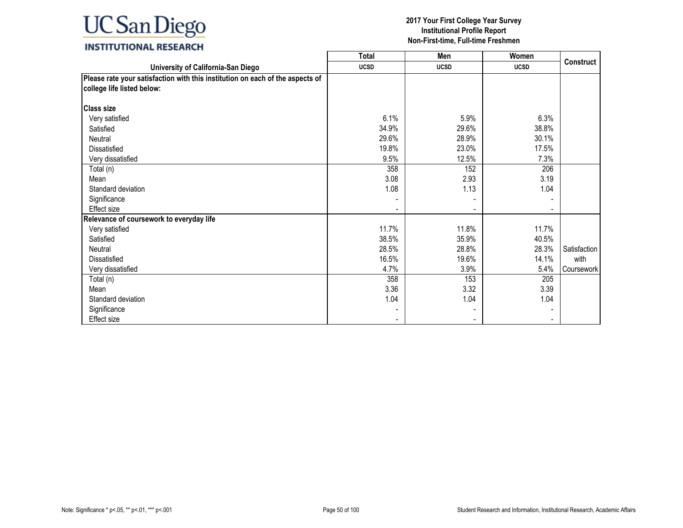### **INSTITUTIONAL RESEARCH**

|                                                                                                             | <b>Total</b> | Men         | Women       |              |
|-------------------------------------------------------------------------------------------------------------|--------------|-------------|-------------|--------------|
| University of California-San Diego                                                                          | <b>UCSD</b>  | <b>UCSD</b> | <b>UCSD</b> | Construct    |
| Please rate your satisfaction with this institution on each of the aspects of<br>college life listed below: |              |             |             |              |
| <b>Class size</b>                                                                                           |              |             |             |              |
| Very satisfied                                                                                              | 6.1%         | 5.9%        | 6.3%        |              |
| Satisfied                                                                                                   | 34.9%        | 29.6%       | 38.8%       |              |
| Neutral                                                                                                     | 29.6%        | 28.9%       | 30.1%       |              |
| Dissatisfied                                                                                                | 19.8%        | 23.0%       | 17.5%       |              |
| Very dissatisfied                                                                                           | 9.5%         | 12.5%       | 7.3%        |              |
| Total (n)                                                                                                   | 358          | 152         | 206         |              |
| Mean                                                                                                        | 3.08         | 2.93        | 3.19        |              |
| Standard deviation                                                                                          | 1.08         | 1.13        | 1.04        |              |
| Significance                                                                                                |              |             |             |              |
| Effect size                                                                                                 |              |             |             |              |
| Relevance of coursework to everyday life                                                                    |              |             |             |              |
| Very satisfied                                                                                              | 11.7%        | 11.8%       | 11.7%       |              |
| Satisfied                                                                                                   | 38.5%        | 35.9%       | 40.5%       |              |
| Neutral                                                                                                     | 28.5%        | 28.8%       | 28.3%       | Satisfaction |
| Dissatisfied                                                                                                | 16.5%        | 19.6%       | 14.1%       | with         |
| Very dissatisfied                                                                                           | 4.7%         | 3.9%        | 5.4%        | Coursework   |
| Total (n)                                                                                                   | 358          | 153         | 205         |              |
| Mean                                                                                                        | 3.36         | 3.32        | 3.39        |              |
| Standard deviation                                                                                          | 1.04         | 1.04        | 1.04        |              |
| Significance                                                                                                |              |             |             |              |
| Effect size                                                                                                 |              |             |             |              |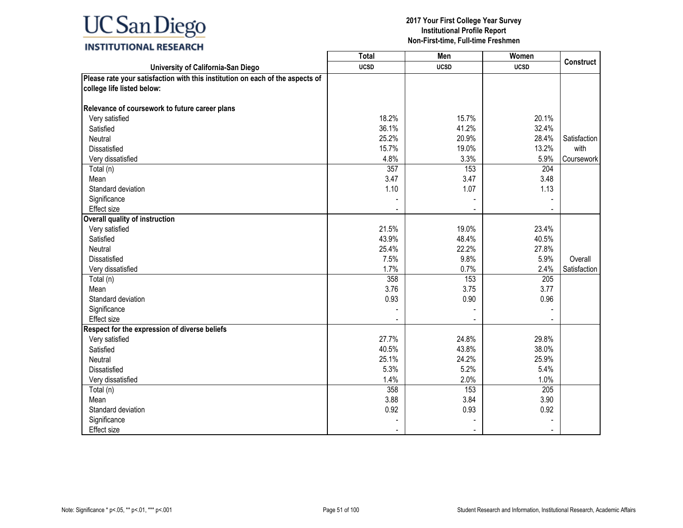### **INSTITUTIONAL RESEARCH**

|                                                                               | <b>Total</b> | Men         | Women       |              |
|-------------------------------------------------------------------------------|--------------|-------------|-------------|--------------|
| University of California-San Diego                                            | <b>UCSD</b>  | <b>UCSD</b> | <b>UCSD</b> | Construct    |
| Please rate your satisfaction with this institution on each of the aspects of |              |             |             |              |
| college life listed below:                                                    |              |             |             |              |
|                                                                               |              |             |             |              |
| Relevance of coursework to future career plans                                |              |             |             |              |
| Very satisfied                                                                | 18.2%        | 15.7%       | 20.1%       |              |
| Satisfied                                                                     | 36.1%        | 41.2%       | 32.4%       |              |
| Neutral                                                                       | 25.2%        | 20.9%       | 28.4%       | Satisfaction |
| Dissatisfied                                                                  | 15.7%        | 19.0%       | 13.2%       | with         |
| Very dissatisfied                                                             | 4.8%         | 3.3%        | 5.9%        | Coursework   |
| Total (n)                                                                     | 357          | 153         | 204         |              |
| Mean                                                                          | 3.47         | 3.47        | 3.48        |              |
| Standard deviation                                                            | 1.10         | 1.07        | 1.13        |              |
| Significance                                                                  |              |             |             |              |
| Effect size                                                                   |              |             |             |              |
| <b>Overall quality of instruction</b>                                         |              |             |             |              |
| Very satisfied                                                                | 21.5%        | 19.0%       | 23.4%       |              |
| Satisfied                                                                     | 43.9%        | 48.4%       | 40.5%       |              |
| Neutral                                                                       | 25.4%        | 22.2%       | 27.8%       |              |
| <b>Dissatisfied</b>                                                           | 7.5%         | 9.8%        | 5.9%        | Overall      |
| Very dissatisfied                                                             | 1.7%         | 0.7%        | 2.4%        | Satisfaction |
| Total (n)                                                                     | 358          | 153         | 205         |              |
| Mean                                                                          | 3.76         | 3.75        | 3.77        |              |
| Standard deviation                                                            | 0.93         | 0.90        | 0.96        |              |
| Significance                                                                  |              |             |             |              |
| <b>Effect size</b>                                                            |              |             |             |              |
| Respect for the expression of diverse beliefs                                 |              |             |             |              |
| Very satisfied                                                                | 27.7%        | 24.8%       | 29.8%       |              |
| Satisfied                                                                     | 40.5%        | 43.8%       | 38.0%       |              |
| Neutral                                                                       | 25.1%        | 24.2%       | 25.9%       |              |
| <b>Dissatisfied</b>                                                           | 5.3%         | 5.2%        | 5.4%        |              |
| Very dissatisfied                                                             | 1.4%         | 2.0%        | 1.0%        |              |
| Total (n)                                                                     | 358          | 153         | 205         |              |
| Mean                                                                          | 3.88         | 3.84        | 3.90        |              |
| Standard deviation                                                            | 0.92         | 0.93        | 0.92        |              |
| Significance                                                                  |              |             |             |              |
| Effect size                                                                   |              |             |             |              |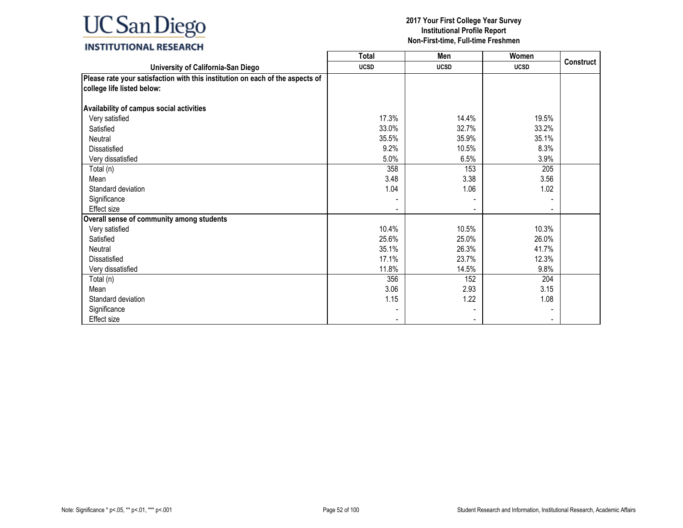### **INSTITUTIONAL RESEARCH**

|                                                                                                             | <b>Total</b> | Men         | Women       |                  |
|-------------------------------------------------------------------------------------------------------------|--------------|-------------|-------------|------------------|
| University of California-San Diego                                                                          | <b>UCSD</b>  | <b>UCSD</b> | <b>UCSD</b> | <b>Construct</b> |
| Please rate your satisfaction with this institution on each of the aspects of<br>college life listed below: |              |             |             |                  |
| Availability of campus social activities                                                                    |              |             |             |                  |
| Very satisfied                                                                                              | 17.3%        | 14.4%       | 19.5%       |                  |
| Satisfied                                                                                                   | 33.0%        | 32.7%       | 33.2%       |                  |
| Neutral                                                                                                     | 35.5%        | 35.9%       | 35.1%       |                  |
| <b>Dissatisfied</b>                                                                                         | 9.2%         | 10.5%       | 8.3%        |                  |
| Very dissatisfied                                                                                           | 5.0%         | 6.5%        | 3.9%        |                  |
| Total (n)                                                                                                   | 358          | 153         | 205         |                  |
| Mean                                                                                                        | 3.48         | 3.38        | 3.56        |                  |
| Standard deviation                                                                                          | 1.04         | 1.06        | 1.02        |                  |
| Significance                                                                                                |              |             |             |                  |
| <b>Effect size</b>                                                                                          |              |             |             |                  |
| Overall sense of community among students                                                                   |              |             |             |                  |
| Very satisfied                                                                                              | 10.4%        | 10.5%       | 10.3%       |                  |
| Satisfied                                                                                                   | 25.6%        | 25.0%       | 26.0%       |                  |
| Neutral                                                                                                     | 35.1%        | 26.3%       | 41.7%       |                  |
| <b>Dissatisfied</b>                                                                                         | 17.1%        | 23.7%       | 12.3%       |                  |
| Very dissatisfied                                                                                           | 11.8%        | 14.5%       | 9.8%        |                  |
| Total (n)                                                                                                   | 356          | 152         | 204         |                  |
| Mean                                                                                                        | 3.06         | 2.93        | 3.15        |                  |
| Standard deviation                                                                                          | 1.15         | 1.22        | 1.08        |                  |
| Significance                                                                                                |              |             |             |                  |
| Effect size                                                                                                 |              |             |             |                  |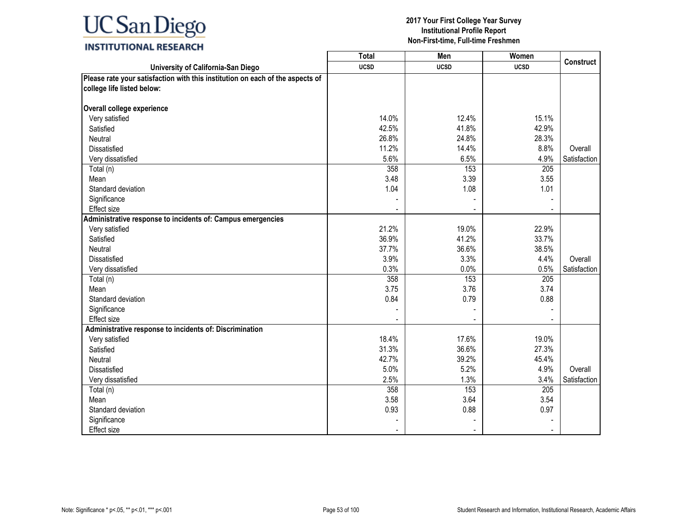## **INSTITUTIONAL RESEARCH**

|                                                                               | <b>Total</b> | Men         | Women       |                  |
|-------------------------------------------------------------------------------|--------------|-------------|-------------|------------------|
| University of California-San Diego                                            | <b>UCSD</b>  | <b>UCSD</b> | <b>UCSD</b> | <b>Construct</b> |
| Please rate your satisfaction with this institution on each of the aspects of |              |             |             |                  |
| college life listed below:                                                    |              |             |             |                  |
|                                                                               |              |             |             |                  |
| Overall college experience                                                    |              |             |             |                  |
| Very satisfied                                                                | 14.0%        | 12.4%       | 15.1%       |                  |
| Satisfied                                                                     | 42.5%        | 41.8%       | 42.9%       |                  |
| <b>Neutral</b>                                                                | 26.8%        | 24.8%       | 28.3%       |                  |
| Dissatisfied                                                                  | 11.2%        | 14.4%       | 8.8%        | Overall          |
| Very dissatisfied                                                             | 5.6%         | 6.5%        | 4.9%        | Satisfaction     |
| Total (n)                                                                     | 358          | 153         | 205         |                  |
| Mean                                                                          | 3.48         | 3.39        | 3.55        |                  |
| Standard deviation                                                            | 1.04         | 1.08        | 1.01        |                  |
| Significance                                                                  |              |             |             |                  |
| Effect size                                                                   |              |             |             |                  |
| Administrative response to incidents of: Campus emergencies                   |              |             |             |                  |
| Very satisfied                                                                | 21.2%        | 19.0%       | 22.9%       |                  |
| Satisfied                                                                     | 36.9%        | 41.2%       | 33.7%       |                  |
| Neutral                                                                       | 37.7%        | 36.6%       | 38.5%       |                  |
| Dissatisfied                                                                  | 3.9%         | 3.3%        | 4.4%        | Overall          |
| Very dissatisfied                                                             | 0.3%         | 0.0%        | 0.5%        | Satisfaction     |
| Total (n)                                                                     | 358          | 153         | 205         |                  |
| Mean                                                                          | 3.75         | 3.76        | 3.74        |                  |
| Standard deviation                                                            | 0.84         | 0.79        | 0.88        |                  |
| Significance                                                                  |              |             |             |                  |
| <b>Effect size</b>                                                            |              |             |             |                  |
| Administrative response to incidents of: Discrimination                       |              |             |             |                  |
| Very satisfied                                                                | 18.4%        | 17.6%       | 19.0%       |                  |
| Satisfied                                                                     | 31.3%        | 36.6%       | 27.3%       |                  |
| Neutral                                                                       | 42.7%        | 39.2%       | 45.4%       |                  |
| <b>Dissatisfied</b>                                                           | 5.0%         | 5.2%        | 4.9%        | Overall          |
| Very dissatisfied                                                             | 2.5%         | 1.3%        | 3.4%        | Satisfaction     |
| Total (n)                                                                     | 358          | 153         | 205         |                  |
| Mean                                                                          | 3.58         | 3.64        | 3.54        |                  |
| Standard deviation                                                            | 0.93         | 0.88        | 0.97        |                  |
| Significance                                                                  |              |             |             |                  |
| Effect size                                                                   |              |             |             |                  |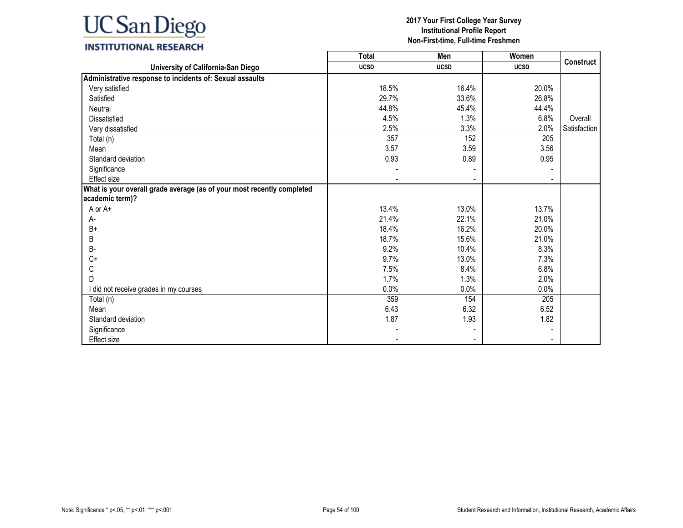### **INSTITUTIONAL RESEARCH**

|                                                                        | <b>Total</b> | Men         | Women       |              |
|------------------------------------------------------------------------|--------------|-------------|-------------|--------------|
| University of California-San Diego                                     | <b>UCSD</b>  | <b>UCSD</b> | <b>UCSD</b> | Construct    |
| Administrative response to incidents of: Sexual assaults               |              |             |             |              |
| Very satisfied                                                         | 18.5%        | 16.4%       | 20.0%       |              |
| Satisfied                                                              | 29.7%        | 33.6%       | 26.8%       |              |
| <b>Neutral</b>                                                         | 44.8%        | 45.4%       | 44.4%       |              |
| <b>Dissatisfied</b>                                                    | 4.5%         | 1.3%        | 6.8%        | Overall      |
| Very dissatisfied                                                      | 2.5%         | 3.3%        | 2.0%        | Satisfaction |
| Total (n)                                                              | 357          | 152         | 205         |              |
| Mean                                                                   | 3.57         | 3.59        | 3.56        |              |
| Standard deviation                                                     | 0.93         | 0.89        | 0.95        |              |
| Significance                                                           |              |             |             |              |
| Effect size                                                            |              |             |             |              |
| What is your overall grade average (as of your most recently completed |              |             |             |              |
| academic term)?                                                        |              |             |             |              |
| A or A+                                                                | 13.4%        | 13.0%       | 13.7%       |              |
| А-                                                                     | 21.4%        | 22.1%       | 21.0%       |              |
| $B+$                                                                   | 18.4%        | 16.2%       | 20.0%       |              |
| B                                                                      | 18.7%        | 15.6%       | 21.0%       |              |
| B-                                                                     | 9.2%         | 10.4%       | 8.3%        |              |
| $C+$                                                                   | 9.7%         | 13.0%       | 7.3%        |              |
| С                                                                      | 7.5%         | 8.4%        | 6.8%        |              |
| D                                                                      | 1.7%         | 1.3%        | 2.0%        |              |
| I did not receive grades in my courses                                 | $0.0\%$      | 0.0%        | 0.0%        |              |
| Total (n)                                                              | 359          | 154         | 205         |              |
| Mean                                                                   | 6.43         | 6.32        | 6.52        |              |
| Standard deviation                                                     | 1.87         | 1.93        | 1.82        |              |
| Significance                                                           |              |             |             |              |
| Effect size                                                            |              |             |             |              |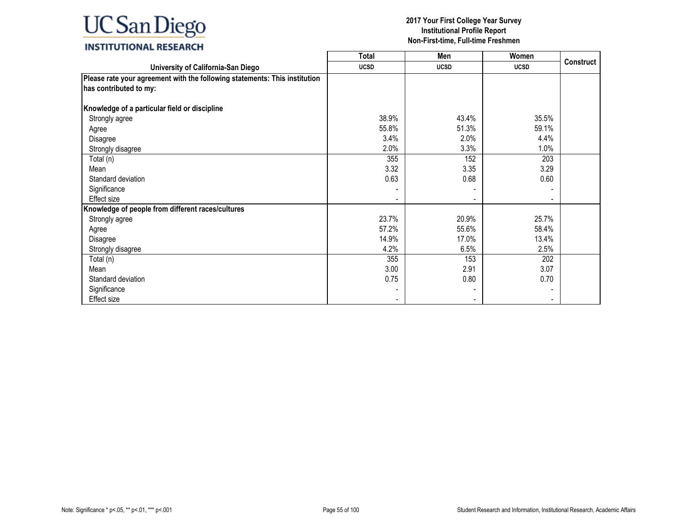## **INSTITUTIONAL RESEARCH**

|                                                                            | <b>Total</b> | Men         | Women       |           |
|----------------------------------------------------------------------------|--------------|-------------|-------------|-----------|
| University of California-San Diego                                         | <b>UCSD</b>  | <b>UCSD</b> | <b>UCSD</b> | Construct |
| Please rate your agreement with the following statements: This institution |              |             |             |           |
| has contributed to my:                                                     |              |             |             |           |
| Knowledge of a particular field or discipline                              |              |             |             |           |
| Strongly agree                                                             | 38.9%        | 43.4%       | 35.5%       |           |
| Agree                                                                      | 55.8%        | 51.3%       | 59.1%       |           |
| Disagree                                                                   | 3.4%         | 2.0%        | 4.4%        |           |
| Strongly disagree                                                          | 2.0%         | 3.3%        | 1.0%        |           |
| Total (n)                                                                  | 355          | 152         | 203         |           |
| Mean                                                                       | 3.32         | 3.35        | 3.29        |           |
| Standard deviation                                                         | 0.63         | 0.68        | 0.60        |           |
| Significance                                                               |              |             |             |           |
| <b>Effect size</b>                                                         |              |             |             |           |
| Knowledge of people from different races/cultures                          |              |             |             |           |
| Strongly agree                                                             | 23.7%        | 20.9%       | 25.7%       |           |
| Agree                                                                      | 57.2%        | 55.6%       | 58.4%       |           |
| Disagree                                                                   | 14.9%        | 17.0%       | 13.4%       |           |
| Strongly disagree                                                          | 4.2%         | 6.5%        | 2.5%        |           |
| Total (n)                                                                  | 355          | 153         | 202         |           |
| Mean                                                                       | 3.00         | 2.91        | 3.07        |           |
| Standard deviation                                                         | 0.75         | 0.80        | 0.70        |           |
| Significance                                                               |              |             |             |           |
| Effect size                                                                |              |             |             |           |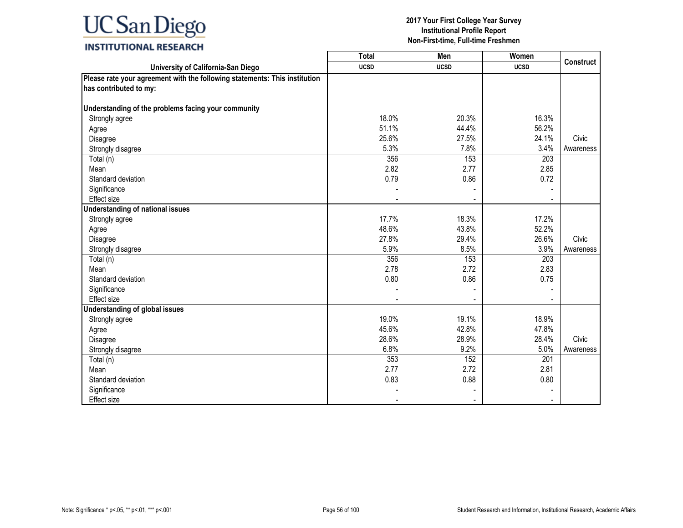### **INSTITUTIONAL RESEARCH**

|                                                                            | <b>Total</b> | Men            | Women       |                  |
|----------------------------------------------------------------------------|--------------|----------------|-------------|------------------|
| University of California-San Diego                                         | <b>UCSD</b>  | <b>UCSD</b>    | <b>UCSD</b> | <b>Construct</b> |
| Please rate your agreement with the following statements: This institution |              |                |             |                  |
| has contributed to my:                                                     |              |                |             |                  |
|                                                                            |              |                |             |                  |
| Understanding of the problems facing your community                        |              |                |             |                  |
| Strongly agree                                                             | 18.0%        | 20.3%          | 16.3%       |                  |
| Agree                                                                      | 51.1%        | 44.4%          | 56.2%       |                  |
| Disagree                                                                   | 25.6%        | 27.5%          | 24.1%       | Civic            |
| Strongly disagree                                                          | 5.3%         | 7.8%           | 3.4%        | Awareness        |
| Total (n)                                                                  | 356          | 153            | 203         |                  |
| Mean                                                                       | 2.82         | 2.77           | 2.85        |                  |
| Standard deviation                                                         | 0.79         | 0.86           | 0.72        |                  |
| Significance                                                               |              |                |             |                  |
| <b>Effect size</b>                                                         |              |                |             |                  |
| <b>Understanding of national issues</b>                                    |              |                |             |                  |
| Strongly agree                                                             | 17.7%        | 18.3%          | 17.2%       |                  |
| Agree                                                                      | 48.6%        | 43.8%          | 52.2%       |                  |
| Disagree                                                                   | 27.8%        | 29.4%          | 26.6%       | Civic            |
| Strongly disagree                                                          | 5.9%         | 8.5%           | 3.9%        | Awareness        |
| Total (n)                                                                  | 356          | 153            | 203         |                  |
| Mean                                                                       | 2.78         | 2.72           | 2.83        |                  |
| Standard deviation                                                         | 0.80         | 0.86           | 0.75        |                  |
| Significance                                                               |              |                |             |                  |
| Effect size                                                                |              | $\blacksquare$ |             |                  |
| <b>Understanding of global issues</b>                                      |              |                |             |                  |
| Strongly agree                                                             | 19.0%        | 19.1%          | 18.9%       |                  |
| Agree                                                                      | 45.6%        | 42.8%          | 47.8%       |                  |
| Disagree                                                                   | 28.6%        | 28.9%          | 28.4%       | Civic            |
| Strongly disagree                                                          | 6.8%         | 9.2%           | 5.0%        | Awareness        |
| Total (n)                                                                  | 353          | 152            | 201         |                  |
| Mean                                                                       | 2.77         | 2.72           | 2.81        |                  |
| Standard deviation                                                         | 0.83         | 0.88           | 0.80        |                  |
| Significance                                                               |              |                |             |                  |
| <b>Effect size</b>                                                         |              | $\blacksquare$ |             |                  |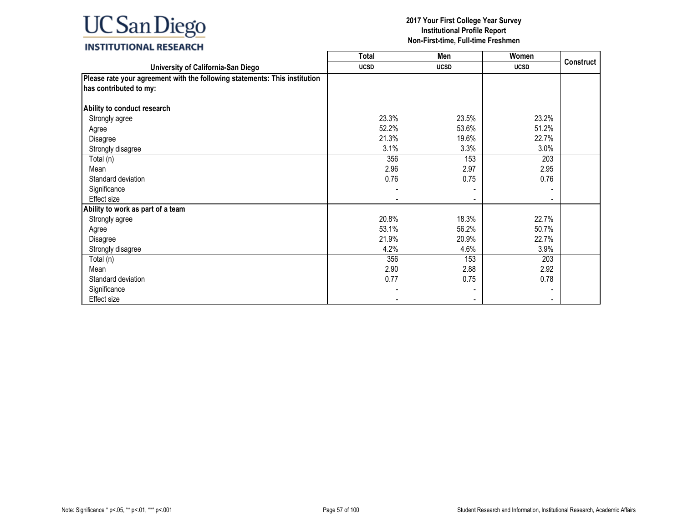## **INSTITUTIONAL RESEARCH**

|                                                                            | <b>Total</b> | Men         | Women       |           |
|----------------------------------------------------------------------------|--------------|-------------|-------------|-----------|
| University of California-San Diego                                         | <b>UCSD</b>  | <b>UCSD</b> | <b>UCSD</b> | Construct |
| Please rate your agreement with the following statements: This institution |              |             |             |           |
| has contributed to my:                                                     |              |             |             |           |
|                                                                            |              |             |             |           |
| Ability to conduct research                                                |              |             |             |           |
| Strongly agree                                                             | 23.3%        | 23.5%       | 23.2%       |           |
| Agree                                                                      | 52.2%        | 53.6%       | 51.2%       |           |
| Disagree                                                                   | 21.3%        | 19.6%       | 22.7%       |           |
| Strongly disagree                                                          | 3.1%         | 3.3%        | 3.0%        |           |
| Total (n)                                                                  | 356          | 153         | 203         |           |
| Mean                                                                       | 2.96         | 2.97        | 2.95        |           |
| Standard deviation                                                         | 0.76         | 0.75        | 0.76        |           |
| Significance                                                               |              |             |             |           |
| Effect size                                                                |              |             |             |           |
| Ability to work as part of a team                                          |              |             |             |           |
| Strongly agree                                                             | 20.8%        | 18.3%       | 22.7%       |           |
| Agree                                                                      | 53.1%        | 56.2%       | 50.7%       |           |
| Disagree                                                                   | 21.9%        | 20.9%       | 22.7%       |           |
| Strongly disagree                                                          | 4.2%         | 4.6%        | 3.9%        |           |
| Total (n)                                                                  | 356          | 153         | 203         |           |
| Mean                                                                       | 2.90         | 2.88        | 2.92        |           |
| Standard deviation                                                         | 0.77         | 0.75        | 0.78        |           |
| Significance                                                               |              |             |             |           |
| Effect size                                                                |              |             |             |           |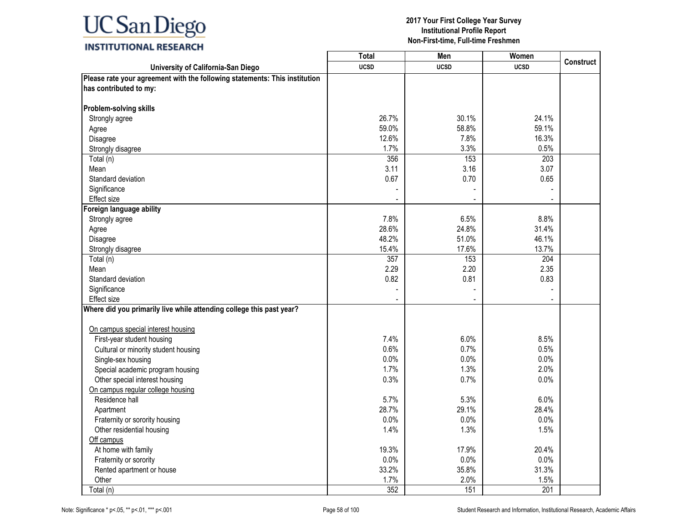## **INSTITUTIONAL RESEARCH**

|                                                                                                      | Total       | Men         | Women       |                  |
|------------------------------------------------------------------------------------------------------|-------------|-------------|-------------|------------------|
| University of California-San Diego                                                                   | <b>UCSD</b> | <b>UCSD</b> | <b>UCSD</b> | <b>Construct</b> |
| Please rate your agreement with the following statements: This institution<br>has contributed to my: |             |             |             |                  |
| Problem-solving skills                                                                               |             |             |             |                  |
| Strongly agree                                                                                       | 26.7%       | 30.1%       | 24.1%       |                  |
| Agree                                                                                                | 59.0%       | 58.8%       | 59.1%       |                  |
| Disagree                                                                                             | 12.6%       | 7.8%        | 16.3%       |                  |
| Strongly disagree                                                                                    | 1.7%        | 3.3%        | 0.5%        |                  |
| Total (n)                                                                                            | 356         | 153         | 203         |                  |
| Mean                                                                                                 | 3.11        | 3.16        | 3.07        |                  |
| Standard deviation                                                                                   | 0.67        | 0.70        | 0.65        |                  |
| Significance                                                                                         |             |             |             |                  |
| <b>Effect size</b>                                                                                   |             |             |             |                  |
| Foreign language ability                                                                             |             |             |             |                  |
| Strongly agree                                                                                       | 7.8%        | 6.5%        | 8.8%        |                  |
| Agree                                                                                                | 28.6%       | 24.8%       | 31.4%       |                  |
| Disagree                                                                                             | 48.2%       | 51.0%       | 46.1%       |                  |
| Strongly disagree                                                                                    | 15.4%       | 17.6%       | 13.7%       |                  |
| Total (n)                                                                                            | 357         | 153         | 204         |                  |
| Mean                                                                                                 | 2.29        | 2.20        | 2.35        |                  |
| Standard deviation                                                                                   | 0.82        | 0.81        | 0.83        |                  |
| Significance                                                                                         |             |             |             |                  |
| Effect size                                                                                          |             |             |             |                  |
| Where did you primarily live while attending college this past year?                                 |             |             |             |                  |
|                                                                                                      |             |             |             |                  |
| On campus special interest housing                                                                   |             |             |             |                  |
| First-year student housing                                                                           | 7.4%        | 6.0%        | 8.5%        |                  |
| Cultural or minority student housing                                                                 | 0.6%        | 0.7%        | 0.5%        |                  |
| Single-sex housing                                                                                   | 0.0%        | 0.0%        | 0.0%        |                  |
| Special academic program housing                                                                     | 1.7%        | 1.3%        | 2.0%        |                  |
| Other special interest housing                                                                       | 0.3%        | 0.7%        | 0.0%        |                  |
| On campus regular college housing                                                                    |             |             |             |                  |
| Residence hall                                                                                       | 5.7%        | 5.3%        | 6.0%        |                  |
| Apartment                                                                                            | 28.7%       | 29.1%       | 28.4%       |                  |
| Fraternity or sorority housing                                                                       | $0.0\%$     | $0.0\%$     | $0.0\%$     |                  |
| Other residential housing                                                                            | 1.4%        | 1.3%        | 1.5%        |                  |
| Off campus                                                                                           |             |             |             |                  |
| At home with family                                                                                  | 19.3%       | 17.9%       | 20.4%       |                  |
| Fraternity or sorority                                                                               | 0.0%        | 0.0%        | 0.0%        |                  |
| Rented apartment or house                                                                            | 33.2%       | 35.8%       | 31.3%       |                  |
| Other                                                                                                | 1.7%        | 2.0%        | 1.5%        |                  |
| Total (n)                                                                                            | 352         | 151         | 201         |                  |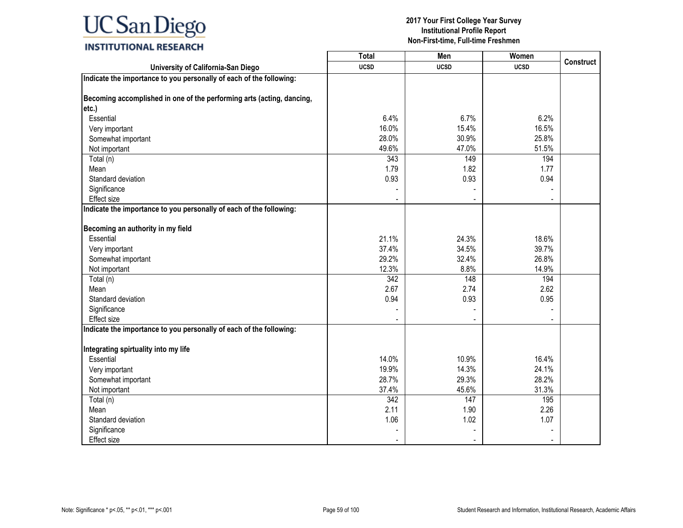|                                                                       | <b>Total</b>             | Men            | Women       |                  |
|-----------------------------------------------------------------------|--------------------------|----------------|-------------|------------------|
| University of California-San Diego                                    | <b>UCSD</b>              | <b>UCSD</b>    | <b>UCSD</b> | <b>Construct</b> |
| Indicate the importance to you personally of each of the following:   |                          |                |             |                  |
|                                                                       |                          |                |             |                  |
| Becoming accomplished in one of the performing arts (acting, dancing, |                          |                |             |                  |
| etc.)                                                                 |                          |                |             |                  |
| Essential                                                             | 6.4%                     | 6.7%           | 6.2%        |                  |
| Very important                                                        | 16.0%                    | 15.4%          | 16.5%       |                  |
| Somewhat important                                                    | 28.0%                    | 30.9%          | 25.8%       |                  |
| Not important                                                         | 49.6%                    | 47.0%          | 51.5%       |                  |
| Total (n)                                                             | 343                      | 149            | 194         |                  |
| Mean                                                                  | 1.79                     | 1.82           | 1.77        |                  |
| Standard deviation                                                    | 0.93                     | 0.93           | 0.94        |                  |
| Significance                                                          |                          |                |             |                  |
| <b>Effect size</b>                                                    |                          |                |             |                  |
| Indicate the importance to you personally of each of the following:   |                          |                |             |                  |
| Becoming an authority in my field                                     |                          |                |             |                  |
| Essential                                                             | 21.1%                    | 24.3%          | 18.6%       |                  |
| Very important                                                        | 37.4%                    | 34.5%          | 39.7%       |                  |
| Somewhat important                                                    | 29.2%                    | 32.4%          | 26.8%       |                  |
| Not important                                                         | 12.3%                    | 8.8%           | 14.9%       |                  |
| Total (n)                                                             | 342                      | 148            | 194         |                  |
| Mean                                                                  | 2.67                     | 2.74           | 2.62        |                  |
| Standard deviation                                                    | 0.94                     | 0.93           | 0.95        |                  |
| Significance                                                          |                          |                |             |                  |
| Effect size                                                           |                          |                |             |                  |
| Indicate the importance to you personally of each of the following:   |                          |                |             |                  |
| Integrating spirtuality into my life                                  |                          |                |             |                  |
| Essential                                                             | 14.0%                    | 10.9%          | 16.4%       |                  |
| Very important                                                        | 19.9%                    | 14.3%          | 24.1%       |                  |
| Somewhat important                                                    | 28.7%                    | 29.3%          | 28.2%       |                  |
|                                                                       |                          |                |             |                  |
| Not important                                                         | 37.4%                    | 45.6%          | 31.3%       |                  |
| Total (n)                                                             | 342                      | 147            | 195         |                  |
| Mean                                                                  | 2.11                     | 1.90           | 2.26        |                  |
| Standard deviation                                                    | 1.06                     | 1.02           | 1.07        |                  |
| Significance                                                          |                          |                |             |                  |
| <b>Effect size</b>                                                    | $\overline{\phantom{a}}$ | $\blacksquare$ |             |                  |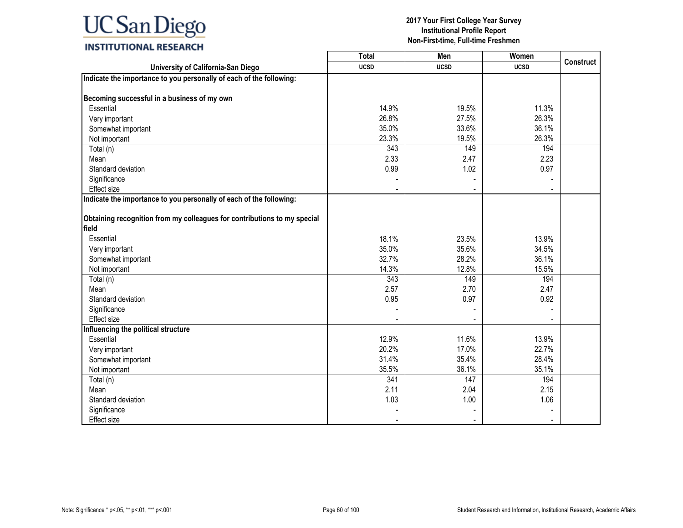|                                                                          | <b>Total</b> | Men         | Women       |                  |
|--------------------------------------------------------------------------|--------------|-------------|-------------|------------------|
| University of California-San Diego                                       | <b>UCSD</b>  | <b>UCSD</b> | <b>UCSD</b> | <b>Construct</b> |
| Indicate the importance to you personally of each of the following:      |              |             |             |                  |
|                                                                          |              |             |             |                  |
| Becoming successful in a business of my own                              |              |             |             |                  |
| Essential                                                                | 14.9%        | 19.5%       | 11.3%       |                  |
| Very important                                                           | 26.8%        | 27.5%       | 26.3%       |                  |
| Somewhat important                                                       | 35.0%        | 33.6%       | 36.1%       |                  |
| Not important                                                            | 23.3%        | 19.5%       | 26.3%       |                  |
| Total (n)                                                                | 343          | 149         | 194         |                  |
| Mean                                                                     | 2.33         | 2.47        | 2.23        |                  |
| Standard deviation                                                       | 0.99         | 1.02        | 0.97        |                  |
| Significance                                                             |              |             |             |                  |
| <b>Effect size</b>                                                       |              |             |             |                  |
| Indicate the importance to you personally of each of the following:      |              |             |             |                  |
|                                                                          |              |             |             |                  |
| Obtaining recognition from my colleagues for contributions to my special |              |             |             |                  |
| field                                                                    |              |             |             |                  |
| Essential                                                                | 18.1%        | 23.5%       | 13.9%       |                  |
| Very important                                                           | 35.0%        | 35.6%       | 34.5%       |                  |
| Somewhat important                                                       | 32.7%        | 28.2%       | 36.1%       |                  |
| Not important                                                            | 14.3%        | 12.8%       | 15.5%       |                  |
| Total (n)                                                                | 343          | 149         | 194         |                  |
| Mean                                                                     | 2.57         | 2.70        | 2.47        |                  |
| Standard deviation                                                       | 0.95         | 0.97        | 0.92        |                  |
| Significance                                                             |              |             |             |                  |
| <b>Effect size</b>                                                       |              |             |             |                  |
| Influencing the political structure                                      |              |             |             |                  |
| Essential                                                                | 12.9%        | 11.6%       | 13.9%       |                  |
| Very important                                                           | 20.2%        | 17.0%       | 22.7%       |                  |
| Somewhat important                                                       | 31.4%        | 35.4%       | 28.4%       |                  |
| Not important                                                            | 35.5%        | 36.1%       | 35.1%       |                  |
| Total (n)                                                                | 341          | 147         | 194         |                  |
| Mean                                                                     | 2.11         | 2.04        | 2.15        |                  |
| Standard deviation                                                       | 1.03         | 1.00        | 1.06        |                  |
| Significance                                                             |              |             |             |                  |
| <b>Effect size</b>                                                       |              |             |             |                  |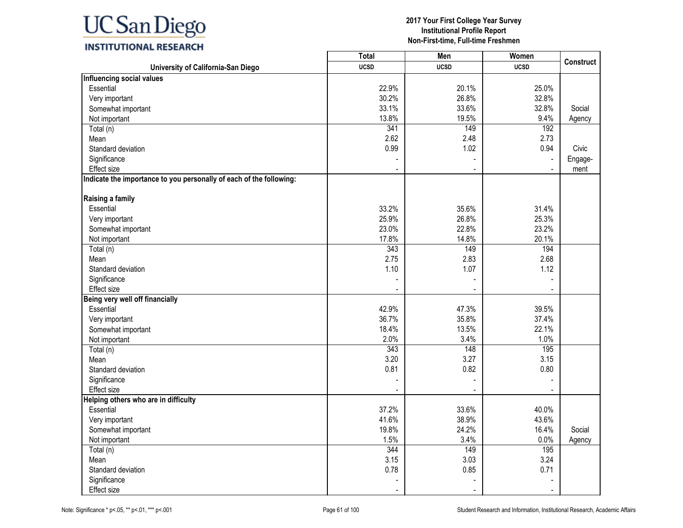

### **INSTITUTIONAL RESEARCH**

|                                                                     | <b>Total</b> | Men         | Women       | <b>Construct</b> |
|---------------------------------------------------------------------|--------------|-------------|-------------|------------------|
| University of California-San Diego                                  | <b>UCSD</b>  | <b>UCSD</b> | <b>UCSD</b> |                  |
| Influencing social values                                           |              |             |             |                  |
| Essential                                                           | 22.9%        | 20.1%       | 25.0%       |                  |
| Very important                                                      | 30.2%        | 26.8%       | 32.8%       |                  |
| Somewhat important                                                  | 33.1%        | 33.6%       | 32.8%       | Social           |
| Not important                                                       | 13.8%        | 19.5%       | 9.4%        | Agency           |
| Total (n)                                                           | 341          | 149         | 192         |                  |
| Mean                                                                | 2.62         | 2.48        | 2.73        |                  |
| Standard deviation                                                  | 0.99         | 1.02        | 0.94        | Civic            |
| Significance                                                        |              |             |             | Engage-          |
| <b>Effect size</b>                                                  |              |             |             | ment             |
| Indicate the importance to you personally of each of the following: |              |             |             |                  |
| Raising a family                                                    |              |             |             |                  |
| Essential                                                           | 33.2%        | 35.6%       | 31.4%       |                  |
| Very important                                                      | 25.9%        | 26.8%       | 25.3%       |                  |
| Somewhat important                                                  | 23.0%        | 22.8%       | 23.2%       |                  |
| Not important                                                       | 17.8%        | 14.8%       | 20.1%       |                  |
| Total (n)                                                           | 343          | 149         | 194         |                  |
| Mean                                                                | 2.75         | 2.83        | 2.68        |                  |
| Standard deviation                                                  | 1.10         | 1.07        | 1.12        |                  |
| Significance                                                        |              |             |             |                  |
| Effect size                                                         |              |             |             |                  |
| Being very well off financially                                     |              |             |             |                  |
| Essential                                                           | 42.9%        | 47.3%       | 39.5%       |                  |
| Very important                                                      | 36.7%        | 35.8%       | 37.4%       |                  |
| Somewhat important                                                  | 18.4%        | 13.5%       | 22.1%       |                  |
| Not important                                                       | 2.0%         | 3.4%        | 1.0%        |                  |
| Total (n)                                                           | 343          | 148         | 195         |                  |
| Mean                                                                | 3.20         | 3.27        | 3.15        |                  |
| Standard deviation                                                  | 0.81         | 0.82        | 0.80        |                  |
| Significance                                                        |              |             |             |                  |
| Effect size                                                         |              |             |             |                  |
| Helping others who are in difficulty                                |              |             |             |                  |
| Essential                                                           | 37.2%        | 33.6%       | 40.0%       |                  |
| Very important                                                      | 41.6%        | 38.9%       | 43.6%       |                  |
| Somewhat important                                                  | 19.8%        | 24.2%       | 16.4%       | Social           |
| Not important                                                       | 1.5%         | 3.4%        | 0.0%        | Agency           |
| Total (n)                                                           | 344          | 149         | 195         |                  |
| Mean                                                                | 3.15         | 3.03        | 3.24        |                  |
| Standard deviation                                                  | 0.78         | 0.85        | 0.71        |                  |
| Significance                                                        |              |             |             |                  |
| Effect size                                                         |              |             |             |                  |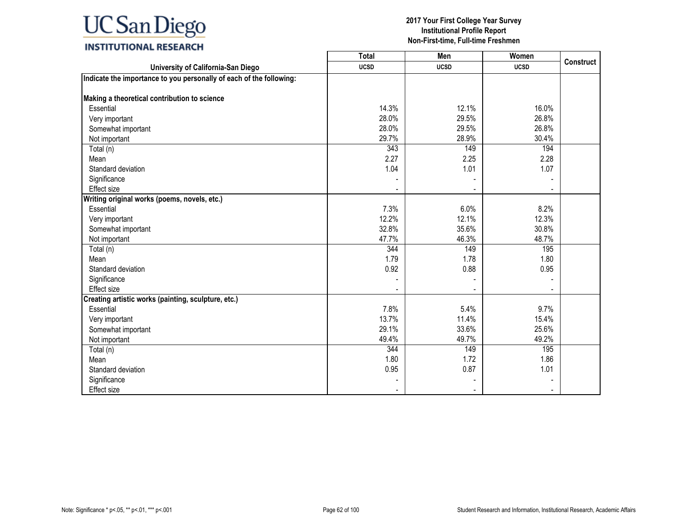|                                                                     | <b>Total</b> | Men         | Women       | <b>Construct</b> |
|---------------------------------------------------------------------|--------------|-------------|-------------|------------------|
| University of California-San Diego                                  | <b>UCSD</b>  | <b>UCSD</b> | <b>UCSD</b> |                  |
| Indicate the importance to you personally of each of the following: |              |             |             |                  |
|                                                                     |              |             |             |                  |
| Making a theoretical contribution to science                        |              |             |             |                  |
| Essential                                                           | 14.3%        | 12.1%       | 16.0%       |                  |
| Very important                                                      | 28.0%        | 29.5%       | 26.8%       |                  |
| Somewhat important                                                  | 28.0%        | 29.5%       | 26.8%       |                  |
| Not important                                                       | 29.7%        | 28.9%       | 30.4%       |                  |
| Total (n)                                                           | 343          | 149         | 194         |                  |
| Mean                                                                | 2.27         | 2.25        | 2.28        |                  |
| Standard deviation                                                  | 1.04         | 1.01        | 1.07        |                  |
| Significance                                                        |              |             |             |                  |
| Effect size                                                         |              |             |             |                  |
| Writing original works (poems, novels, etc.)                        |              |             |             |                  |
| Essential                                                           | 7.3%         | 6.0%        | 8.2%        |                  |
| Very important                                                      | 12.2%        | 12.1%       | 12.3%       |                  |
| Somewhat important                                                  | 32.8%        | 35.6%       | 30.8%       |                  |
| Not important                                                       | 47.7%        | 46.3%       | 48.7%       |                  |
| Total (n)                                                           | 344          | 149         | 195         |                  |
| Mean                                                                | 1.79         | 1.78        | 1.80        |                  |
| Standard deviation                                                  | 0.92         | 0.88        | 0.95        |                  |
| Significance                                                        |              |             |             |                  |
| <b>Effect size</b>                                                  |              |             |             |                  |
| Creating artistic works (painting, sculpture, etc.)                 |              |             |             |                  |
| Essential                                                           | 7.8%         | 5.4%        | 9.7%        |                  |
| Very important                                                      | 13.7%        | 11.4%       | 15.4%       |                  |
| Somewhat important                                                  | 29.1%        | 33.6%       | 25.6%       |                  |
| Not important                                                       | 49.4%        | 49.7%       | 49.2%       |                  |
| Total (n)                                                           | 344          | 149         | 195         |                  |
| Mean                                                                | 1.80         | 1.72        | 1.86        |                  |
| Standard deviation                                                  | 0.95         | 0.87        | 1.01        |                  |
| Significance                                                        |              |             |             |                  |
| Effect size                                                         |              |             |             |                  |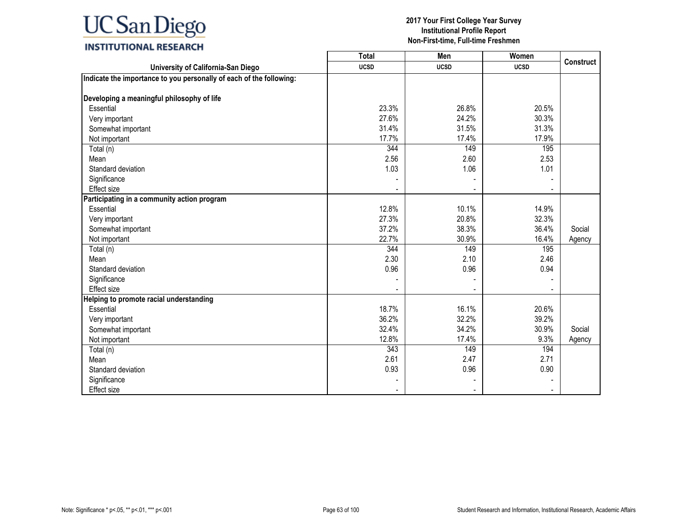|                                                                     | <b>Total</b> | Men         | Women       | <b>Construct</b> |
|---------------------------------------------------------------------|--------------|-------------|-------------|------------------|
| University of California-San Diego                                  | <b>UCSD</b>  | <b>UCSD</b> | <b>UCSD</b> |                  |
| Indicate the importance to you personally of each of the following: |              |             |             |                  |
|                                                                     |              |             |             |                  |
| Developing a meaningful philosophy of life                          |              |             |             |                  |
| Essential                                                           | 23.3%        | 26.8%       | 20.5%       |                  |
| Very important                                                      | 27.6%        | 24.2%       | 30.3%       |                  |
| Somewhat important                                                  | 31.4%        | 31.5%       | 31.3%       |                  |
| Not important                                                       | 17.7%        | 17.4%       | 17.9%       |                  |
| Total (n)                                                           | 344          | 149         | 195         |                  |
| Mean                                                                | 2.56         | 2.60        | 2.53        |                  |
| Standard deviation                                                  | 1.03         | 1.06        | 1.01        |                  |
| Significance                                                        |              |             |             |                  |
| Effect size                                                         |              |             |             |                  |
| Participating in a community action program                         |              |             |             |                  |
| Essential                                                           | 12.8%        | 10.1%       | 14.9%       |                  |
| Very important                                                      | 27.3%        | 20.8%       | 32.3%       |                  |
| Somewhat important                                                  | 37.2%        | 38.3%       | 36.4%       | Social           |
| Not important                                                       | 22.7%        | 30.9%       | 16.4%       | Agency           |
| Total (n)                                                           | 344          | 149         | 195         |                  |
| Mean                                                                | 2.30         | 2.10        | 2.46        |                  |
| Standard deviation                                                  | 0.96         | 0.96        | 0.94        |                  |
| Significance                                                        |              |             |             |                  |
| <b>Effect size</b>                                                  |              |             |             |                  |
| Helping to promote racial understanding                             |              |             |             |                  |
| Essential                                                           | 18.7%        | 16.1%       | 20.6%       |                  |
| Very important                                                      | 36.2%        | 32.2%       | 39.2%       |                  |
| Somewhat important                                                  | 32.4%        | 34.2%       | 30.9%       | Social           |
| Not important                                                       | 12.8%        | 17.4%       | 9.3%        | Agency           |
| Total (n)                                                           | 343          | 149         | 194         |                  |
| Mean                                                                | 2.61         | 2.47        | 2.71        |                  |
| Standard deviation                                                  | 0.93         | 0.96        | 0.90        |                  |
| Significance                                                        |              |             |             |                  |
| Effect size                                                         |              |             |             |                  |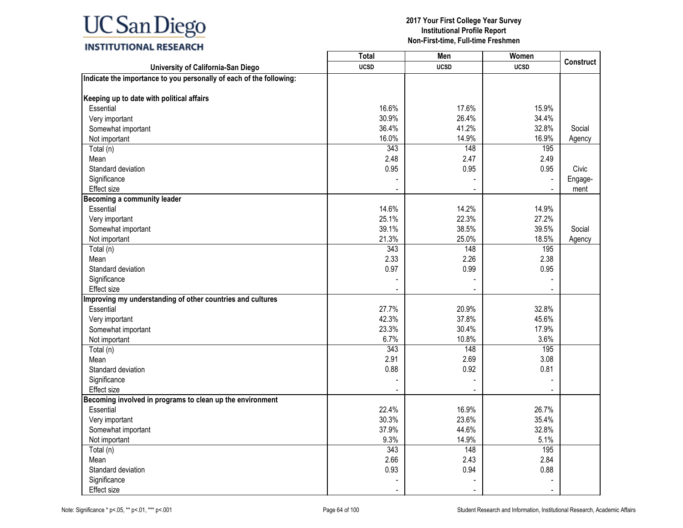|                                                                     | <b>Total</b> | Men            | Women       |                  |
|---------------------------------------------------------------------|--------------|----------------|-------------|------------------|
| University of California-San Diego                                  | <b>UCSD</b>  | <b>UCSD</b>    | <b>UCSD</b> | <b>Construct</b> |
| Indicate the importance to you personally of each of the following: |              |                |             |                  |
|                                                                     |              |                |             |                  |
| Keeping up to date with political affairs                           |              |                |             |                  |
| Essential                                                           | 16.6%        | 17.6%          | 15.9%       |                  |
| Very important                                                      | 30.9%        | 26.4%          | 34.4%       |                  |
| Somewhat important                                                  | 36.4%        | 41.2%          | 32.8%       | Social           |
| Not important                                                       | 16.0%        | 14.9%          | 16.9%       | Agency           |
| Total (n)                                                           | 343          | 148            | 195         |                  |
| Mean                                                                | 2.48         | 2.47           | 2.49        |                  |
| Standard deviation                                                  | 0.95         | 0.95           | 0.95        | Civic            |
| Significance                                                        |              |                |             | Engage-          |
| <b>Effect size</b>                                                  |              |                |             | ment             |
| <b>Becoming a community leader</b>                                  |              |                |             |                  |
| Essential                                                           | 14.6%        | 14.2%          | 14.9%       |                  |
| Very important                                                      | 25.1%        | 22.3%          | 27.2%       |                  |
| Somewhat important                                                  | 39.1%        | 38.5%          | 39.5%       | Social           |
| Not important                                                       | 21.3%        | 25.0%          | 18.5%       | Agency           |
| Total (n)                                                           | 343          | 148            | 195         |                  |
| Mean                                                                | 2.33         | 2.26           | 2.38        |                  |
| Standard deviation                                                  | 0.97         | 0.99           | 0.95        |                  |
| Significance                                                        |              |                |             |                  |
| <b>Effect size</b>                                                  |              |                |             |                  |
| Improving my understanding of other countries and cultures          |              |                |             |                  |
| Essential                                                           | 27.7%        | 20.9%          | 32.8%       |                  |
| Very important                                                      | 42.3%        | 37.8%          | 45.6%       |                  |
| Somewhat important                                                  | 23.3%        | 30.4%          | 17.9%       |                  |
| Not important                                                       | 6.7%         | 10.8%          | 3.6%        |                  |
| Total (n)                                                           | 343          | 148            | 195         |                  |
| Mean                                                                | 2.91         | 2.69           | 3.08        |                  |
| Standard deviation                                                  | 0.88         | 0.92           | 0.81        |                  |
| Significance                                                        |              |                |             |                  |
| <b>Effect size</b>                                                  |              |                |             |                  |
| Becoming involved in programs to clean up the environment           |              |                |             |                  |
| Essential                                                           | 22.4%        | 16.9%          | 26.7%       |                  |
| Very important                                                      | 30.3%        | 23.6%          | 35.4%       |                  |
| Somewhat important                                                  | 37.9%        | 44.6%          | 32.8%       |                  |
| Not important                                                       | 9.3%         | 14.9%          | 5.1%        |                  |
| Total (n)                                                           | 343          | 148            | 195         |                  |
| Mean                                                                | 2.66         | 2.43           | 2.84        |                  |
| Standard deviation                                                  | 0.93         | 0.94           | 0.88        |                  |
| Significance                                                        |              |                |             |                  |
| Effect size                                                         |              | $\blacksquare$ |             |                  |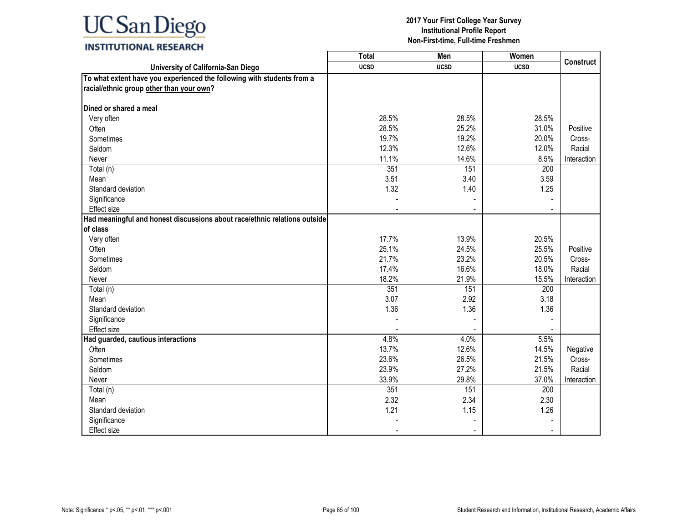### **INSTITUTIONAL RESEARCH**

|                                                                           | <b>Total</b> | Men         | Women       |             |
|---------------------------------------------------------------------------|--------------|-------------|-------------|-------------|
| University of California-San Diego                                        | <b>UCSD</b>  | <b>UCSD</b> | <b>UCSD</b> | Construct   |
| To what extent have you experienced the following with students from a    |              |             |             |             |
| racial/ethnic group other than your own?                                  |              |             |             |             |
|                                                                           |              |             |             |             |
| Dined or shared a meal                                                    |              |             |             |             |
| Very often                                                                | 28.5%        | 28.5%       | 28.5%       |             |
| Often                                                                     | 28.5%        | 25.2%       | 31.0%       | Positive    |
| Sometimes                                                                 | 19.7%        | 19.2%       | 20.0%       | Cross-      |
| Seldom                                                                    | 12.3%        | 12.6%       | 12.0%       | Racial      |
| Never                                                                     | 11.1%        | 14.6%       | 8.5%        | Interaction |
| Total (n)                                                                 | 351          | 151         | 200         |             |
| Mean                                                                      | 3.51         | 3.40        | 3.59        |             |
| Standard deviation                                                        | 1.32         | 1.40        | 1.25        |             |
| Significance                                                              |              |             |             |             |
| <b>Effect size</b>                                                        |              |             |             |             |
| Had meaningful and honest discussions about race/ethnic relations outside |              |             |             |             |
| of class                                                                  |              |             |             |             |
| Very often                                                                | 17.7%        | 13.9%       | 20.5%       |             |
| Often                                                                     | 25.1%        | 24.5%       | 25.5%       | Positive    |
| Sometimes                                                                 | 21.7%        | 23.2%       | 20.5%       | Cross-      |
| Seldom                                                                    | 17.4%        | 16.6%       | 18.0%       | Racial      |
| Never                                                                     | 18.2%        | 21.9%       | 15.5%       | Interaction |
| Total (n)                                                                 | 351          | 151         | 200         |             |
| Mean                                                                      | 3.07         | 2.92        | 3.18        |             |
| Standard deviation                                                        | 1.36         | 1.36        | 1.36        |             |
| Significance                                                              |              |             |             |             |
| <b>Effect size</b>                                                        |              |             |             |             |
| Had guarded, cautious interactions                                        | 4.8%         | 4.0%        | 5.5%        |             |
| Often                                                                     | 13.7%        | 12.6%       | 14.5%       | Negative    |
| Sometimes                                                                 | 23.6%        | 26.5%       | 21.5%       | Cross-      |
| Seldom                                                                    | 23.9%        | 27.2%       | 21.5%       | Racial      |
| Never                                                                     | 33.9%        | 29.8%       | 37.0%       | Interaction |
| Total (n)                                                                 | 351          | 151         | 200         |             |
| Mean                                                                      | 2.32         | 2.34        | 2.30        |             |
| Standard deviation                                                        | 1.21         | 1.15        | 1.26        |             |
| Significance                                                              |              |             |             |             |
| <b>Effect size</b>                                                        |              |             |             |             |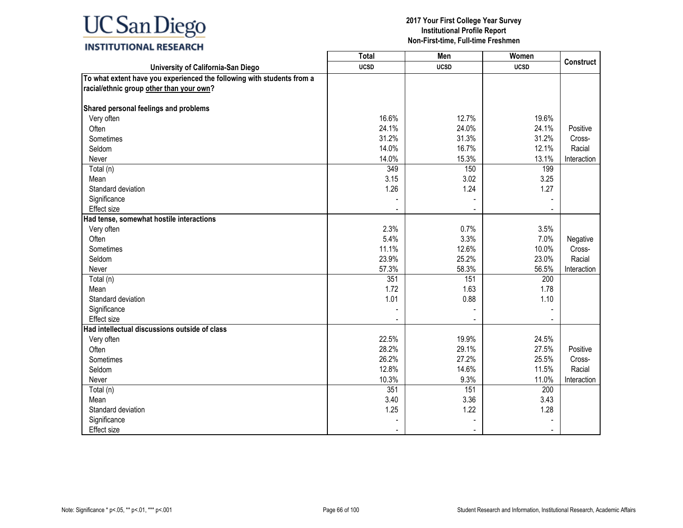### **INSTITUTIONAL RESEARCH**

|                                                                        | <b>Total</b> | Men         | Women       |                  |
|------------------------------------------------------------------------|--------------|-------------|-------------|------------------|
| University of California-San Diego                                     | <b>UCSD</b>  | <b>UCSD</b> | <b>UCSD</b> | <b>Construct</b> |
| To what extent have you experienced the following with students from a |              |             |             |                  |
| racial/ethnic group other than your own?                               |              |             |             |                  |
|                                                                        |              |             |             |                  |
| Shared personal feelings and problems                                  |              |             |             |                  |
| Very often                                                             | 16.6%        | 12.7%       | 19.6%       |                  |
| Often                                                                  | 24.1%        | 24.0%       | 24.1%       | Positive         |
| Sometimes                                                              | 31.2%        | 31.3%       | 31.2%       | Cross-           |
| Seldom                                                                 | 14.0%        | 16.7%       | 12.1%       | Racial           |
| Never                                                                  | 14.0%        | 15.3%       | 13.1%       | Interaction      |
| Total (n)                                                              | 349          | 150         | 199         |                  |
| Mean                                                                   | 3.15         | 3.02        | 3.25        |                  |
| Standard deviation                                                     | 1.26         | 1.24        | 1.27        |                  |
| Significance                                                           |              |             |             |                  |
| Effect size                                                            |              |             |             |                  |
| Had tense, somewhat hostile interactions                               |              |             |             |                  |
| Very often                                                             | 2.3%         | 0.7%        | 3.5%        |                  |
| Often                                                                  | 5.4%         | 3.3%        | 7.0%        | Negative         |
| Sometimes                                                              | 11.1%        | 12.6%       | 10.0%       | Cross-           |
| Seldom                                                                 | 23.9%        | 25.2%       | 23.0%       | Racial           |
| Never                                                                  | 57.3%        | 58.3%       | 56.5%       | Interaction      |
| Total (n)                                                              | 351          | 151         | 200         |                  |
| Mean                                                                   | 1.72         | 1.63        | 1.78        |                  |
| Standard deviation                                                     | 1.01         | 0.88        | 1.10        |                  |
| Significance                                                           |              |             |             |                  |
| <b>Effect size</b>                                                     |              |             |             |                  |
| Had intellectual discussions outside of class                          |              |             |             |                  |
| Very often                                                             | 22.5%        | 19.9%       | 24.5%       |                  |
| Often                                                                  | 28.2%        | 29.1%       | 27.5%       | Positive         |
| Sometimes                                                              | 26.2%        | 27.2%       | 25.5%       | Cross-           |
| Seldom                                                                 | 12.8%        | 14.6%       | 11.5%       | Racial           |
| Never                                                                  | 10.3%        | 9.3%        | 11.0%       | Interaction      |
| Total (n)                                                              | 351          | 151         | 200         |                  |
| Mean                                                                   | 3.40         | 3.36        | 3.43        |                  |
| Standard deviation                                                     | 1.25         | 1.22        | 1.28        |                  |
| Significance                                                           |              |             |             |                  |
| <b>Effect size</b>                                                     |              |             |             |                  |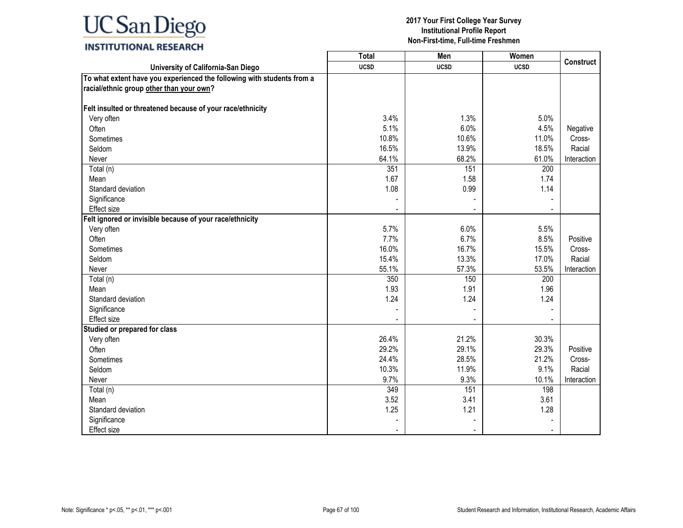### **INSTITUTIONAL RESEARCH**

|                                                                        | <b>Total</b> | Men         | Women       |                  |
|------------------------------------------------------------------------|--------------|-------------|-------------|------------------|
| University of California-San Diego                                     | <b>UCSD</b>  | <b>UCSD</b> | <b>UCSD</b> | <b>Construct</b> |
| To what extent have you experienced the following with students from a |              |             |             |                  |
| racial/ethnic group other than your own?                               |              |             |             |                  |
|                                                                        |              |             |             |                  |
| Felt insulted or threatened because of your race/ethnicity             |              |             |             |                  |
| Very often                                                             | 3.4%         | 1.3%        | 5.0%        |                  |
| Often                                                                  | 5.1%         | 6.0%        | 4.5%        | Negative         |
| Sometimes                                                              | 10.8%        | 10.6%       | 11.0%       | Cross-           |
| Seldom                                                                 | 16.5%        | 13.9%       | 18.5%       | Racial           |
| Never                                                                  | 64.1%        | 68.2%       | 61.0%       | Interaction      |
| Total (n)                                                              | 351          | 151         | 200         |                  |
| Mean                                                                   | 1.67         | 1.58        | 1.74        |                  |
| Standard deviation                                                     | 1.08         | 0.99        | 1.14        |                  |
| Significance                                                           |              |             |             |                  |
| <b>Effect size</b>                                                     |              |             |             |                  |
| Felt ignored or invisible because of your race/ethnicity               |              |             |             |                  |
| Very often                                                             | 5.7%         | 6.0%        | 5.5%        |                  |
| Often                                                                  | 7.7%         | 6.7%        | 8.5%        | Positive         |
| Sometimes                                                              | 16.0%        | 16.7%       | 15.5%       | Cross-           |
| Seldom                                                                 | 15.4%        | 13.3%       | 17.0%       | Racial           |
| Never                                                                  | 55.1%        | 57.3%       | 53.5%       | Interaction      |
| Total (n)                                                              | 350          | 150         | 200         |                  |
| Mean                                                                   | 1.93         | 1.91        | 1.96        |                  |
| Standard deviation                                                     | 1.24         | 1.24        | 1.24        |                  |
| Significance                                                           |              |             |             |                  |
| <b>Effect size</b>                                                     |              |             |             |                  |
| Studied or prepared for class                                          |              |             |             |                  |
| Very often                                                             | 26.4%        | 21.2%       | 30.3%       |                  |
| Often                                                                  | 29.2%        | 29.1%       | 29.3%       | Positive         |
| Sometimes                                                              | 24.4%        | 28.5%       | 21.2%       | Cross-           |
| Seldom                                                                 | 10.3%        | 11.9%       | 9.1%        | Racial           |
| Never                                                                  | 9.7%         | 9.3%        | 10.1%       | Interaction      |
| Total (n)                                                              | 349          | 151         | 198         |                  |
| Mean                                                                   | 3.52         | 3.41        | 3.61        |                  |
| Standard deviation                                                     | 1.25         | 1.21        | 1.28        |                  |
| Significance                                                           |              |             |             |                  |
| <b>Effect size</b>                                                     |              |             |             |                  |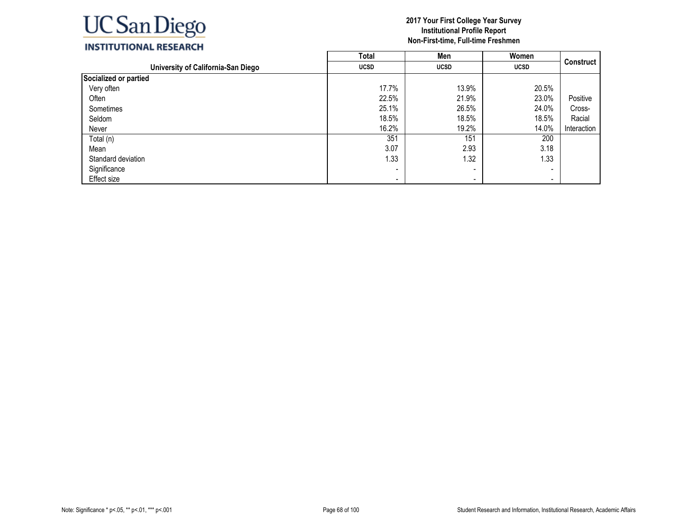

|                                    | <b>Total</b> | Men                      | Women       |                  |
|------------------------------------|--------------|--------------------------|-------------|------------------|
| University of California-San Diego | <b>UCSD</b>  | <b>UCSD</b>              | <b>UCSD</b> | <b>Construct</b> |
| Socialized or partied              |              |                          |             |                  |
| Very often                         | 17.7%        | 13.9%                    | 20.5%       |                  |
| Often                              | 22.5%        | 21.9%                    | 23.0%       | Positive         |
| Sometimes                          | 25.1%        | 26.5%                    | 24.0%       | Cross-           |
| Seldom                             | 18.5%        | 18.5%                    | 18.5%       | Racial           |
| Never                              | 16.2%        | 19.2%                    | 14.0%       | Interaction      |
| Total (n)                          | 351          | 151                      | 200         |                  |
| Mean                               | 3.07         | 2.93                     | 3.18        |                  |
| Standard deviation                 | 1.33         | 1.32                     | 1.33        |                  |
| Significance                       | -            | $\overline{\phantom{a}}$ | -           |                  |
| Effect size                        | -            | -                        | -           |                  |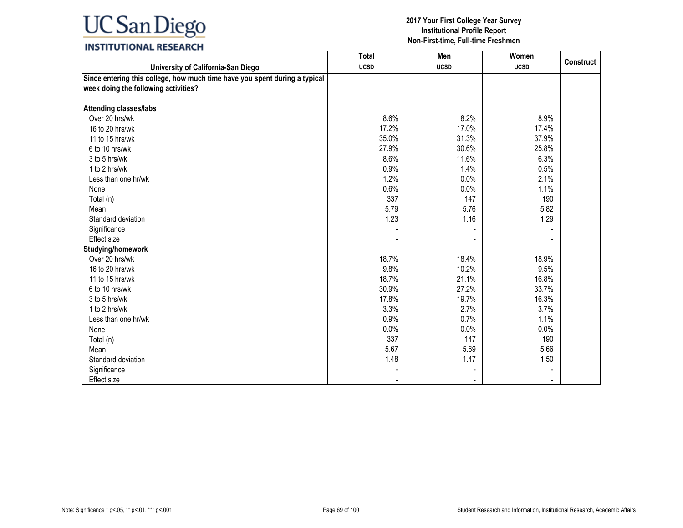## **INSTITUTIONAL RESEARCH**

|                                                                                                                    | <b>Total</b> | Men         | Women       |                  |
|--------------------------------------------------------------------------------------------------------------------|--------------|-------------|-------------|------------------|
| University of California-San Diego                                                                                 | <b>UCSD</b>  | <b>UCSD</b> | <b>UCSD</b> | <b>Construct</b> |
| Since entering this college, how much time have you spent during a typical<br>week doing the following activities? |              |             |             |                  |
| <b>Attending classes/labs</b>                                                                                      |              |             |             |                  |
| Over 20 hrs/wk                                                                                                     | 8.6%         | 8.2%        | 8.9%        |                  |
| 16 to 20 hrs/wk                                                                                                    | 17.2%        | 17.0%       | 17.4%       |                  |
| 11 to 15 hrs/wk                                                                                                    | 35.0%        | 31.3%       | 37.9%       |                  |
| 6 to 10 hrs/wk                                                                                                     | 27.9%        | 30.6%       | 25.8%       |                  |
| 3 to 5 hrs/wk                                                                                                      | 8.6%         | 11.6%       | 6.3%        |                  |
| 1 to 2 hrs/wk                                                                                                      | 0.9%         | 1.4%        | 0.5%        |                  |
| Less than one hr/wk                                                                                                | 1.2%         | 0.0%        | 2.1%        |                  |
| None                                                                                                               | 0.6%         | 0.0%        | 1.1%        |                  |
| Total (n)                                                                                                          | 337          | 147         | 190         |                  |
| Mean                                                                                                               | 5.79         | 5.76        | 5.82        |                  |
| Standard deviation                                                                                                 | 1.23         | 1.16        | 1.29        |                  |
| Significance                                                                                                       |              |             |             |                  |
| Effect size                                                                                                        |              |             |             |                  |
| Studying/homework                                                                                                  |              |             |             |                  |
| Over 20 hrs/wk                                                                                                     | 18.7%        | 18.4%       | 18.9%       |                  |
| 16 to 20 hrs/wk                                                                                                    | 9.8%         | 10.2%       | 9.5%        |                  |
| 11 to 15 hrs/wk                                                                                                    | 18.7%        | 21.1%       | 16.8%       |                  |
| 6 to 10 hrs/wk                                                                                                     | 30.9%        | 27.2%       | 33.7%       |                  |
| 3 to 5 hrs/wk                                                                                                      | 17.8%        | 19.7%       | 16.3%       |                  |
| 1 to 2 hrs/wk                                                                                                      | 3.3%         | 2.7%        | 3.7%        |                  |
| Less than one hr/wk                                                                                                | 0.9%         | 0.7%        | 1.1%        |                  |
| None                                                                                                               | 0.0%         | 0.0%        | 0.0%        |                  |
| Total (n)                                                                                                          | 337          | 147         | 190         |                  |
| Mean                                                                                                               | 5.67         | 5.69        | 5.66        |                  |
| Standard deviation                                                                                                 | 1.48         | 1.47        | 1.50        |                  |
| Significance                                                                                                       |              |             |             |                  |
| Effect size                                                                                                        |              |             |             |                  |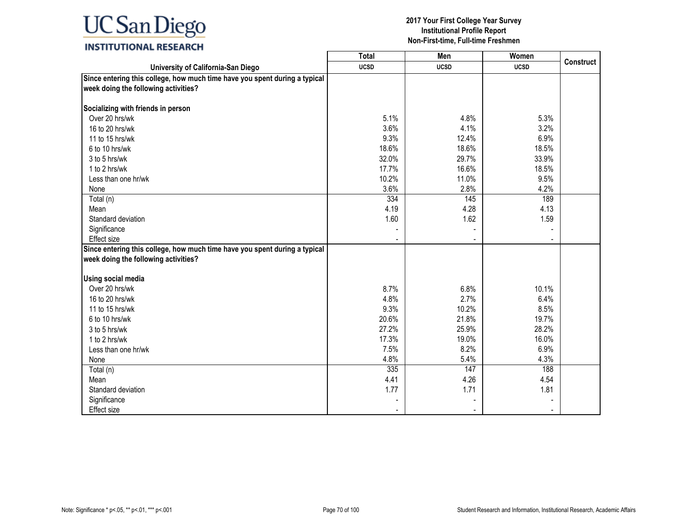## **INSTITUTIONAL RESEARCH**

|                                                                            | $\overline{\text{Total}}$ | Men         | Women       |                  |
|----------------------------------------------------------------------------|---------------------------|-------------|-------------|------------------|
| University of California-San Diego                                         | <b>UCSD</b>               | <b>UCSD</b> | <b>UCSD</b> | <b>Construct</b> |
| Since entering this college, how much time have you spent during a typical |                           |             |             |                  |
| week doing the following activities?                                       |                           |             |             |                  |
|                                                                            |                           |             |             |                  |
| Socializing with friends in person                                         |                           |             |             |                  |
| Over 20 hrs/wk                                                             | 5.1%                      | 4.8%        | 5.3%        |                  |
| 16 to 20 hrs/wk                                                            | 3.6%                      | 4.1%        | 3.2%        |                  |
| 11 to 15 hrs/wk                                                            | 9.3%                      | 12.4%       | 6.9%        |                  |
| 6 to 10 hrs/wk                                                             | 18.6%                     | 18.6%       | 18.5%       |                  |
| 3 to 5 hrs/wk                                                              | 32.0%                     | 29.7%       | 33.9%       |                  |
| 1 to 2 hrs/wk                                                              | 17.7%                     | 16.6%       | 18.5%       |                  |
| Less than one hr/wk                                                        | 10.2%                     | 11.0%       | 9.5%        |                  |
| None                                                                       | 3.6%                      | 2.8%        | 4.2%        |                  |
| Total (n)                                                                  | 334                       | 145         | 189         |                  |
| Mean                                                                       | 4.19                      | 4.28        | 4.13        |                  |
| Standard deviation                                                         | 1.60                      | 1.62        | 1.59        |                  |
| Significance                                                               |                           |             |             |                  |
| <b>Effect size</b>                                                         |                           |             |             |                  |
| Since entering this college, how much time have you spent during a typical |                           |             |             |                  |
| week doing the following activities?                                       |                           |             |             |                  |
|                                                                            |                           |             |             |                  |
| <b>Using social media</b>                                                  |                           |             |             |                  |
| Over 20 hrs/wk                                                             | 8.7%                      | 6.8%        | 10.1%       |                  |
| 16 to 20 hrs/wk                                                            | 4.8%                      | 2.7%        | 6.4%        |                  |
| 11 to 15 hrs/wk                                                            | 9.3%                      | 10.2%       | 8.5%        |                  |
| 6 to 10 hrs/wk                                                             | 20.6%                     | 21.8%       | 19.7%       |                  |
| 3 to 5 hrs/wk                                                              | 27.2%                     | 25.9%       | 28.2%       |                  |
| 1 to 2 hrs/wk                                                              | 17.3%                     | 19.0%       | 16.0%       |                  |
| Less than one hr/wk                                                        | 7.5%                      | 8.2%        | 6.9%        |                  |
| None                                                                       | 4.8%                      | 5.4%        | 4.3%        |                  |
| Total (n)                                                                  | 335                       | 147         | 188         |                  |
| Mean                                                                       | 4.41                      | 4.26        | 4.54        |                  |
| Standard deviation                                                         | 1.77                      | 1.71        | 1.81        |                  |
| Significance                                                               |                           |             |             |                  |
| <b>Effect size</b>                                                         |                           |             |             |                  |
|                                                                            |                           |             |             |                  |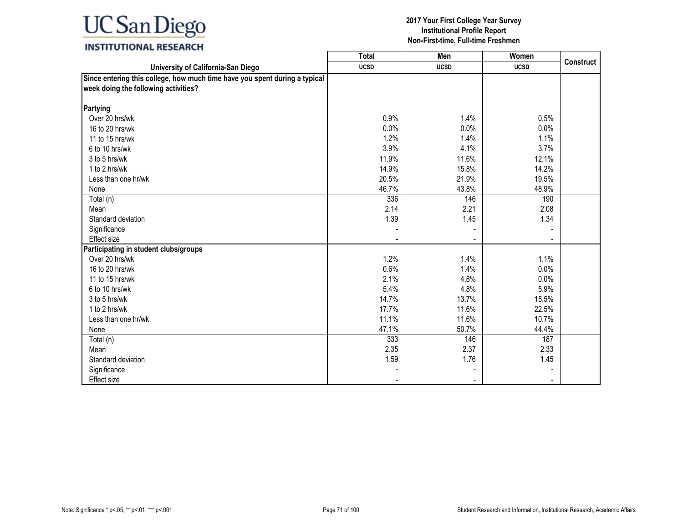## **INSTITUTIONAL RESEARCH**

|                                                                                                                    | Total       | Men                      | Women       |                  |
|--------------------------------------------------------------------------------------------------------------------|-------------|--------------------------|-------------|------------------|
| University of California-San Diego                                                                                 | <b>UCSD</b> | <b>UCSD</b>              | <b>UCSD</b> | <b>Construct</b> |
| Since entering this college, how much time have you spent during a typical<br>week doing the following activities? |             |                          |             |                  |
| Partying                                                                                                           |             |                          |             |                  |
| Over 20 hrs/wk                                                                                                     | 0.9%        | 1.4%                     | 0.5%        |                  |
| 16 to 20 hrs/wk                                                                                                    | 0.0%        | 0.0%                     | 0.0%        |                  |
| 11 to 15 hrs/wk                                                                                                    | 1.2%        | 1.4%                     | 1.1%        |                  |
| 6 to 10 hrs/wk                                                                                                     | 3.9%        | 4.1%                     | 3.7%        |                  |
| 3 to 5 hrs/wk                                                                                                      | 11.9%       | 11.6%                    | 12.1%       |                  |
| 1 to 2 hrs/wk                                                                                                      | 14.9%       | 15.8%                    | 14.2%       |                  |
| Less than one hr/wk                                                                                                | 20.5%       | 21.9%                    | 19.5%       |                  |
| None                                                                                                               | 46.7%       | 43.8%                    | 48.9%       |                  |
| Total (n)                                                                                                          | 336         | 146                      | 190         |                  |
| Mean                                                                                                               | 2.14        | 2.21                     | 2.08        |                  |
| Standard deviation                                                                                                 | 1.39        | 1.45                     | 1.34        |                  |
| Significance                                                                                                       |             |                          |             |                  |
| <b>Effect size</b>                                                                                                 |             | $\overline{\phantom{a}}$ |             |                  |
| Participating in student clubs/groups                                                                              |             |                          |             |                  |
| Over 20 hrs/wk                                                                                                     | 1.2%        | 1.4%                     | 1.1%        |                  |
| 16 to 20 hrs/wk                                                                                                    | 0.6%        | 1.4%                     | 0.0%        |                  |
| 11 to 15 hrs/wk                                                                                                    | 2.1%        | 4.8%                     | 0.0%        |                  |
| 6 to 10 hrs/wk                                                                                                     | 5.4%        | 4.8%                     | 5.9%        |                  |
| 3 to 5 hrs/wk                                                                                                      | 14.7%       | 13.7%                    | 15.5%       |                  |
| 1 to 2 hrs/wk                                                                                                      | 17.7%       | 11.6%                    | 22.5%       |                  |
| Less than one hr/wk                                                                                                | 11.1%       | 11.6%                    | 10.7%       |                  |
| None                                                                                                               | 47.1%       | 50.7%                    | 44.4%       |                  |
| Total (n)                                                                                                          | 333         | 146                      | 187         |                  |
| Mean                                                                                                               | 2.35        | 2.37                     | 2.33        |                  |
| Standard deviation                                                                                                 | 1.59        | 1.76                     | 1.45        |                  |
| Significance                                                                                                       |             |                          |             |                  |
| Effect size                                                                                                        |             |                          |             |                  |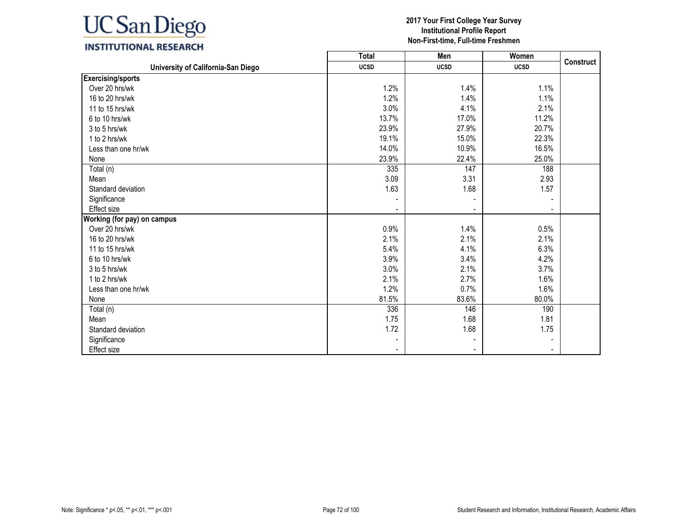

### **INSTITUTIONAL RESEARCH**

|                                    | <b>Total</b>             | Men                      | Women          | <b>Construct</b> |
|------------------------------------|--------------------------|--------------------------|----------------|------------------|
| University of California-San Diego | <b>UCSD</b>              | <b>UCSD</b>              | <b>UCSD</b>    |                  |
| <b>Exercising/sports</b>           |                          |                          |                |                  |
| Over 20 hrs/wk                     | 1.2%                     | 1.4%                     | 1.1%           |                  |
| 16 to 20 hrs/wk                    | 1.2%                     | 1.4%                     | 1.1%           |                  |
| 11 to 15 hrs/wk                    | 3.0%                     | 4.1%                     | 2.1%           |                  |
| 6 to 10 hrs/wk                     | 13.7%                    | 17.0%                    | 11.2%          |                  |
| 3 to 5 hrs/wk                      | 23.9%                    | 27.9%                    | 20.7%          |                  |
| 1 to 2 hrs/wk                      | 19.1%                    | 15.0%                    | 22.3%          |                  |
| Less than one hr/wk                | 14.0%                    | 10.9%                    | 16.5%          |                  |
| None                               | 23.9%                    | 22.4%                    | 25.0%          |                  |
| Total (n)                          | 335                      | 147                      | 188            |                  |
| Mean                               | 3.09                     | 3.31                     | 2.93           |                  |
| Standard deviation                 | 1.63                     | 1.68                     | 1.57           |                  |
| Significance                       |                          |                          |                |                  |
| <b>Effect size</b>                 |                          |                          |                |                  |
| Working (for pay) on campus        |                          |                          |                |                  |
| Over 20 hrs/wk                     | 0.9%                     | 1.4%                     | 0.5%           |                  |
| 16 to 20 hrs/wk                    | 2.1%                     | 2.1%                     | 2.1%           |                  |
| 11 to 15 hrs/wk                    | 5.4%                     | 4.1%                     | 6.3%           |                  |
| 6 to 10 hrs/wk                     | 3.9%                     | 3.4%                     | 4.2%           |                  |
| 3 to 5 hrs/wk                      | 3.0%                     | 2.1%                     | 3.7%           |                  |
| 1 to 2 hrs/wk                      | 2.1%                     | 2.7%                     | 1.6%           |                  |
| Less than one hr/wk                | 1.2%                     | 0.7%                     | 1.6%           |                  |
| None                               | 81.5%                    | 83.6%                    | 80.0%          |                  |
| Total (n)                          | 336                      | 146                      | 190            |                  |
| Mean                               | 1.75                     | 1.68                     | 1.81           |                  |
| Standard deviation                 | 1.72                     | 1.68                     | 1.75           |                  |
| Significance                       |                          |                          |                |                  |
| <b>Effect size</b>                 | $\overline{\phantom{a}}$ | $\overline{\phantom{a}}$ | $\blacksquare$ |                  |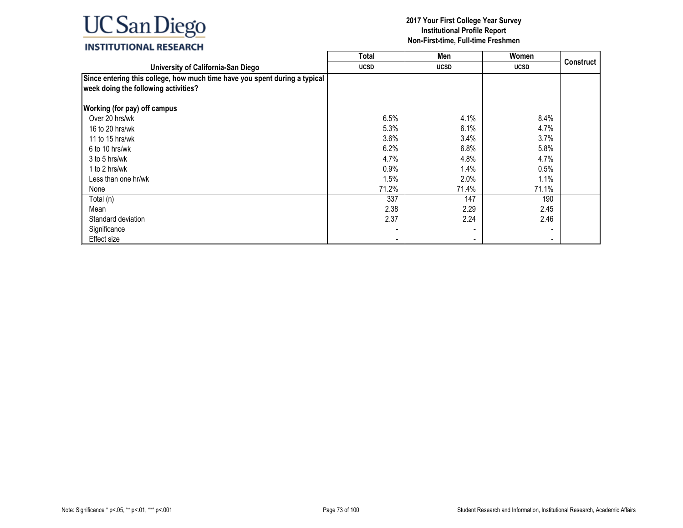## **2017 Your First College Year Survey Institutional Profile Report Non-First-time, Full-time Freshmen**

 $\overline{\phantom{0}}$ 

| INSTITUTIONAL RESEARCH |
|------------------------|
|------------------------|

|                                                                            | Total       | Men                      | Women                    |                  |
|----------------------------------------------------------------------------|-------------|--------------------------|--------------------------|------------------|
| University of California-San Diego                                         | <b>UCSD</b> | <b>UCSD</b>              | <b>UCSD</b>              | <b>Construct</b> |
| Since entering this college, how much time have you spent during a typical |             |                          |                          |                  |
| week doing the following activities?                                       |             |                          |                          |                  |
|                                                                            |             |                          |                          |                  |
| <b>Working (for pay) off campus</b>                                        |             |                          |                          |                  |
| Over 20 hrs/wk                                                             | 6.5%        | 4.1%                     | 8.4%                     |                  |
| 16 to 20 hrs/wk                                                            | 5.3%        | 6.1%                     | 4.7%                     |                  |
| 11 to 15 hrs/wk                                                            | 3.6%        | 3.4%                     | 3.7%                     |                  |
| 6 to 10 hrs/wk                                                             | 6.2%        | 6.8%                     | 5.8%                     |                  |
| 3 to 5 hrs/wk                                                              | 4.7%        | 4.8%                     | 4.7%                     |                  |
| 1 to 2 hrs/wk                                                              | 0.9%        | 1.4%                     | 0.5%                     |                  |
| Less than one hr/wk                                                        | 1.5%        | 2.0%                     | 1.1%                     |                  |
| None                                                                       | 71.2%       | 71.4%                    | 71.1%                    |                  |
| Total (n)                                                                  | 337         | 147                      | 190                      |                  |
| Mean                                                                       | 2.38        | 2.29                     | 2.45                     |                  |
| Standard deviation                                                         | 2.37        | 2.24                     | 2.46                     |                  |
| Significance                                                               |             |                          |                          |                  |
| Effect size                                                                | ۰           | $\overline{\phantom{a}}$ | $\overline{\phantom{a}}$ |                  |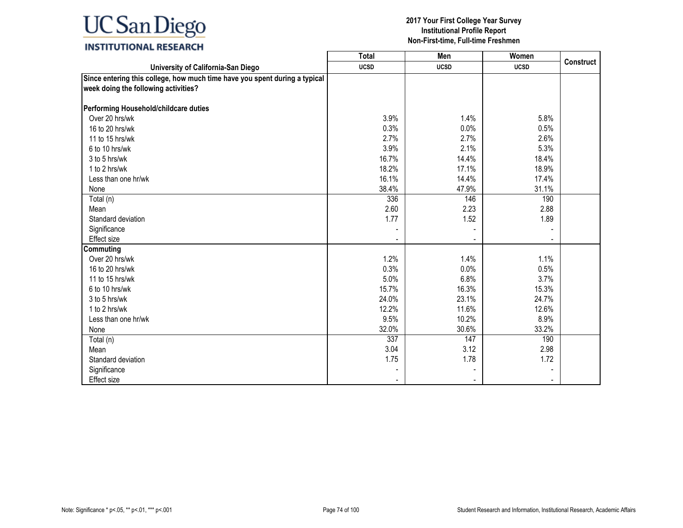## **INSTITUTIONAL RESEARCH**

|                                                                                                                    | <b>Total</b> | Men         | Women       |                  |
|--------------------------------------------------------------------------------------------------------------------|--------------|-------------|-------------|------------------|
| University of California-San Diego                                                                                 | <b>UCSD</b>  | <b>UCSD</b> | <b>UCSD</b> | <b>Construct</b> |
| Since entering this college, how much time have you spent during a typical<br>week doing the following activities? |              |             |             |                  |
| Performing Household/childcare duties                                                                              |              |             |             |                  |
| Over 20 hrs/wk                                                                                                     | 3.9%         | 1.4%        | 5.8%        |                  |
| 16 to 20 hrs/wk                                                                                                    | 0.3%         | 0.0%        | 0.5%        |                  |
| 11 to 15 hrs/wk                                                                                                    | 2.7%         | 2.7%        | 2.6%        |                  |
| 6 to 10 hrs/wk                                                                                                     | 3.9%         | 2.1%        | 5.3%        |                  |
| 3 to 5 hrs/wk                                                                                                      | 16.7%        | 14.4%       | 18.4%       |                  |
| 1 to 2 hrs/wk                                                                                                      | 18.2%        | 17.1%       | 18.9%       |                  |
| Less than one hr/wk                                                                                                | 16.1%        | 14.4%       | 17.4%       |                  |
| None                                                                                                               | 38.4%        | 47.9%       | 31.1%       |                  |
| Total (n)                                                                                                          | 336          | 146         | 190         |                  |
| Mean                                                                                                               | 2.60         | 2.23        | 2.88        |                  |
| Standard deviation                                                                                                 | 1.77         | 1.52        | 1.89        |                  |
| Significance                                                                                                       |              |             |             |                  |
| Effect size                                                                                                        |              |             |             |                  |
| Commuting                                                                                                          |              |             |             |                  |
| Over 20 hrs/wk                                                                                                     | 1.2%         | 1.4%        | 1.1%        |                  |
| 16 to 20 hrs/wk                                                                                                    | 0.3%         | 0.0%        | 0.5%        |                  |
| 11 to 15 hrs/wk                                                                                                    | 5.0%         | 6.8%        | 3.7%        |                  |
| 6 to 10 hrs/wk                                                                                                     | 15.7%        | 16.3%       | 15.3%       |                  |
| 3 to 5 hrs/wk                                                                                                      | 24.0%        | 23.1%       | 24.7%       |                  |
| 1 to 2 hrs/wk                                                                                                      | 12.2%        | 11.6%       | 12.6%       |                  |
| Less than one hr/wk                                                                                                | 9.5%         | 10.2%       | 8.9%        |                  |
| None                                                                                                               | 32.0%        | 30.6%       | 33.2%       |                  |
| Total (n)                                                                                                          | 337          | 147         | 190         |                  |
| Mean                                                                                                               | 3.04         | 3.12        | 2.98        |                  |
| Standard deviation                                                                                                 | 1.75         | 1.78        | 1.72        |                  |
| Significance                                                                                                       |              |             |             |                  |
| Effect size                                                                                                        |              |             |             |                  |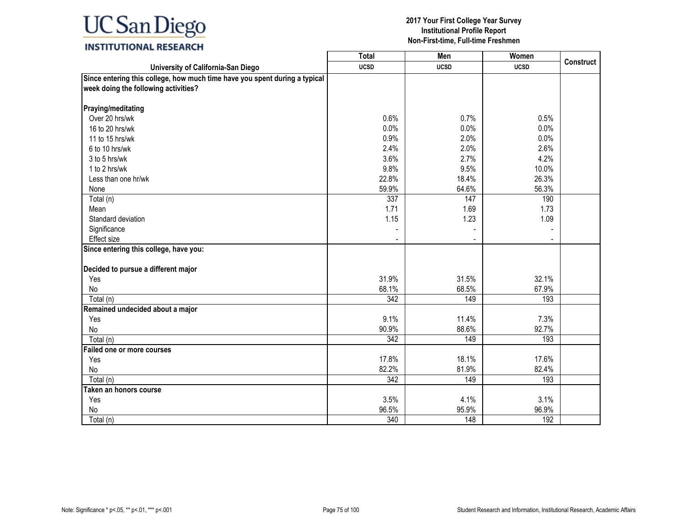# **INSTITUTIONAL RESEARCH**

|                                                                            | Total            | Men         | Women       |                  |
|----------------------------------------------------------------------------|------------------|-------------|-------------|------------------|
| University of California-San Diego                                         | <b>UCSD</b>      | <b>UCSD</b> | <b>UCSD</b> | <b>Construct</b> |
| Since entering this college, how much time have you spent during a typical |                  |             |             |                  |
| week doing the following activities?                                       |                  |             |             |                  |
| Praying/meditating                                                         |                  |             |             |                  |
| Over 20 hrs/wk                                                             | 0.6%             | 0.7%        | 0.5%        |                  |
| 16 to 20 hrs/wk                                                            | 0.0%             | 0.0%        | 0.0%        |                  |
|                                                                            |                  | 2.0%        |             |                  |
| 11 to 15 hrs/wk                                                            | 0.9%             |             | 0.0%        |                  |
| 6 to 10 hrs/wk                                                             | 2.4%             | 2.0%        | 2.6%        |                  |
| 3 to 5 hrs/wk                                                              | 3.6%             | 2.7%        | 4.2%        |                  |
| 1 to 2 hrs/wk                                                              | 9.8%             | 9.5%        | 10.0%       |                  |
| Less than one hr/wk                                                        | 22.8%            | 18.4%       | 26.3%       |                  |
| None                                                                       | 59.9%            | 64.6%       | 56.3%       |                  |
| Total (n)                                                                  | 337              | 147         | 190         |                  |
| Mean                                                                       | 1.71             | 1.69        | 1.73        |                  |
| Standard deviation                                                         | 1.15             | 1.23        | 1.09        |                  |
| Significance                                                               |                  |             |             |                  |
| <b>Effect size</b>                                                         |                  |             |             |                  |
| Since entering this college, have you:                                     |                  |             |             |                  |
|                                                                            |                  |             |             |                  |
| Decided to pursue a different major                                        |                  |             |             |                  |
| Yes                                                                        | 31.9%            | 31.5%       | 32.1%       |                  |
| No                                                                         | 68.1%            | 68.5%       | 67.9%       |                  |
| Total (n)                                                                  | 342              | 149         | 193         |                  |
| Remained undecided about a major                                           |                  |             |             |                  |
| Yes                                                                        | 9.1%             | 11.4%       | 7.3%        |                  |
| No                                                                         | 90.9%            | 88.6%       | 92.7%       |                  |
| Total (n)                                                                  | 342              | 149         | 193         |                  |
| Failed one or more courses                                                 |                  |             |             |                  |
| Yes                                                                        | 17.8%            | 18.1%       | 17.6%       |                  |
| No                                                                         | 82.2%            | 81.9%       | 82.4%       |                  |
| Total (n)                                                                  | $\overline{342}$ | 149         | 193         |                  |
| Taken an honors course                                                     |                  |             |             |                  |
| Yes                                                                        | 3.5%             | 4.1%        | 3.1%        |                  |
| No                                                                         | 96.5%            | 95.9%       | 96.9%       |                  |
| Total (n)                                                                  | 340              | 148         | 192         |                  |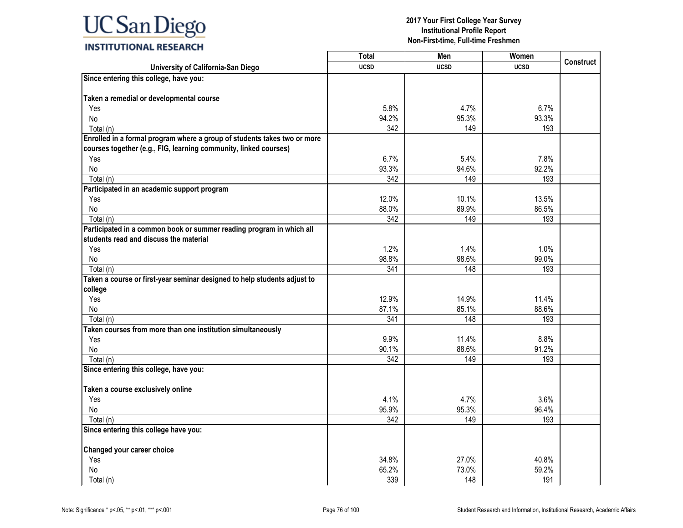|                                                                          | <b>Total</b> | Men         | Women       |                  |
|--------------------------------------------------------------------------|--------------|-------------|-------------|------------------|
| University of California-San Diego                                       | <b>UCSD</b>  | <b>UCSD</b> | <b>UCSD</b> | <b>Construct</b> |
| Since entering this college, have you:                                   |              |             |             |                  |
|                                                                          |              |             |             |                  |
| Taken a remedial or developmental course                                 |              |             |             |                  |
| Yes                                                                      | 5.8%         | 4.7%        | 6.7%        |                  |
| No                                                                       | 94.2%        | 95.3%       | 93.3%       |                  |
| Total (n)                                                                | 342          | 149         | 193         |                  |
| Enrolled in a formal program where a group of students takes two or more |              |             |             |                  |
| courses together (e.g., FIG, learning community, linked courses)         |              |             |             |                  |
| Yes                                                                      | 6.7%         | 5.4%        | 7.8%        |                  |
| No                                                                       | 93.3%        | 94.6%       | 92.2%       |                  |
| Total (n)                                                                | 342          | 149         | 193         |                  |
| Participated in an academic support program                              |              |             |             |                  |
| Yes                                                                      | 12.0%        | 10.1%       | 13.5%       |                  |
| No                                                                       | 88.0%        | 89.9%       | 86.5%       |                  |
| Total (n)                                                                | 342          | 149         | 193         |                  |
| Participated in a common book or summer reading program in which all     |              |             |             |                  |
| students read and discuss the material                                   |              |             |             |                  |
| Yes                                                                      | 1.2%         | 1.4%        | 1.0%        |                  |
| No                                                                       | 98.8%        | 98.6%       | 99.0%       |                  |
| Total (n)                                                                | 341          | 148         | 193         |                  |
| Taken a course or first-year seminar designed to help students adjust to |              |             |             |                  |
| college                                                                  |              |             |             |                  |
| Yes                                                                      | 12.9%        | 14.9%       | 11.4%       |                  |
| No                                                                       | 87.1%        | 85.1%       | 88.6%       |                  |
| Total (n)                                                                | 341          | 148         | 193         |                  |
| Taken courses from more than one institution simultaneously              |              |             |             |                  |
| Yes                                                                      | 9.9%         | 11.4%       | 8.8%        |                  |
| No                                                                       | 90.1%        | 88.6%       | 91.2%       |                  |
| Total (n)                                                                | 342          | 149         | 193         |                  |
| Since entering this college, have you:                                   |              |             |             |                  |
|                                                                          |              |             |             |                  |
| Taken a course exclusively online                                        |              |             |             |                  |
| Yes                                                                      | 4.1%         | 4.7%        | 3.6%        |                  |
| No                                                                       | 95.9%        | 95.3%       | 96.4%       |                  |
| Total (n)                                                                | 342          | 149         | 193         |                  |
| Since entering this college have you:                                    |              |             |             |                  |
| Changed your career choice                                               |              |             |             |                  |
| Yes                                                                      | 34.8%        | 27.0%       | 40.8%       |                  |
| No                                                                       | 65.2%        | 73.0%       | 59.2%       |                  |
| Total (n)                                                                | 339          | 148         |             |                  |
|                                                                          |              |             | 191         |                  |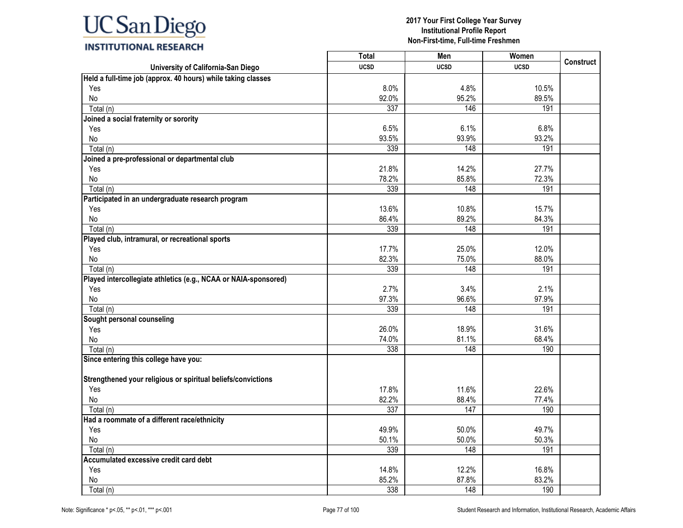|                                                                 | <b>Total</b> | Men         | Women       |                  |
|-----------------------------------------------------------------|--------------|-------------|-------------|------------------|
| University of California-San Diego                              | <b>UCSD</b>  | <b>UCSD</b> | <b>UCSD</b> | <b>Construct</b> |
| Held a full-time job (approx. 40 hours) while taking classes    |              |             |             |                  |
| Yes                                                             | 8.0%         | 4.8%        | 10.5%       |                  |
| No                                                              | 92.0%        | 95.2%       | 89.5%       |                  |
| Total (n)                                                       | 337          | 146         | 191         |                  |
| Joined a social fraternity or sorority                          |              |             |             |                  |
| Yes                                                             | 6.5%         | 6.1%        | 6.8%        |                  |
| No                                                              | 93.5%        | 93.9%       | 93.2%       |                  |
| Total (n)                                                       | 339          | 148         | 191         |                  |
| Joined a pre-professional or departmental club                  |              |             |             |                  |
| Yes                                                             | 21.8%        | 14.2%       | 27.7%       |                  |
| No                                                              | 78.2%        | 85.8%       | 72.3%       |                  |
| Total (n)                                                       | 339          | 148         | 191         |                  |
| Participated in an undergraduate research program               |              |             |             |                  |
| Yes                                                             | 13.6%        | 10.8%       | 15.7%       |                  |
| No                                                              | 86.4%        | 89.2%       | 84.3%       |                  |
| Total (n)                                                       | 339          | 148         | 191         |                  |
| Played club, intramural, or recreational sports                 |              |             |             |                  |
| Yes                                                             | 17.7%        | 25.0%       | 12.0%       |                  |
| No                                                              | 82.3%        | 75.0%       | 88.0%       |                  |
| Total (n)                                                       | 339          | 148         | 191         |                  |
| Played intercollegiate athletics (e.g., NCAA or NAIA-sponsored) |              |             |             |                  |
| Yes                                                             | 2.7%         | 3.4%        | 2.1%        |                  |
| No                                                              | 97.3%        | 96.6%       | 97.9%       |                  |
| Total (n)                                                       | 339          | 148         | 191         |                  |
| Sought personal counseling                                      |              |             |             |                  |
| Yes                                                             | 26.0%        | 18.9%       | 31.6%       |                  |
| No                                                              | 74.0%        | 81.1%       | 68.4%       |                  |
| Total (n)                                                       | 338          | 148         | 190         |                  |
| Since entering this college have you:                           |              |             |             |                  |
| Strengthened your religious or spiritual beliefs/convictions    |              |             |             |                  |
| Yes                                                             | 17.8%        | 11.6%       | 22.6%       |                  |
| No                                                              | 82.2%        | 88.4%       | 77.4%       |                  |
| Total (n)                                                       | 337          | 147         | 190         |                  |
| Had a roommate of a different race/ethnicity                    |              |             |             |                  |
| Yes                                                             | 49.9%        | 50.0%       | 49.7%       |                  |
| No                                                              | 50.1%        | 50.0%       | 50.3%       |                  |
| Total (n)                                                       | 339          | 148         | 191         |                  |
| Accumulated excessive credit card debt                          |              |             |             |                  |
| Yes                                                             | 14.8%        | 12.2%       | 16.8%       |                  |
| No                                                              | 85.2%        | 87.8%       | 83.2%       |                  |
| Total (n)                                                       | 338          | 148         | 190         |                  |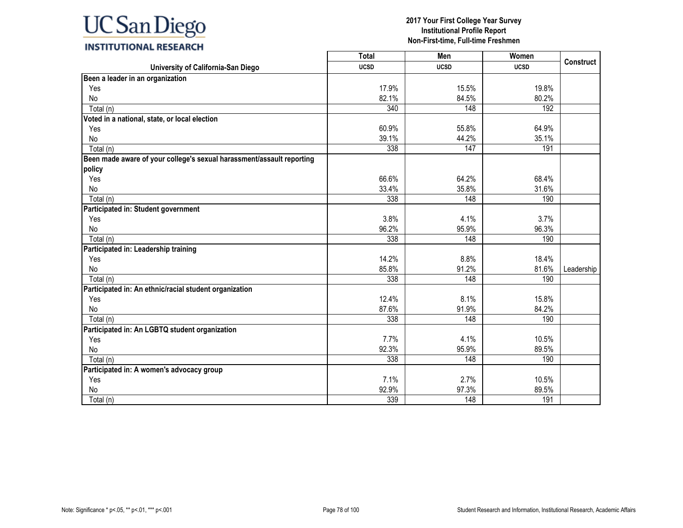

|                                                                       | <b>Total</b> | Men         | Women       | <b>Construct</b> |
|-----------------------------------------------------------------------|--------------|-------------|-------------|------------------|
| University of California-San Diego                                    | <b>UCSD</b>  | <b>UCSD</b> | <b>UCSD</b> |                  |
| Been a leader in an organization                                      |              |             |             |                  |
| Yes                                                                   | 17.9%        | 15.5%       | 19.8%       |                  |
| No                                                                    | 82.1%        | 84.5%       | 80.2%       |                  |
| Total (n)                                                             | 340          | 148         | 192         |                  |
| Voted in a national, state, or local election                         |              |             |             |                  |
| Yes                                                                   | 60.9%        | 55.8%       | 64.9%       |                  |
| No                                                                    | 39.1%        | 44.2%       | 35.1%       |                  |
| Total (n)                                                             | 338          | 147         | 191         |                  |
| Been made aware of your college's sexual harassment/assault reporting |              |             |             |                  |
| policy                                                                |              |             |             |                  |
| Yes                                                                   | 66.6%        | 64.2%       | 68.4%       |                  |
| No                                                                    | 33.4%        | 35.8%       | 31.6%       |                  |
| Total (n)                                                             | 338          | 148         | 190         |                  |
| Participated in: Student government                                   |              |             |             |                  |
| Yes                                                                   | 3.8%         | 4.1%        | 3.7%        |                  |
| No                                                                    | 96.2%        | 95.9%       | 96.3%       |                  |
| Total (n)                                                             | 338          | 148         | 190         |                  |
| Participated in: Leadership training                                  |              |             |             |                  |
| Yes                                                                   | 14.2%        | 8.8%        | 18.4%       |                  |
| No                                                                    | 85.8%        | 91.2%       | 81.6%       | Leadership       |
| Total (n)                                                             | 338          | 148         | 190         |                  |
| Participated in: An ethnic/racial student organization                |              |             |             |                  |
| Yes                                                                   | 12.4%        | 8.1%        | 15.8%       |                  |
| No                                                                    | 87.6%        | 91.9%       | 84.2%       |                  |
| Total (n)                                                             | 338          | 148         | 190         |                  |
| Participated in: An LGBTQ student organization                        |              |             |             |                  |
| Yes                                                                   | 7.7%         | 4.1%        | 10.5%       |                  |
| No                                                                    | 92.3%        | 95.9%       | 89.5%       |                  |
| Total (n)                                                             | 338          | 148         | 190         |                  |
| Participated in: A women's advocacy group                             |              |             |             |                  |
| Yes                                                                   | 7.1%         | 2.7%        | 10.5%       |                  |
| No                                                                    | 92.9%        | 97.3%       | 89.5%       |                  |
| Total (n)                                                             | 339          | 148         | 191         |                  |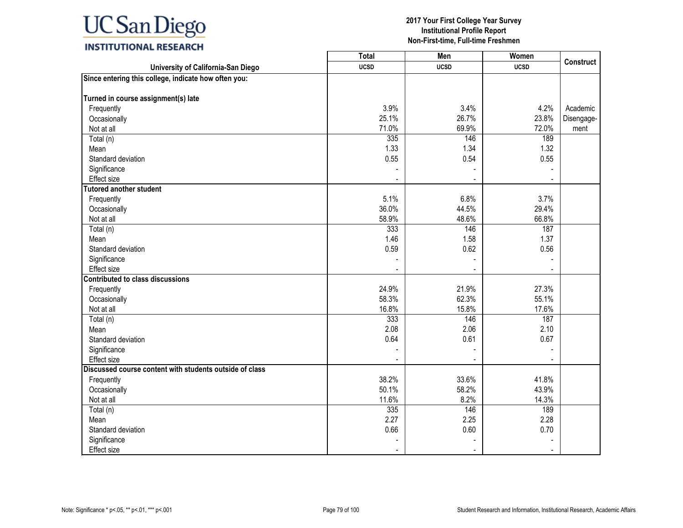|                                                         | <b>Total</b> | Men         | Women       | <b>Construct</b> |
|---------------------------------------------------------|--------------|-------------|-------------|------------------|
| University of California-San Diego                      | <b>UCSD</b>  | <b>UCSD</b> | <b>UCSD</b> |                  |
| Since entering this college, indicate how often you:    |              |             |             |                  |
| Turned in course assignment(s) late                     |              |             |             |                  |
| Frequently                                              | 3.9%         | 3.4%        | 4.2%        | Academic         |
| Occasionally                                            | 25.1%        | 26.7%       | 23.8%       | Disengage-       |
| Not at all                                              | 71.0%        | 69.9%       | 72.0%       | ment             |
| Total (n)                                               | 335          | 146         | 189         |                  |
| Mean                                                    | 1.33         | 1.34        | 1.32        |                  |
| Standard deviation                                      | 0.55         | 0.54        | 0.55        |                  |
| Significance                                            |              |             |             |                  |
| <b>Effect size</b>                                      |              | ÷           |             |                  |
| <b>Tutored another student</b>                          |              |             |             |                  |
| Frequently                                              | 5.1%         | 6.8%        | 3.7%        |                  |
| Occasionally                                            | 36.0%        | 44.5%       | 29.4%       |                  |
| Not at all                                              | 58.9%        | 48.6%       | 66.8%       |                  |
| Total (n)                                               | 333          | 146         | 187         |                  |
| Mean                                                    | 1.46         | 1.58        | 1.37        |                  |
| Standard deviation                                      | 0.59         | 0.62        | 0.56        |                  |
| Significance                                            |              |             |             |                  |
| <b>Effect size</b>                                      |              |             |             |                  |
| <b>Contributed to class discussions</b>                 |              |             |             |                  |
| Frequently                                              | 24.9%        | 21.9%       | 27.3%       |                  |
| Occasionally                                            | 58.3%        | 62.3%       | 55.1%       |                  |
| Not at all                                              | 16.8%        | 15.8%       | 17.6%       |                  |
| Total (n)                                               | 333          | 146         | 187         |                  |
| Mean                                                    | 2.08         | 2.06        | 2.10        |                  |
| Standard deviation                                      | 0.64         | 0.61        | 0.67        |                  |
| Significance                                            |              |             |             |                  |
| Effect size                                             |              |             |             |                  |
| Discussed course content with students outside of class |              |             |             |                  |
| Frequently                                              | 38.2%        | 33.6%       | 41.8%       |                  |
| Occasionally                                            | 50.1%        | 58.2%       | 43.9%       |                  |
| Not at all                                              | 11.6%        | 8.2%        | 14.3%       |                  |
| Total (n)                                               | 335          | 146         | 189         |                  |
| Mean                                                    | 2.27         | 2.25        | 2.28        |                  |
| Standard deviation                                      | 0.66         | 0.60        | 0.70        |                  |
| Significance                                            |              |             |             |                  |
| Effect size                                             |              |             |             |                  |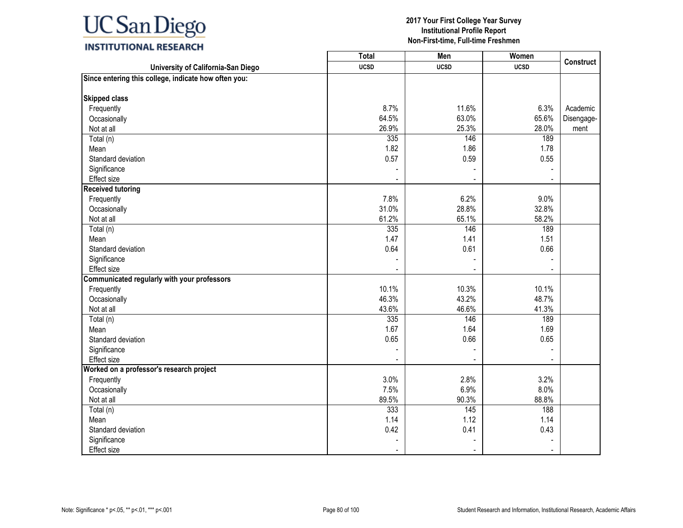# **INSTITUTIONAL RESEARCH**

|                                                      | <b>Total</b> | Men         | Women       | <b>Construct</b> |
|------------------------------------------------------|--------------|-------------|-------------|------------------|
| University of California-San Diego                   | <b>UCSD</b>  | <b>UCSD</b> | <b>UCSD</b> |                  |
| Since entering this college, indicate how often you: |              |             |             |                  |
|                                                      |              |             |             |                  |
| <b>Skipped class</b>                                 |              |             |             |                  |
| Frequently                                           | 8.7%         | 11.6%       | 6.3%        | Academic         |
| Occasionally                                         | 64.5%        | 63.0%       | 65.6%       | Disengage-       |
| Not at all                                           | 26.9%        | 25.3%       | 28.0%       | ment             |
| Total (n)                                            | 335          | 146         | 189         |                  |
| Mean                                                 | 1.82         | 1.86        | 1.78        |                  |
| Standard deviation                                   | 0.57         | 0.59        | 0.55        |                  |
| Significance                                         |              |             |             |                  |
| Effect size                                          |              |             |             |                  |
| <b>Received tutoring</b>                             |              |             |             |                  |
| Frequently                                           | 7.8%         | 6.2%        | 9.0%        |                  |
| Occasionally                                         | 31.0%        | 28.8%       | 32.8%       |                  |
| Not at all                                           | 61.2%        | 65.1%       | 58.2%       |                  |
| Total (n)                                            | 335          | 146         | 189         |                  |
| Mean                                                 | 1.47         | 1.41        | 1.51        |                  |
| Standard deviation                                   | 0.64         | 0.61        | 0.66        |                  |
| Significance                                         |              |             |             |                  |
| Effect size                                          |              |             |             |                  |
| Communicated regularly with your professors          |              |             |             |                  |
| Frequently                                           | 10.1%        | 10.3%       | 10.1%       |                  |
| Occasionally                                         | 46.3%        | 43.2%       | 48.7%       |                  |
| Not at all                                           | 43.6%        | 46.6%       | 41.3%       |                  |
| Total (n)                                            | 335          | 146         | 189         |                  |
| Mean                                                 | 1.67         | 1.64        | 1.69        |                  |
| Standard deviation                                   | 0.65         | 0.66        | 0.65        |                  |
| Significance                                         |              |             |             |                  |
| Effect size                                          |              |             |             |                  |
| Worked on a professor's research project             |              |             |             |                  |
| Frequently                                           | 3.0%         | 2.8%        | 3.2%        |                  |
| Occasionally                                         | 7.5%         | 6.9%        | 8.0%        |                  |
| Not at all                                           | 89.5%        | 90.3%       | 88.8%       |                  |
| Total (n)                                            | 333          | 145         | 188         |                  |
| Mean                                                 | 1.14         | 1.12        | 1.14        |                  |
| Standard deviation                                   | 0.42         | 0.41        | 0.43        |                  |
| Significance                                         |              |             |             |                  |
| Effect size                                          |              |             |             |                  |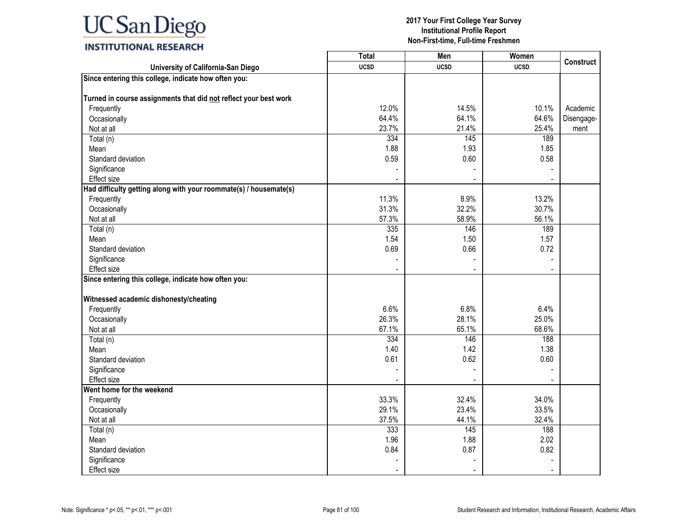|                                                                   | <b>Total</b> | Men         | Women       |                  |
|-------------------------------------------------------------------|--------------|-------------|-------------|------------------|
| University of California-San Diego                                | <b>UCSD</b>  | <b>UCSD</b> | <b>UCSD</b> | <b>Construct</b> |
| Since entering this college, indicate how often you:              |              |             |             |                  |
| Turned in course assignments that did not reflect your best work  |              |             |             |                  |
| Frequently                                                        | 12.0%        | 14.5%       | 10.1%       | Academic         |
| Occasionally                                                      | 64.4%        | 64.1%       | 64.6%       | Disengage-       |
| Not at all                                                        | 23.7%        | 21.4%       | 25.4%       | ment             |
| Total (n)                                                         | 334          | 145         | 189         |                  |
| Mean                                                              | 1.88         | 1.93        | 1.85        |                  |
| Standard deviation                                                | 0.59         | 0.60        | 0.58        |                  |
| Significance                                                      |              |             |             |                  |
| Effect size                                                       |              |             |             |                  |
| Had difficulty getting along with your roommate(s) / housemate(s) |              |             |             |                  |
| Frequently                                                        | 11.3%        | 8.9%        | 13.2%       |                  |
| Occasionally                                                      | 31.3%        | 32.2%       | 30.7%       |                  |
| Not at all                                                        | 57.3%        | 58.9%       | 56.1%       |                  |
| Total (n)                                                         | 335          | 146         | 189         |                  |
| Mean                                                              | 1.54         | 1.50        | 1.57        |                  |
| Standard deviation                                                | 0.69         | 0.66        | 0.72        |                  |
| Significance                                                      |              |             |             |                  |
| Effect size                                                       |              |             |             |                  |
| Since entering this college, indicate how often you:              |              |             |             |                  |
|                                                                   |              |             |             |                  |
| Witnessed academic dishonesty/cheating                            |              |             |             |                  |
| Frequently                                                        | 6.6%         | 6.8%        | 6.4%        |                  |
| Occasionally                                                      | 26.3%        | 28.1%       | 25.0%       |                  |
| Not at all                                                        | 67.1%        | 65.1%       | 68.6%       |                  |
| Total (n)                                                         | 334          | 146         | 188         |                  |
| Mean                                                              | 1.40         | 1.42        | 1.38        |                  |
| Standard deviation                                                | 0.61         | 0.62        | 0.60        |                  |
| Significance                                                      |              |             |             |                  |
| Effect size                                                       |              |             |             |                  |
| Went home for the weekend                                         |              |             |             |                  |
| Frequently                                                        | 33.3%        | 32.4%       | 34.0%       |                  |
| Occasionally                                                      | 29.1%        | 23.4%       | 33.5%       |                  |
| Not at all                                                        | 37.5%        | 44.1%       | 32.4%       |                  |
| Total (n)                                                         | 333          | 145         | 188         |                  |
| Mean                                                              | 1.96         | 1.88        | 2.02        |                  |
| Standard deviation                                                | 0.84         | 0.87        | 0.82        |                  |
| Significance                                                      |              |             |             |                  |
| Effect size                                                       |              |             |             |                  |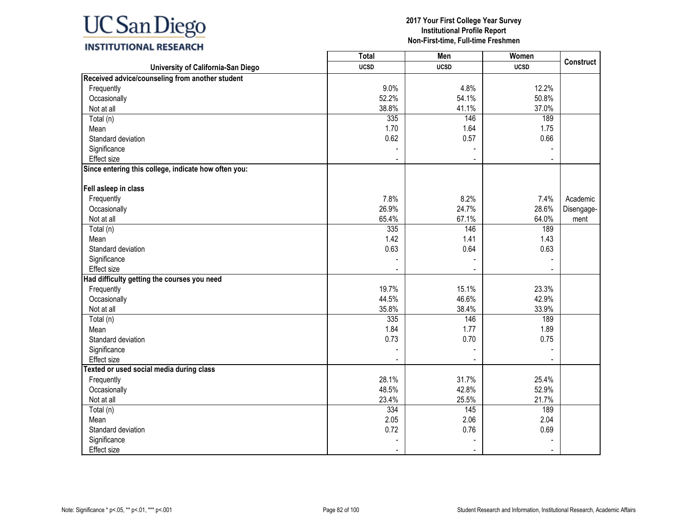## **INSTITUTIONAL RESEARCH**

|                                                      | <b>Total</b> | Men         | Women       | <b>Construct</b> |
|------------------------------------------------------|--------------|-------------|-------------|------------------|
| University of California-San Diego                   | <b>UCSD</b>  | <b>UCSD</b> | <b>UCSD</b> |                  |
| Received advice/counseling from another student      |              |             |             |                  |
| Frequently                                           | 9.0%         | 4.8%        | 12.2%       |                  |
| Occasionally                                         | 52.2%        | 54.1%       | 50.8%       |                  |
| Not at all                                           | 38.8%        | 41.1%       | 37.0%       |                  |
| Total (n)                                            | 335          | 146         | 189         |                  |
| Mean                                                 | 1.70         | 1.64        | 1.75        |                  |
| Standard deviation                                   | 0.62         | 0.57        | 0.66        |                  |
| Significance                                         |              |             |             |                  |
| Effect size                                          |              |             |             |                  |
| Since entering this college, indicate how often you: |              |             |             |                  |
| Fell asleep in class                                 |              |             |             |                  |
| Frequently                                           | 7.8%         | 8.2%        | 7.4%        | Academic         |
| Occasionally                                         | 26.9%        | 24.7%       | 28.6%       | Disengage-       |
| Not at all                                           | 65.4%        | 67.1%       | 64.0%       | ment             |
| Total (n)                                            | 335          | 146         | 189         |                  |
| Mean                                                 | 1.42         | 1.41        | 1.43        |                  |
| Standard deviation                                   | 0.63         | 0.64        | 0.63        |                  |
| Significance                                         |              |             |             |                  |
| <b>Effect size</b>                                   |              |             |             |                  |
| Had difficulty getting the courses you need          |              |             |             |                  |
| Frequently                                           | 19.7%        | 15.1%       | 23.3%       |                  |
| Occasionally                                         | 44.5%        | 46.6%       | 42.9%       |                  |
| Not at all                                           | 35.8%        | 38.4%       | 33.9%       |                  |
| Total (n)                                            | 335          | 146         | 189         |                  |
| Mean                                                 | 1.84         | 1.77        | 1.89        |                  |
| Standard deviation                                   | 0.73         | 0.70        | 0.75        |                  |
| Significance                                         |              |             |             |                  |
| <b>Effect size</b>                                   |              |             |             |                  |
| Texted or used social media during class             |              |             |             |                  |
| Frequently                                           | 28.1%        | 31.7%       | 25.4%       |                  |
| Occasionally                                         | 48.5%        | 42.8%       | 52.9%       |                  |
| Not at all                                           | 23.4%        | 25.5%       | 21.7%       |                  |
| Total (n)                                            | 334          | 145         | 189         |                  |
| Mean                                                 | 2.05         | 2.06        | 2.04        |                  |
| Standard deviation                                   | 0.72         | 0.76        | 0.69        |                  |
| Significance                                         |              |             |             |                  |
| <b>Effect size</b>                                   |              |             |             |                  |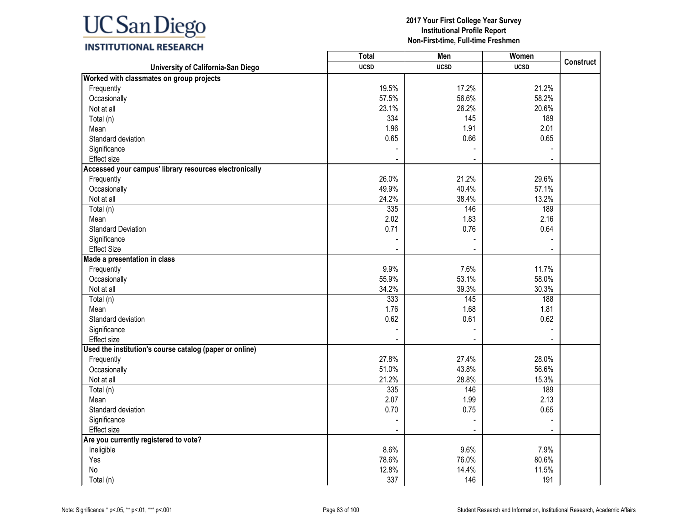

|                                                         | <b>Total</b>   | Men         | Women                    | <b>Construct</b> |
|---------------------------------------------------------|----------------|-------------|--------------------------|------------------|
| University of California-San Diego                      | <b>UCSD</b>    | <b>UCSD</b> | <b>UCSD</b>              |                  |
| Worked with classmates on group projects                |                |             |                          |                  |
| Frequently                                              | 19.5%          | 17.2%       | 21.2%                    |                  |
| Occasionally                                            | 57.5%          | 56.6%       | 58.2%                    |                  |
| Not at all                                              | 23.1%          | 26.2%       | 20.6%                    |                  |
| Total (n)                                               | 334            | 145         | 189                      |                  |
| Mean                                                    | 1.96           | 1.91        | 2.01                     |                  |
| Standard deviation                                      | 0.65           | 0.66        | 0.65                     |                  |
| Significance                                            |                |             |                          |                  |
| Effect size                                             |                |             | $\overline{\phantom{a}}$ |                  |
| Accessed your campus' library resources electronically  |                |             |                          |                  |
| Frequently                                              | 26.0%          | 21.2%       | 29.6%                    |                  |
| Occasionally                                            | 49.9%          | 40.4%       | 57.1%                    |                  |
| Not at all                                              | 24.2%          | 38.4%       | 13.2%                    |                  |
| Total (n)                                               | 335            | 146         | 189                      |                  |
| Mean                                                    | 2.02           | 1.83        | 2.16                     |                  |
| <b>Standard Deviation</b>                               | 0.71           | 0.76        | 0.64                     |                  |
| Significance                                            |                |             |                          |                  |
| <b>Effect Size</b>                                      |                |             |                          |                  |
| Made a presentation in class                            |                |             |                          |                  |
| Frequently                                              | 9.9%           | 7.6%        | 11.7%                    |                  |
| Occasionally                                            | 55.9%          | 53.1%       | 58.0%                    |                  |
| Not at all                                              | 34.2%          | 39.3%       | 30.3%                    |                  |
| Total (n)                                               | 333            | 145         | 188                      |                  |
| Mean                                                    | 1.76           | 1.68        | 1.81                     |                  |
| Standard deviation                                      | 0.62           | 0.61        | 0.62                     |                  |
| Significance                                            |                |             |                          |                  |
| Effect size                                             |                |             |                          |                  |
| Used the institution's course catalog (paper or online) |                |             |                          |                  |
| Frequently                                              | 27.8%          | 27.4%       | 28.0%                    |                  |
| Occasionally                                            | 51.0%          | 43.8%       | 56.6%                    |                  |
| Not at all                                              | 21.2%          | 28.8%       | 15.3%                    |                  |
| Total (n)                                               | 335            | 146         | 189                      |                  |
| Mean                                                    | 2.07           | 1.99        | 2.13                     |                  |
| Standard deviation                                      | 0.70           | 0.75        | 0.65                     |                  |
| Significance                                            |                |             |                          |                  |
| Effect size                                             | $\blacksquare$ |             | $\blacksquare$           |                  |
| Are you currently registered to vote?                   |                |             |                          |                  |
| Ineligible                                              | 8.6%           | 9.6%        | 7.9%                     |                  |
| Yes                                                     | 78.6%          | 76.0%       | 80.6%                    |                  |
| No                                                      | 12.8%          | 14.4%       | 11.5%                    |                  |
| Total (n)                                               | 337            | 146         | 191                      |                  |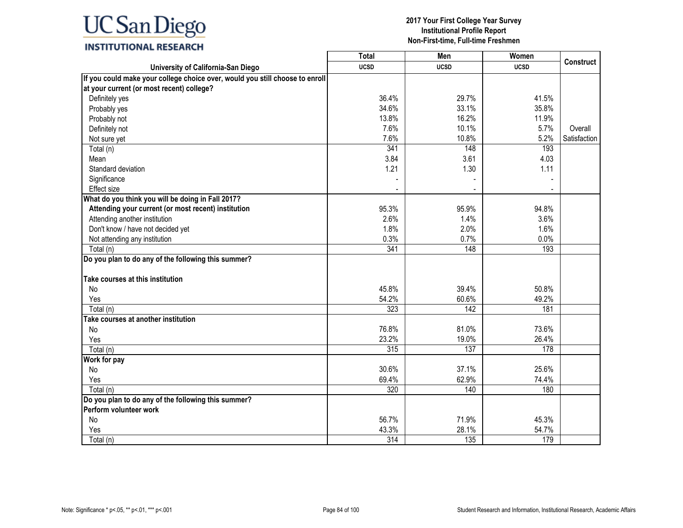## **INSTITUTIONAL RESEARCH**

|                                                                              | <b>Total</b>     | Men         | Women       |                  |
|------------------------------------------------------------------------------|------------------|-------------|-------------|------------------|
| University of California-San Diego                                           | <b>UCSD</b>      | <b>UCSD</b> | <b>UCSD</b> | <b>Construct</b> |
| If you could make your college choice over, would you still choose to enroll |                  |             |             |                  |
| at your current (or most recent) college?                                    |                  |             |             |                  |
| Definitely yes                                                               | 36.4%            | 29.7%       | 41.5%       |                  |
| Probably yes                                                                 | 34.6%            | 33.1%       | 35.8%       |                  |
| Probably not                                                                 | 13.8%            | 16.2%       | 11.9%       |                  |
| Definitely not                                                               | 7.6%             | 10.1%       | 5.7%        | Overall          |
| Not sure yet                                                                 | 7.6%             | 10.8%       | 5.2%        | Satisfaction     |
| Total (n)                                                                    | 341              | 148         | 193         |                  |
| Mean                                                                         | 3.84             | 3.61        | 4.03        |                  |
| Standard deviation                                                           | 1.21             | 1.30        | 1.11        |                  |
| Significance                                                                 |                  |             |             |                  |
| Effect size                                                                  |                  |             |             |                  |
| What do you think you will be doing in Fall 2017?                            |                  |             |             |                  |
| Attending your current (or most recent) institution                          | 95.3%            | 95.9%       | 94.8%       |                  |
| Attending another institution                                                | 2.6%             | 1.4%        | 3.6%        |                  |
| Don't know / have not decided yet                                            | 1.8%             | 2.0%        | 1.6%        |                  |
| Not attending any institution                                                | 0.3%             | 0.7%        | 0.0%        |                  |
| Total (n)                                                                    | 341              | 148         | 193         |                  |
| Do you plan to do any of the following this summer?                          |                  |             |             |                  |
|                                                                              |                  |             |             |                  |
| Take courses at this institution                                             |                  |             |             |                  |
| No                                                                           | 45.8%            | 39.4%       | 50.8%       |                  |
| Yes                                                                          | 54.2%            | 60.6%       | 49.2%       |                  |
| Total (n)                                                                    | 323              | 142         | 181         |                  |
| Take courses at another institution                                          |                  |             |             |                  |
| No                                                                           | 76.8%            | 81.0%       | 73.6%       |                  |
| Yes                                                                          | 23.2%            | 19.0%       | 26.4%       |                  |
| $\overline{T}$ otal (n)                                                      | 315              | 137         | 178         |                  |
| Work for pay                                                                 |                  |             |             |                  |
| No                                                                           | 30.6%            | 37.1%       | 25.6%       |                  |
| Yes                                                                          | 69.4%            | 62.9%       | 74.4%       |                  |
| Total (n)                                                                    | 320              | 140         | 180         |                  |
| Do you plan to do any of the following this summer?                          |                  |             |             |                  |
| Perform volunteer work                                                       |                  |             |             |                  |
| No                                                                           | 56.7%            | 71.9%       | 45.3%       |                  |
| Yes                                                                          | 43.3%            | 28.1%       | 54.7%       |                  |
| Total (n)                                                                    | $\overline{314}$ | 135         | 179         |                  |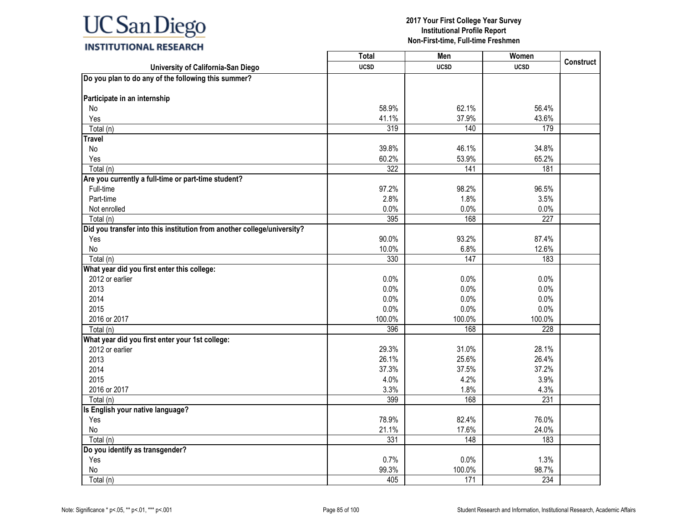|                                                                         | <b>Total</b> | Men         | Women       |                  |
|-------------------------------------------------------------------------|--------------|-------------|-------------|------------------|
| University of California-San Diego                                      | <b>UCSD</b>  | <b>UCSD</b> | <b>UCSD</b> | <b>Construct</b> |
| Do you plan to do any of the following this summer?                     |              |             |             |                  |
|                                                                         |              |             |             |                  |
| Participate in an internship                                            |              |             |             |                  |
| No                                                                      | 58.9%        | 62.1%       | 56.4%       |                  |
| Yes                                                                     | 41.1%        | 37.9%       | 43.6%       |                  |
| Total (n)                                                               | 319          | 140         | 179         |                  |
| <b>Travel</b>                                                           |              |             |             |                  |
| No                                                                      | 39.8%        | 46.1%       | 34.8%       |                  |
| Yes                                                                     | 60.2%        | 53.9%       | 65.2%       |                  |
| Total (n)                                                               | 322          | 141         | 181         |                  |
| Are you currently a full-time or part-time student?                     |              |             |             |                  |
| Full-time                                                               | 97.2%        | 98.2%       | 96.5%       |                  |
| Part-time                                                               | 2.8%         | 1.8%        | 3.5%        |                  |
| Not enrolled                                                            | 0.0%         | 0.0%        | 0.0%        |                  |
| Total (n)                                                               | 395          | 168         | 227         |                  |
| Did you transfer into this institution from another college/university? |              |             |             |                  |
| Yes                                                                     | 90.0%        | 93.2%       | 87.4%       |                  |
| No                                                                      | 10.0%        | 6.8%        | 12.6%       |                  |
| Total (n)                                                               | 330          | 147         | 183         |                  |
| What year did you first enter this college:                             |              |             |             |                  |
| 2012 or earlier                                                         | 0.0%         | 0.0%        | 0.0%        |                  |
| 2013                                                                    | 0.0%         | 0.0%        | 0.0%        |                  |
| 2014                                                                    | 0.0%         | 0.0%        | 0.0%        |                  |
| 2015                                                                    | 0.0%         | 0.0%        | 0.0%        |                  |
| 2016 or 2017                                                            | 100.0%       | 100.0%      | 100.0%      |                  |
| Total (n)                                                               | 396          | 168         | 228         |                  |
| What year did you first enter your 1st college:                         |              |             |             |                  |
| 2012 or earlier                                                         | 29.3%        | 31.0%       | 28.1%       |                  |
| 2013                                                                    | 26.1%        | 25.6%       | 26.4%       |                  |
| 2014                                                                    | 37.3%        | 37.5%       | 37.2%       |                  |
| 2015                                                                    | 4.0%         | 4.2%        | 3.9%        |                  |
| 2016 or 2017                                                            | 3.3%         | 1.8%        | 4.3%        |                  |
| Total (n)                                                               | 399          | 168         | 231         |                  |
| Is English your native language?                                        |              |             |             |                  |
| Yes                                                                     | 78.9%        | 82.4%       | 76.0%       |                  |
| No                                                                      | 21.1%        | 17.6%       | 24.0%       |                  |
| Total (n)                                                               | 331          | 148         | 183         |                  |
| Do you identify as transgender?                                         |              |             |             |                  |
| Yes                                                                     | 0.7%         | 0.0%        | 1.3%        |                  |
| $\mathsf{No}$                                                           | 99.3%        | 100.0%      | 98.7%       |                  |
| Total (n)                                                               | 405          | 171         | 234         |                  |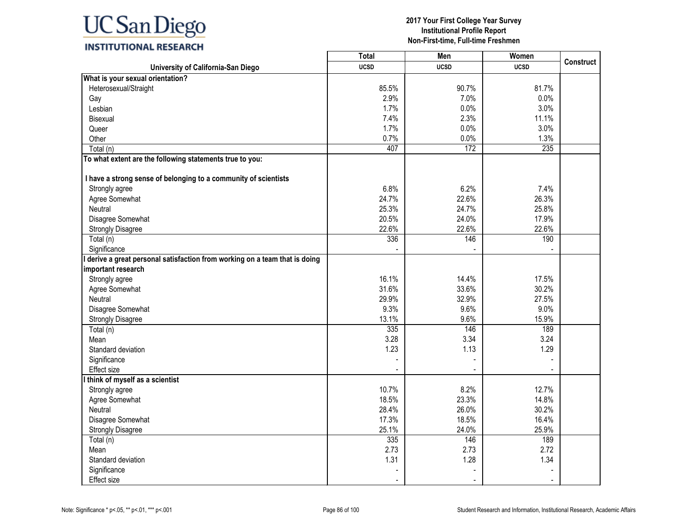

## **INSTITUTIONAL RESEARCH**

|                                                                             | <b>Total</b> | Men         | Women       | <b>Construct</b> |
|-----------------------------------------------------------------------------|--------------|-------------|-------------|------------------|
| University of California-San Diego                                          | <b>UCSD</b>  | <b>UCSD</b> | <b>UCSD</b> |                  |
| What is your sexual orientation?                                            |              |             |             |                  |
| Heterosexual/Straight                                                       | 85.5%        | 90.7%       | 81.7%       |                  |
| Gay                                                                         | 2.9%         | 7.0%        | 0.0%        |                  |
| Lesbian                                                                     | 1.7%         | 0.0%        | 3.0%        |                  |
| Bisexual                                                                    | 7.4%         | 2.3%        | 11.1%       |                  |
| Queer                                                                       | 1.7%         | 0.0%        | 3.0%        |                  |
| Other                                                                       | 0.7%         | 0.0%        | 1.3%        |                  |
| Total (n)                                                                   | 407          | 172         | 235         |                  |
| To what extent are the following statements true to you:                    |              |             |             |                  |
| I have a strong sense of belonging to a community of scientists             |              |             |             |                  |
| Strongly agree                                                              | 6.8%         | 6.2%        | 7.4%        |                  |
| Agree Somewhat                                                              | 24.7%        | 22.6%       | 26.3%       |                  |
| Neutral                                                                     | 25.3%        | 24.7%       | 25.8%       |                  |
| Disagree Somewhat                                                           | 20.5%        | 24.0%       | 17.9%       |                  |
| <b>Strongly Disagree</b>                                                    | 22.6%        | 22.6%       | 22.6%       |                  |
| Total (n)                                                                   | 336          | 146         | 190         |                  |
| Significance                                                                |              |             |             |                  |
| I derive a great personal satisfaction from working on a team that is doing |              |             |             |                  |
| important research                                                          |              |             |             |                  |
| Strongly agree                                                              | 16.1%        | 14.4%       | 17.5%       |                  |
| Agree Somewhat                                                              | 31.6%        | 33.6%       | 30.2%       |                  |
| Neutral                                                                     | 29.9%        | 32.9%       | 27.5%       |                  |
| Disagree Somewhat                                                           | 9.3%         | 9.6%        | 9.0%        |                  |
| <b>Strongly Disagree</b>                                                    | 13.1%        | 9.6%        | 15.9%       |                  |
| Total (n)                                                                   | 335          | 146         | 189         |                  |
| Mean                                                                        | 3.28         | 3.34        | 3.24        |                  |
| Standard deviation                                                          | 1.23         | 1.13        | 1.29        |                  |
| Significance                                                                |              |             |             |                  |
| <b>Effect size</b>                                                          |              |             |             |                  |
| I think of myself as a scientist                                            |              |             |             |                  |
| Strongly agree                                                              | 10.7%        | 8.2%        | 12.7%       |                  |
| Agree Somewhat                                                              | 18.5%        | 23.3%       | 14.8%       |                  |
| Neutral                                                                     | 28.4%        | 26.0%       | 30.2%       |                  |
| Disagree Somewhat                                                           | 17.3%        | 18.5%       | 16.4%       |                  |
| <b>Strongly Disagree</b>                                                    | 25.1%        | 24.0%       | 25.9%       |                  |
| Total (n)                                                                   | 335          | 146         | 189         |                  |
| Mean                                                                        | 2.73         | 2.73        | 2.72        |                  |
| Standard deviation                                                          | 1.31         | 1.28        | 1.34        |                  |
| Significance                                                                |              |             |             |                  |
| Effect size                                                                 |              |             |             |                  |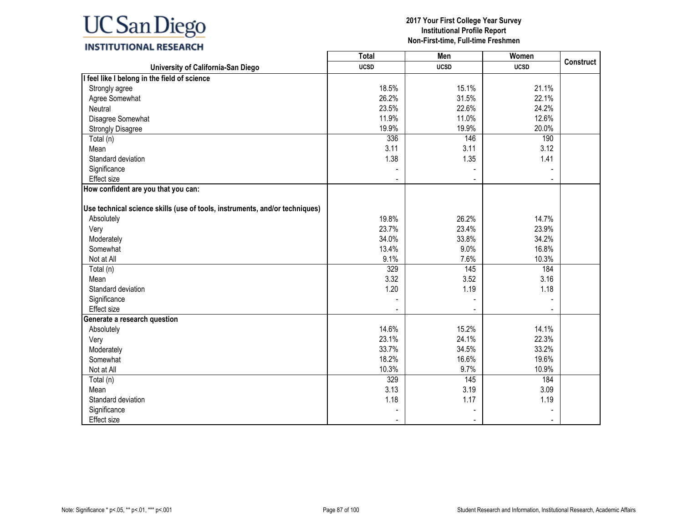## **INSTITUTIONAL RESEARCH**

|                                                                             | <b>Total</b> | Men         | Women       |                  |
|-----------------------------------------------------------------------------|--------------|-------------|-------------|------------------|
| University of California-San Diego                                          | <b>UCSD</b>  | <b>UCSD</b> | <b>UCSD</b> | <b>Construct</b> |
| I feel like I belong in the field of science                                |              |             |             |                  |
| Strongly agree                                                              | 18.5%        | 15.1%       | 21.1%       |                  |
| Agree Somewhat                                                              | 26.2%        | 31.5%       | 22.1%       |                  |
| Neutral                                                                     | 23.5%        | 22.6%       | 24.2%       |                  |
| Disagree Somewhat                                                           | 11.9%        | 11.0%       | 12.6%       |                  |
| <b>Strongly Disagree</b>                                                    | 19.9%        | 19.9%       | 20.0%       |                  |
| Total (n)                                                                   | 336          | 146         | 190         |                  |
| Mean                                                                        | 3.11         | 3.11        | 3.12        |                  |
| Standard deviation                                                          | 1.38         | 1.35        | 1.41        |                  |
| Significance                                                                |              |             |             |                  |
| <b>Effect size</b>                                                          |              |             |             |                  |
| How confident are you that you can:                                         |              |             |             |                  |
|                                                                             |              |             |             |                  |
| Use technical science skills (use of tools, instruments, and/or techniques) |              |             |             |                  |
| Absolutely                                                                  | 19.8%        | 26.2%       | 14.7%       |                  |
| Very                                                                        | 23.7%        | 23.4%       | 23.9%       |                  |
| Moderately                                                                  | 34.0%        | 33.8%       | 34.2%       |                  |
| Somewhat                                                                    | 13.4%        | 9.0%        | 16.8%       |                  |
| Not at All                                                                  | 9.1%         | 7.6%        | 10.3%       |                  |
| Total (n)                                                                   | 329          | 145         | 184         |                  |
| Mean                                                                        | 3.32         | 3.52        | 3.16        |                  |
| Standard deviation                                                          | 1.20         | 1.19        | 1.18        |                  |
| Significance                                                                |              |             |             |                  |
| Effect size                                                                 |              |             |             |                  |
| Generate a research question                                                |              |             |             |                  |
| Absolutely                                                                  | 14.6%        | 15.2%       | 14.1%       |                  |
| Very                                                                        | 23.1%        | 24.1%       | 22.3%       |                  |
| Moderately                                                                  | 33.7%        | 34.5%       | 33.2%       |                  |
| Somewhat                                                                    | 18.2%        | 16.6%       | 19.6%       |                  |
| Not at All                                                                  | 10.3%        | 9.7%        | 10.9%       |                  |
| Total (n)                                                                   | 329          | 145         | 184         |                  |
| Mean                                                                        | 3.13         | 3.19        | 3.09        |                  |
| Standard deviation                                                          | 1.18         | 1.17        | 1.19        |                  |
| Significance                                                                |              |             |             |                  |
| <b>Effect size</b>                                                          |              |             |             |                  |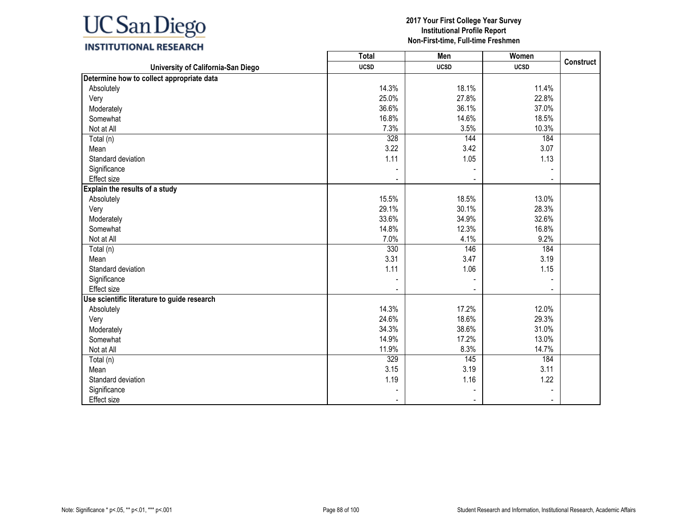# **INSTITUTIONAL RESEARCH**

|                                             | Total       | Men         | Women       |                  |
|---------------------------------------------|-------------|-------------|-------------|------------------|
| University of California-San Diego          | <b>UCSD</b> | <b>UCSD</b> | <b>UCSD</b> | <b>Construct</b> |
| Determine how to collect appropriate data   |             |             |             |                  |
| Absolutely                                  | 14.3%       | 18.1%       | 11.4%       |                  |
| Very                                        | 25.0%       | 27.8%       | 22.8%       |                  |
| Moderately                                  | 36.6%       | 36.1%       | 37.0%       |                  |
| Somewhat                                    | 16.8%       | 14.6%       | 18.5%       |                  |
| Not at All                                  | 7.3%        | 3.5%        | 10.3%       |                  |
| Total (n)                                   | 328         | 144         | 184         |                  |
| Mean                                        | 3.22        | 3.42        | 3.07        |                  |
| Standard deviation                          | 1.11        | 1.05        | 1.13        |                  |
| Significance                                |             |             |             |                  |
| Effect size                                 |             |             |             |                  |
| Explain the results of a study              |             |             |             |                  |
| Absolutely                                  | 15.5%       | 18.5%       | 13.0%       |                  |
| Very                                        | 29.1%       | 30.1%       | 28.3%       |                  |
| Moderately                                  | 33.6%       | 34.9%       | 32.6%       |                  |
| Somewhat                                    | 14.8%       | 12.3%       | 16.8%       |                  |
| Not at All                                  | 7.0%        | 4.1%        | 9.2%        |                  |
| Total (n)                                   | 330         | 146         | 184         |                  |
| Mean                                        | 3.31        | 3.47        | 3.19        |                  |
| Standard deviation                          | 1.11        | 1.06        | 1.15        |                  |
| Significance                                |             |             |             |                  |
| Effect size                                 |             |             |             |                  |
| Use scientific literature to guide research |             |             |             |                  |
| Absolutely                                  | 14.3%       | 17.2%       | 12.0%       |                  |
| Very                                        | 24.6%       | 18.6%       | 29.3%       |                  |
| Moderately                                  | 34.3%       | 38.6%       | 31.0%       |                  |
| Somewhat                                    | 14.9%       | 17.2%       | 13.0%       |                  |
| Not at All                                  | 11.9%       | 8.3%        | 14.7%       |                  |
| Total (n)                                   | 329         | 145         | 184         |                  |
| Mean                                        | 3.15        | 3.19        | 3.11        |                  |
| Standard deviation                          | 1.19        | 1.16        | 1.22        |                  |
| Significance                                |             |             |             |                  |
| Effect size                                 |             |             |             |                  |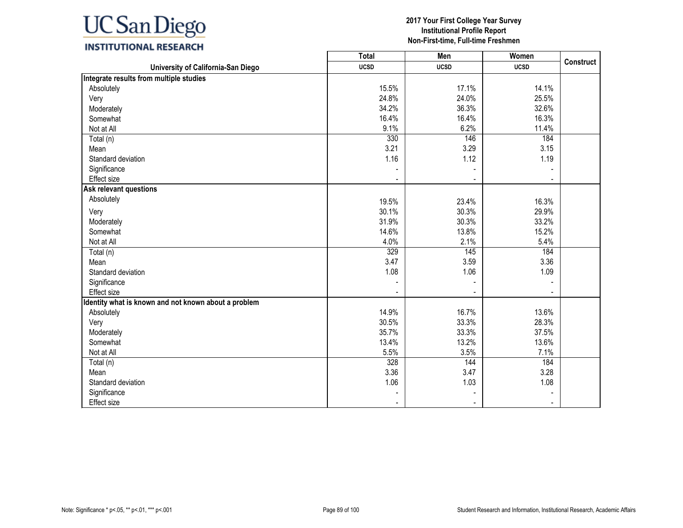# **INSTITUTIONAL RESEARCH**

|                                                      | <b>Total</b> | Men         | Women       |                  |
|------------------------------------------------------|--------------|-------------|-------------|------------------|
| University of California-San Diego                   | <b>UCSD</b>  | <b>UCSD</b> | <b>UCSD</b> | <b>Construct</b> |
| Integrate results from multiple studies              |              |             |             |                  |
| Absolutely                                           | 15.5%        | 17.1%       | 14.1%       |                  |
| Very                                                 | 24.8%        | 24.0%       | 25.5%       |                  |
| Moderately                                           | 34.2%        | 36.3%       | 32.6%       |                  |
| Somewhat                                             | 16.4%        | 16.4%       | 16.3%       |                  |
| Not at All                                           | 9.1%         | 6.2%        | 11.4%       |                  |
| Total (n)                                            | 330          | 146         | 184         |                  |
| Mean                                                 | 3.21         | 3.29        | 3.15        |                  |
| Standard deviation                                   | 1.16         | 1.12        | 1.19        |                  |
| Significance                                         |              |             |             |                  |
| Effect size                                          |              |             |             |                  |
| <b>Ask relevant questions</b>                        |              |             |             |                  |
| Absolutely                                           | 19.5%        | 23.4%       | 16.3%       |                  |
| Very                                                 | 30.1%        | 30.3%       | 29.9%       |                  |
| Moderately                                           | 31.9%        | 30.3%       | 33.2%       |                  |
| Somewhat                                             | 14.6%        | 13.8%       | 15.2%       |                  |
| Not at All                                           | 4.0%         | 2.1%        | 5.4%        |                  |
| Total (n)                                            | 329          | 145         | 184         |                  |
| Mean                                                 | 3.47         | 3.59        | 3.36        |                  |
| Standard deviation                                   | 1.08         | 1.06        | 1.09        |                  |
| Significance                                         |              |             |             |                  |
| <b>Effect</b> size                                   |              |             |             |                  |
| Identity what is known and not known about a problem |              |             |             |                  |
| Absolutely                                           | 14.9%        | 16.7%       | 13.6%       |                  |
| Very                                                 | 30.5%        | 33.3%       | 28.3%       |                  |
| Moderately                                           | 35.7%        | 33.3%       | 37.5%       |                  |
| Somewhat                                             | 13.4%        | 13.2%       | 13.6%       |                  |
| Not at All                                           | 5.5%         | 3.5%        | 7.1%        |                  |
| Total (n)                                            | 328          | 144         | 184         |                  |
| Mean                                                 | 3.36         | 3.47        | 3.28        |                  |
| Standard deviation                                   | 1.06         | 1.03        | 1.08        |                  |
| Significance                                         |              |             |             |                  |
| Effect size                                          |              |             |             |                  |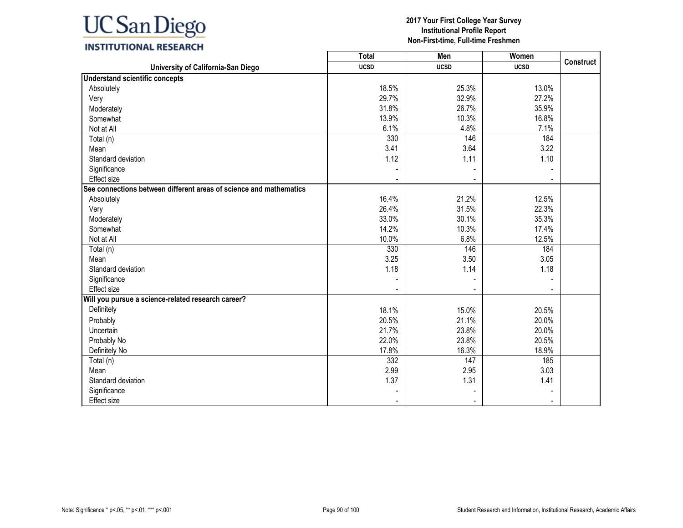

## **INSTITUTIONAL RESEARCH**

|                                                                    | <b>Total</b> | Men         | Women       | <b>Construct</b> |
|--------------------------------------------------------------------|--------------|-------------|-------------|------------------|
| University of California-San Diego                                 | <b>UCSD</b>  | <b>UCSD</b> | <b>UCSD</b> |                  |
| <b>Understand scientific concepts</b>                              |              |             |             |                  |
| Absolutely                                                         | 18.5%        | 25.3%       | 13.0%       |                  |
| Very                                                               | 29.7%        | 32.9%       | 27.2%       |                  |
| Moderately                                                         | 31.8%        | 26.7%       | 35.9%       |                  |
| Somewhat                                                           | 13.9%        | 10.3%       | 16.8%       |                  |
| Not at All                                                         | 6.1%         | 4.8%        | 7.1%        |                  |
| Total (n)                                                          | 330          | 146         | 184         |                  |
| Mean                                                               | 3.41         | 3.64        | 3.22        |                  |
| Standard deviation                                                 | 1.12         | 1.11        | 1.10        |                  |
| Significance                                                       |              |             |             |                  |
| Effect size                                                        |              |             |             |                  |
| See connections between different areas of science and mathematics |              |             |             |                  |
| Absolutely                                                         | 16.4%        | 21.2%       | 12.5%       |                  |
| Very                                                               | 26.4%        | 31.5%       | 22.3%       |                  |
| Moderately                                                         | 33.0%        | 30.1%       | 35.3%       |                  |
| Somewhat                                                           | 14.2%        | 10.3%       | 17.4%       |                  |
| Not at All                                                         | 10.0%        | 6.8%        | 12.5%       |                  |
| Total (n)                                                          | 330          | 146         | 184         |                  |
| Mean                                                               | 3.25         | 3.50        | 3.05        |                  |
| Standard deviation                                                 | 1.18         | 1.14        | 1.18        |                  |
| Significance                                                       |              |             |             |                  |
| <b>Effect size</b>                                                 |              |             |             |                  |
| Will you pursue a science-related research career?                 |              |             |             |                  |
| Definitely                                                         | 18.1%        | 15.0%       | 20.5%       |                  |
| Probably                                                           | 20.5%        | 21.1%       | 20.0%       |                  |
| Uncertain                                                          | 21.7%        | 23.8%       | 20.0%       |                  |
| Probably No                                                        | 22.0%        | 23.8%       | 20.5%       |                  |
| Definitely No                                                      | 17.8%        | 16.3%       | 18.9%       |                  |
| Total (n)                                                          | 332          | 147         | 185         |                  |
| Mean                                                               | 2.99         | 2.95        | 3.03        |                  |
| Standard deviation                                                 | 1.37         | 1.31        | 1.41        |                  |
| Significance                                                       |              |             |             |                  |
| <b>Effect size</b>                                                 |              |             |             |                  |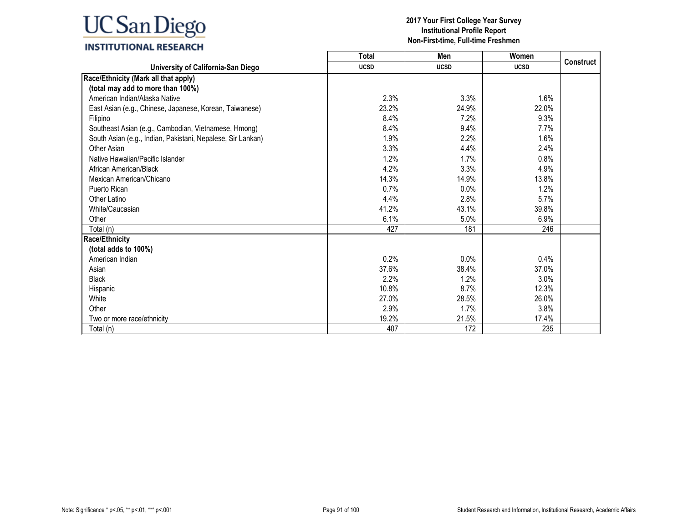|                                                             | <b>Total</b> | Men         | Women       |                  |
|-------------------------------------------------------------|--------------|-------------|-------------|------------------|
| University of California-San Diego                          | <b>UCSD</b>  | <b>UCSD</b> | <b>UCSD</b> | <b>Construct</b> |
| Race/Ethnicity (Mark all that apply)                        |              |             |             |                  |
| (total may add to more than 100%)                           |              |             |             |                  |
| American Indian/Alaska Native                               | 2.3%         | 3.3%        | 1.6%        |                  |
| East Asian (e.g., Chinese, Japanese, Korean, Taiwanese)     | 23.2%        | 24.9%       | 22.0%       |                  |
| Filipino                                                    | 8.4%         | 7.2%        | 9.3%        |                  |
| Southeast Asian (e.g., Cambodian, Vietnamese, Hmong)        | 8.4%         | 9.4%        | 7.7%        |                  |
| South Asian (e.g., Indian, Pakistani, Nepalese, Sir Lankan) | 1.9%         | 2.2%        | 1.6%        |                  |
| Other Asian                                                 | 3.3%         | 4.4%        | 2.4%        |                  |
| Native Hawaiian/Pacific Islander                            | 1.2%         | 1.7%        | 0.8%        |                  |
| African American/Black                                      | 4.2%         | 3.3%        | 4.9%        |                  |
| Mexican American/Chicano                                    | 14.3%        | 14.9%       | 13.8%       |                  |
| Puerto Rican                                                | 0.7%         | 0.0%        | 1.2%        |                  |
| Other Latino                                                | 4.4%         | 2.8%        | 5.7%        |                  |
| White/Caucasian                                             | 41.2%        | 43.1%       | 39.8%       |                  |
| Other                                                       | 6.1%         | 5.0%        | 6.9%        |                  |
| Total (n)                                                   | 427          | 181         | 246         |                  |
| <b>Race/Ethnicity</b>                                       |              |             |             |                  |
| (total adds to 100%)                                        |              |             |             |                  |
| American Indian                                             | 0.2%         | 0.0%        | 0.4%        |                  |
| Asian                                                       | 37.6%        | 38.4%       | 37.0%       |                  |
| <b>Black</b>                                                | 2.2%         | 1.2%        | 3.0%        |                  |
| Hispanic                                                    | 10.8%        | 8.7%        | 12.3%       |                  |
| White                                                       | 27.0%        | 28.5%       | 26.0%       |                  |
| Other                                                       | 2.9%         | 1.7%        | 3.8%        |                  |
| Two or more race/ethnicity                                  | 19.2%        | 21.5%       | 17.4%       |                  |
| Total (n)                                                   | 407          | 172         | 235         |                  |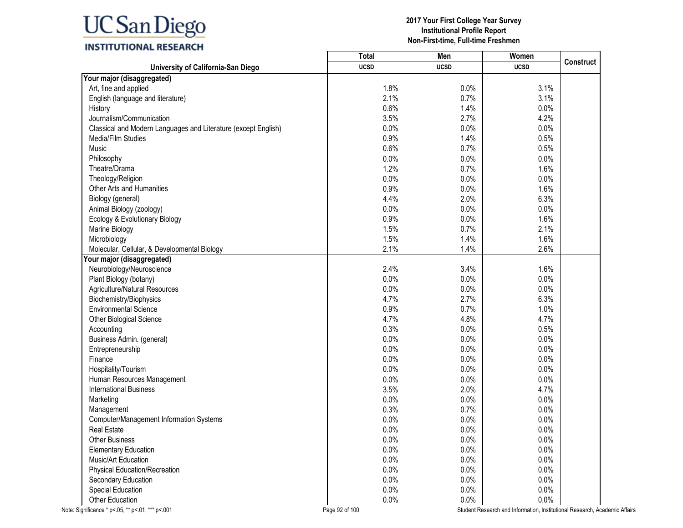|                                                                | <b>Total</b> | Men         | Women       |                  |
|----------------------------------------------------------------|--------------|-------------|-------------|------------------|
| University of California-San Diego                             | <b>UCSD</b>  | <b>UCSD</b> | <b>UCSD</b> | <b>Construct</b> |
| Your major (disaggregated)                                     |              |             |             |                  |
| Art, fine and applied                                          | 1.8%         | 0.0%        | 3.1%        |                  |
| English (language and literature)                              | 2.1%         | 0.7%        | 3.1%        |                  |
| History                                                        | 0.6%         | 1.4%        | 0.0%        |                  |
| Journalism/Communication                                       | 3.5%         | 2.7%        | 4.2%        |                  |
| Classical and Modern Languages and Literature (except English) | 0.0%         | 0.0%        | 0.0%        |                  |
| Media/Film Studies                                             | 0.9%         | 1.4%        | 0.5%        |                  |
| Music                                                          | 0.6%         | 0.7%        | 0.5%        |                  |
| Philosophy                                                     | 0.0%         | 0.0%        | 0.0%        |                  |
| Theatre/Drama                                                  | 1.2%         | 0.7%        | 1.6%        |                  |
| Theology/Religion                                              | 0.0%         | 0.0%        | 0.0%        |                  |
| Other Arts and Humanities                                      | 0.9%         | 0.0%        | 1.6%        |                  |
| Biology (general)                                              | 4.4%         | 2.0%        | 6.3%        |                  |
| Animal Biology (zoology)                                       | 0.0%         | 0.0%        | 0.0%        |                  |
| Ecology & Evolutionary Biology                                 | 0.9%         | 0.0%        | 1.6%        |                  |
| Marine Biology                                                 | 1.5%         | 0.7%        | 2.1%        |                  |
| Microbiology                                                   | 1.5%         | 1.4%        | 1.6%        |                  |
| Molecular, Cellular, & Developmental Biology                   | 2.1%         | 1.4%        | 2.6%        |                  |
| Your major (disaggregated)                                     |              |             |             |                  |
| Neurobiology/Neuroscience                                      | 2.4%         | 3.4%        | 1.6%        |                  |
| Plant Biology (botany)                                         | 0.0%         | 0.0%        | 0.0%        |                  |
| Agriculture/Natural Resources                                  | 0.0%         | 0.0%        | 0.0%        |                  |
| Biochemistry/Biophysics                                        | 4.7%         | 2.7%        | 6.3%        |                  |
| <b>Environmental Science</b>                                   | 0.9%         | 0.7%        | 1.0%        |                  |
| Other Biological Science                                       | 4.7%         | 4.8%        | 4.7%        |                  |
| Accounting                                                     | 0.3%         | 0.0%        | 0.5%        |                  |
| Business Admin. (general)                                      | 0.0%         | 0.0%        | 0.0%        |                  |
| Entrepreneurship                                               | 0.0%         | 0.0%        | 0.0%        |                  |
| Finance                                                        | 0.0%         | 0.0%        | 0.0%        |                  |
| Hospitality/Tourism                                            | 0.0%         | 0.0%        | 0.0%        |                  |
| Human Resources Management                                     | 0.0%         | 0.0%        | 0.0%        |                  |
| <b>International Business</b>                                  | 3.5%         | 2.0%        | 4.7%        |                  |
| Marketing                                                      | 0.0%         | 0.0%        | 0.0%        |                  |
| Management                                                     | 0.3%         | 0.7%        | 0.0%        |                  |
| Computer/Management Information Systems                        | 0.0%         | $0.0\%$     | 0.0%        |                  |
| <b>Real Estate</b>                                             | 0.0%         | 0.0%        | 0.0%        |                  |
| <b>Other Business</b>                                          | 0.0%         | 0.0%        | 0.0%        |                  |
| <b>Elementary Education</b>                                    | 0.0%         | 0.0%        | 0.0%        |                  |
| Music/Art Education                                            | 0.0%         | 0.0%        | 0.0%        |                  |
| <b>Physical Education/Recreation</b>                           | 0.0%         | 0.0%        | 0.0%        |                  |
| Secondary Education                                            | 0.0%         | 0.0%        | 0.0%        |                  |
| <b>Special Education</b>                                       | 0.0%         | 0.0%        | 0.0%        |                  |
| Other Education                                                | 0.0%         | 0.0%        | $0.0\%$     |                  |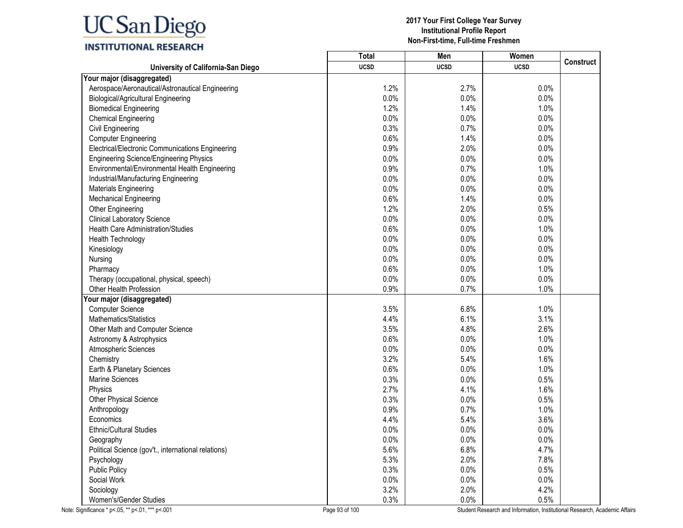| ,,,,,,,,,,,,,,,,,,,,                                | <b>Total</b> | Men         | Women       |                  |
|-----------------------------------------------------|--------------|-------------|-------------|------------------|
| University of California-San Diego                  | <b>UCSD</b>  | <b>UCSD</b> | <b>UCSD</b> | <b>Construct</b> |
| Your major (disaggregated)                          |              |             |             |                  |
| Aerospace/Aeronautical/Astronautical Engineering    | 1.2%         | 2.7%        | 0.0%        |                  |
| <b>Biological/Agricultural Engineering</b>          | 0.0%         | 0.0%        | 0.0%        |                  |
| <b>Biomedical Engineering</b>                       | 1.2%         | 1.4%        | 1.0%        |                  |
| <b>Chemical Engineering</b>                         | 0.0%         | 0.0%        | 0.0%        |                  |
| <b>Civil Engineering</b>                            | 0.3%         | 0.7%        | 0.0%        |                  |
| <b>Computer Engineering</b>                         | 0.6%         | 1.4%        | 0.0%        |                  |
| Electrical/Electronic Communications Engineering    | 0.9%         | 2.0%        | 0.0%        |                  |
| <b>Engineering Science/Engineering Physics</b>      | 0.0%         | 0.0%        | 0.0%        |                  |
| Environmental/Environmental Health Engineering      | 0.9%         | 0.7%        | 1.0%        |                  |
| Industrial/Manufacturing Engineering                | 0.0%         | 0.0%        | 0.0%        |                  |
| Materials Engineering                               | 0.0%         | 0.0%        | 0.0%        |                  |
| Mechanical Engineering                              | 0.6%         | 1.4%        | 0.0%        |                  |
| Other Engineering                                   | 1.2%         | 2.0%        | 0.5%        |                  |
| <b>Clinical Laboratory Science</b>                  | 0.0%         | 0.0%        | 0.0%        |                  |
| Health Care Administration/Studies                  | 0.6%         | 0.0%        | 1.0%        |                  |
| <b>Health Technology</b>                            | 0.0%         | 0.0%        | 0.0%        |                  |
| Kinesiology                                         | 0.0%         | 0.0%        | 0.0%        |                  |
| Nursing                                             | 0.0%         | 0.0%        | 0.0%        |                  |
| Pharmacy                                            | 0.6%         | 0.0%        | 1.0%        |                  |
| Therapy (occupational, physical, speech)            | 0.0%         | 0.0%        | 0.0%        |                  |
| Other Health Profession                             | 0.9%         | 0.7%        | 1.0%        |                  |
| Your major (disaggregated)                          |              |             |             |                  |
| <b>Computer Science</b>                             | 3.5%         | 6.8%        | 1.0%        |                  |
| Mathematics/Statistics                              | 4.4%         | 6.1%        | 3.1%        |                  |
| Other Math and Computer Science                     | 3.5%         | 4.8%        | 2.6%        |                  |
| Astronomy & Astrophysics                            | 0.6%         | 0.0%        | 1.0%        |                  |
| Atmospheric Sciences                                | 0.0%         | 0.0%        | 0.0%        |                  |
| Chemistry                                           | 3.2%         | 5.4%        | 1.6%        |                  |
| Earth & Planetary Sciences                          | 0.6%         | 0.0%        | 1.0%        |                  |
| <b>Marine Sciences</b>                              | 0.3%         | 0.0%        | 0.5%        |                  |
| Physics                                             | 2.7%         | 4.1%        | 1.6%        |                  |
| Other Physical Science                              | 0.3%         | 0.0%        | 0.5%        |                  |
| Anthropology                                        | 0.9%         | 0.7%        | 1.0%        |                  |
| Economics                                           | 4.4%         | 5.4%        | 3.6%        |                  |
| <b>Ethnic/Cultural Studies</b>                      | 0.0%         | 0.0%        | 0.0%        |                  |
| Geography                                           | 0.0%         | 0.0%        | 0.0%        |                  |
| Political Science (gov't., international relations) | 5.6%         | 6.8%        | 4.7%        |                  |
| Psychology                                          | 5.3%         | 2.0%        | 7.8%        |                  |
| <b>Public Policy</b>                                | 0.3%         | 0.0%        | 0.5%        |                  |
| Social Work                                         | 0.0%         | 0.0%        | 0.0%        |                  |
| Sociology                                           | 3.2%         | 2.0%        | 4.2%        |                  |
| Women's/Gender Studies                              | 0.3%         | 0.0%        | 0.5%        |                  |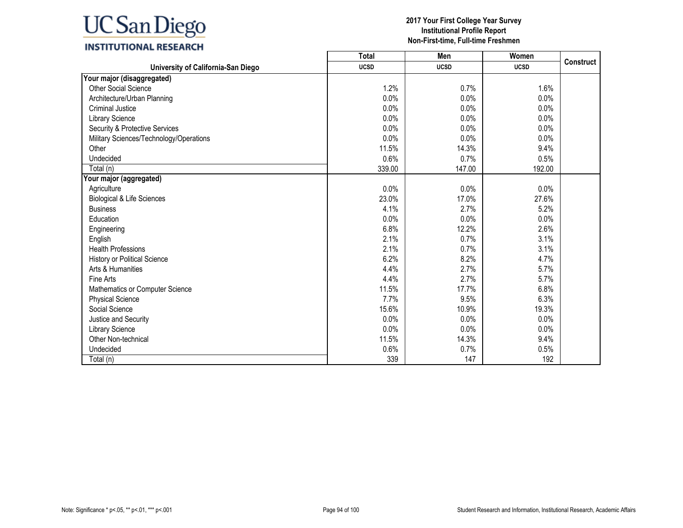# **INSTITUTIONAL RESEARCH**

|                                         | <b>Total</b> | Men         | Women       |                  |
|-----------------------------------------|--------------|-------------|-------------|------------------|
| University of California-San Diego      | <b>UCSD</b>  | <b>UCSD</b> | <b>UCSD</b> | <b>Construct</b> |
| Your major (disaggregated)              |              |             |             |                  |
| <b>Other Social Science</b>             | 1.2%         | 0.7%        | 1.6%        |                  |
| Architecture/Urban Planning             | 0.0%         | 0.0%        | 0.0%        |                  |
| <b>Criminal Justice</b>                 | 0.0%         | 0.0%        | 0.0%        |                  |
| Library Science                         | 0.0%         | 0.0%        | 0.0%        |                  |
| Security & Protective Services          | 0.0%         | 0.0%        | 0.0%        |                  |
| Military Sciences/Technology/Operations | 0.0%         | 0.0%        | 0.0%        |                  |
| Other                                   | 11.5%        | 14.3%       | 9.4%        |                  |
| Undecided                               | 0.6%         | 0.7%        | 0.5%        |                  |
| Total (n)                               | 339.00       | 147.00      | 192.00      |                  |
| Your major (aggregated)                 |              |             |             |                  |
| Agriculture                             | 0.0%         | 0.0%        | 0.0%        |                  |
| Biological & Life Sciences              | 23.0%        | 17.0%       | 27.6%       |                  |
| <b>Business</b>                         | 4.1%         | 2.7%        | 5.2%        |                  |
| Education                               | 0.0%         | 0.0%        | 0.0%        |                  |
| Engineering                             | 6.8%         | 12.2%       | 2.6%        |                  |
| English                                 | 2.1%         | 0.7%        | 3.1%        |                  |
| <b>Health Professions</b>               | 2.1%         | 0.7%        | 3.1%        |                  |
| History or Political Science            | 6.2%         | 8.2%        | 4.7%        |                  |
| Arts & Humanities                       | 4.4%         | 2.7%        | 5.7%        |                  |
| Fine Arts                               | 4.4%         | 2.7%        | 5.7%        |                  |
| Mathematics or Computer Science         | 11.5%        | 17.7%       | 6.8%        |                  |
| <b>Physical Science</b>                 | 7.7%         | 9.5%        | 6.3%        |                  |
| Social Science                          | 15.6%        | 10.9%       | 19.3%       |                  |
| Justice and Security                    | 0.0%         | 0.0%        | 0.0%        |                  |
| Library Science                         | 0.0%         | 0.0%        | 0.0%        |                  |
| Other Non-technical                     | 11.5%        | 14.3%       | 9.4%        |                  |
| Undecided                               | 0.6%         | 0.7%        | 0.5%        |                  |
| Total (n)                               | 339          | 147         | 192         |                  |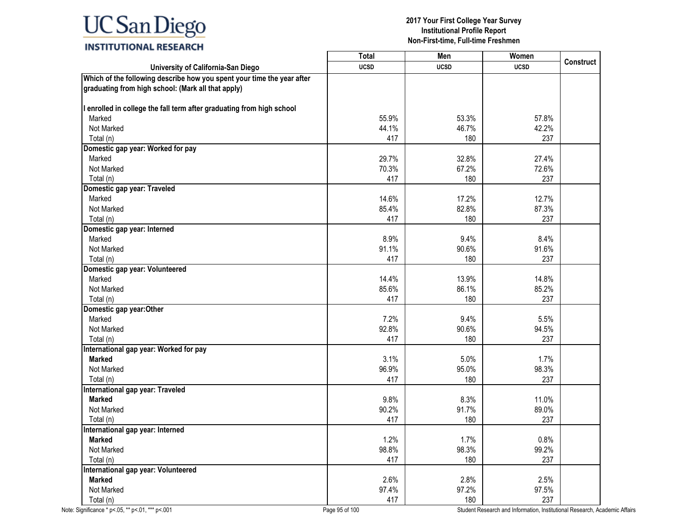# **INSTITUTIONAL RESEARCH**

|                                                                                                                              | <b>Total</b> | Men         | Women       |                  |
|------------------------------------------------------------------------------------------------------------------------------|--------------|-------------|-------------|------------------|
| University of California-San Diego                                                                                           | <b>UCSD</b>  | <b>UCSD</b> | <b>UCSD</b> | <b>Construct</b> |
| Which of the following describe how you spent your time the year after<br>graduating from high school: (Mark all that apply) |              |             |             |                  |
| I enrolled in college the fall term after graduating from high school                                                        |              |             |             |                  |
| Marked                                                                                                                       | 55.9%        | 53.3%       | 57.8%       |                  |
| Not Marked                                                                                                                   | 44.1%        | 46.7%       | 42.2%       |                  |
| Total (n)                                                                                                                    | 417          | 180         | 237         |                  |
| Domestic gap year: Worked for pay                                                                                            |              |             |             |                  |
| Marked                                                                                                                       | 29.7%        | 32.8%       | 27.4%       |                  |
| Not Marked                                                                                                                   | 70.3%        | 67.2%       | 72.6%       |                  |
| Total (n)                                                                                                                    | 417          | 180         | 237         |                  |
| Domestic gap year: Traveled                                                                                                  |              |             |             |                  |
| Marked                                                                                                                       | 14.6%        | 17.2%       | 12.7%       |                  |
| Not Marked                                                                                                                   | 85.4%        | 82.8%       | 87.3%       |                  |
| Total (n)                                                                                                                    | 417          | 180         | 237         |                  |
| Domestic gap year: Interned                                                                                                  |              |             |             |                  |
| Marked                                                                                                                       | 8.9%         | 9.4%        | 8.4%        |                  |
| Not Marked                                                                                                                   | 91.1%        | 90.6%       | 91.6%       |                  |
| Total (n)                                                                                                                    | 417          | 180         | 237         |                  |
| Domestic gap year: Volunteered                                                                                               |              |             |             |                  |
| Marked                                                                                                                       | 14.4%        | 13.9%       | 14.8%       |                  |
| Not Marked                                                                                                                   | 85.6%        | 86.1%       | 85.2%       |                  |
| Total (n)                                                                                                                    | 417          | 180         | 237         |                  |
| Domestic gap year: Other                                                                                                     |              |             |             |                  |
| Marked                                                                                                                       | 7.2%         | 9.4%        | 5.5%        |                  |
| Not Marked                                                                                                                   | 92.8%        | 90.6%       | 94.5%       |                  |
| Total (n)                                                                                                                    | 417          | 180         | 237         |                  |
| International gap year: Worked for pay                                                                                       |              |             |             |                  |
| <b>Marked</b>                                                                                                                | 3.1%         | 5.0%        | 1.7%        |                  |
| Not Marked                                                                                                                   | 96.9%        | 95.0%       | 98.3%       |                  |
| Total (n)                                                                                                                    | 417          | 180         | 237         |                  |
| International gap year: Traveled                                                                                             |              |             |             |                  |
| <b>Marked</b>                                                                                                                | 9.8%         | 8.3%        | 11.0%       |                  |
| Not Marked                                                                                                                   | 90.2%        | 91.7%       | 89.0%       |                  |
| Total (n)                                                                                                                    | 417          | 180         | 237         |                  |
| International gap year: Interned                                                                                             |              |             |             |                  |
| <b>Marked</b>                                                                                                                | 1.2%         | 1.7%        | 0.8%        |                  |
| Not Marked                                                                                                                   | 98.8%        | 98.3%       | 99.2%       |                  |
| Total (n)                                                                                                                    | 417          | 180         | 237         |                  |
| International gap year: Volunteered                                                                                          |              |             |             |                  |
| <b>Marked</b>                                                                                                                | 2.6%         | 2.8%        | 2.5%        |                  |
| Not Marked                                                                                                                   | 97.4%        | 97.2%       | 97.5%       |                  |
| Total (n)                                                                                                                    | 417          | 180         | 237         |                  |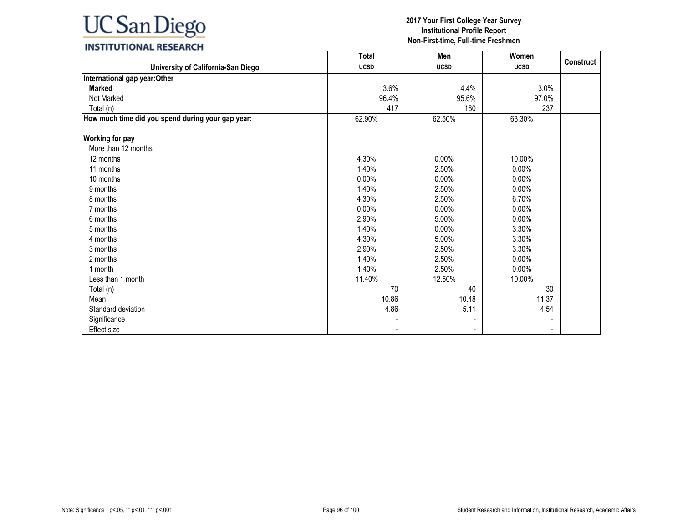

## **INSTITUTIONAL RESEARCH**

|                                                   | <b>Total</b> | Men         | Women          |                  |
|---------------------------------------------------|--------------|-------------|----------------|------------------|
| University of California-San Diego                | <b>UCSD</b>  | <b>UCSD</b> | <b>UCSD</b>    | <b>Construct</b> |
| International gap year: Other                     |              |             |                |                  |
| <b>Marked</b>                                     | 3.6%         | 4.4%        | 3.0%           |                  |
| Not Marked                                        | 96.4%        | 95.6%       | 97.0%          |                  |
| Total (n)                                         | 417          | 180         | 237            |                  |
| How much time did you spend during your gap year: | 62.90%       | 62.50%      | 63.30%         |                  |
| <b>Working for pay</b>                            |              |             |                |                  |
| More than 12 months                               |              |             |                |                  |
| 12 months                                         | 4.30%        | 0.00%       | 10.00%         |                  |
| 11 months                                         | 1.40%        | 2.50%       | 0.00%          |                  |
| 10 months                                         | $0.00\%$     | 0.00%       | $0.00\%$       |                  |
| 9 months                                          | 1.40%        | 2.50%       | 0.00%          |                  |
| 8 months                                          | 4.30%        | 2.50%       | 6.70%          |                  |
| 7 months                                          | $0.00\%$     | 0.00%       | 0.00%          |                  |
| 6 months                                          | 2.90%        | 5.00%       | $0.00\%$       |                  |
| 5 months                                          | 1.40%        | 0.00%       | 3.30%          |                  |
| 4 months                                          | 4.30%        | 5.00%       | 3.30%          |                  |
| 3 months                                          | 2.90%        | 2.50%       | 3.30%          |                  |
| 2 months                                          | 1.40%        | 2.50%       | 0.00%          |                  |
| 1 month                                           | 1.40%        | 2.50%       | 0.00%          |                  |
| Less than 1 month                                 | 11.40%       | 12.50%      | 10.00%         |                  |
| Total (n)                                         | 70           | 40          | 30             |                  |
| Mean                                              | 10.86        | 10.48       | 11.37          |                  |
| Standard deviation                                | 4.86         | 5.11        | 4.54           |                  |
| Significance                                      |              |             |                |                  |
| <b>Effect size</b>                                |              |             | $\blacksquare$ |                  |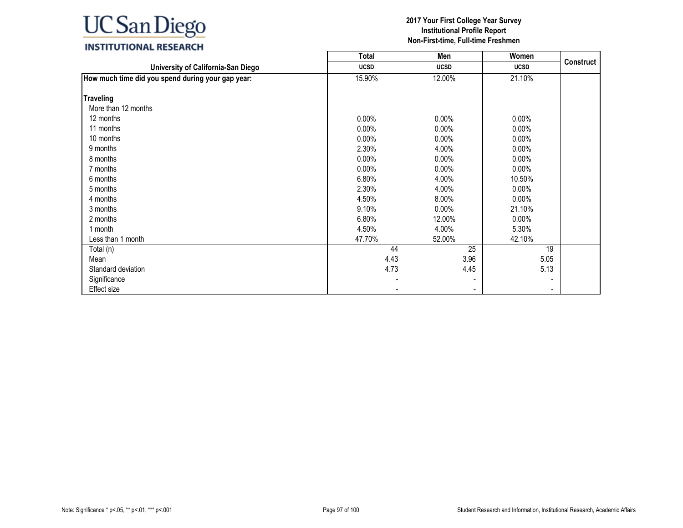|                                                   | <b>Total</b>   | Men            | Women          |                  |
|---------------------------------------------------|----------------|----------------|----------------|------------------|
| University of California-San Diego                | <b>UCSD</b>    | <b>UCSD</b>    | <b>UCSD</b>    | <b>Construct</b> |
| How much time did you spend during your gap year: | 15.90%         | 12.00%         | 21.10%         |                  |
| <b>Traveling</b>                                  |                |                |                |                  |
| More than 12 months                               |                |                |                |                  |
| 12 months                                         | $0.00\%$       | 0.00%          | $0.00\%$       |                  |
| 11 months                                         | $0.00\%$       | 0.00%          | $0.00\%$       |                  |
| 10 months                                         | $0.00\%$       | $0.00\%$       | 0.00%          |                  |
| 9 months                                          | 2.30%          | 4.00%          | $0.00\%$       |                  |
| 8 months                                          | $0.00\%$       | $0.00\%$       | 0.00%          |                  |
|                                                   |                |                |                |                  |
| 7 months                                          | $0.00\%$       | $0.00\%$       | $0.00\%$       |                  |
| 6 months                                          | 6.80%          | 4.00%          | 10.50%         |                  |
| 5 months                                          | 2.30%          | 4.00%          | $0.00\%$       |                  |
| 4 months                                          | 4.50%          | 8.00%          | $0.00\%$       |                  |
| 3 months                                          | 9.10%          | $0.00\%$       | 21.10%         |                  |
| 2 months                                          | 6.80%          | 12.00%         | $0.00\%$       |                  |
| 1 month                                           | 4.50%          | 4.00%          | 5.30%          |                  |
| Less than 1 month                                 | 47.70%         | 52.00%         | 42.10%         |                  |
| Total (n)                                         | 44             | 25             | 19             |                  |
| Mean                                              | 4.43           | 3.96           | 5.05           |                  |
| Standard deviation                                | 4.73           | 4.45           | 5.13           |                  |
| Significance                                      |                |                |                |                  |
| Effect size                                       | $\blacksquare$ | $\blacksquare$ | $\blacksquare$ |                  |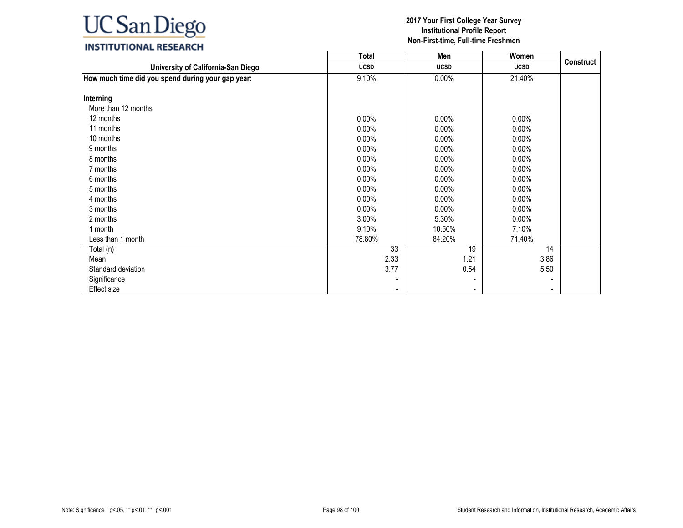|                                                   | <b>Total</b>   | Men            | Women          |                  |
|---------------------------------------------------|----------------|----------------|----------------|------------------|
| University of California-San Diego                | <b>UCSD</b>    | <b>UCSD</b>    | <b>UCSD</b>    | <b>Construct</b> |
| How much time did you spend during your gap year: | 9.10%          | $0.00\%$       | 21.40%         |                  |
| Interning                                         |                |                |                |                  |
| More than 12 months                               |                |                |                |                  |
|                                                   |                |                |                |                  |
| 12 months                                         | $0.00\%$       | 0.00%          | $0.00\%$       |                  |
| 11 months                                         | $0.00\%$       | 0.00%          | $0.00\%$       |                  |
| 10 months                                         | $0.00\%$       | $0.00\%$       | 0.00%          |                  |
| 9 months                                          | $0.00\%$       | 0.00%          | $0.00\%$       |                  |
| 8 months                                          | $0.00\%$       | $0.00\%$       | 0.00%          |                  |
| 7 months                                          | $0.00\%$       | $0.00\%$       | $0.00\%$       |                  |
| 6 months                                          | $0.00\%$       | $0.00\%$       | $0.00\%$       |                  |
| 5 months                                          | $0.00\%$       | $0.00\%$       | $0.00\%$       |                  |
| 4 months                                          | $0.00\%$       | $0.00\%$       | $0.00\%$       |                  |
| 3 months                                          | $0.00\%$       | $0.00\%$       | $0.00\%$       |                  |
| 2 months                                          | 3.00%          | 5.30%          | $0.00\%$       |                  |
| 1 month                                           | 9.10%          | 10.50%         | 7.10%          |                  |
| Less than 1 month                                 | 78.80%         | 84.20%         | 71.40%         |                  |
| Total (n)                                         | 33             | 19             | 14             |                  |
| Mean                                              | 2.33           | 1.21           | 3.86           |                  |
| Standard deviation                                | 3.77           | 0.54           | 5.50           |                  |
| Significance                                      |                |                |                |                  |
| Effect size                                       | $\blacksquare$ | $\blacksquare$ | $\blacksquare$ |                  |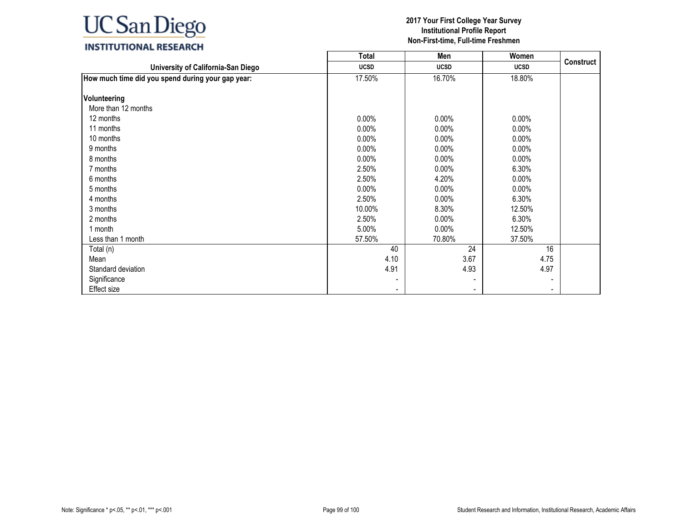|                                                   | <b>Total</b> | Men                      | Women       |           |
|---------------------------------------------------|--------------|--------------------------|-------------|-----------|
| University of California-San Diego                | <b>UCSD</b>  | <b>UCSD</b>              | <b>UCSD</b> | Construct |
| How much time did you spend during your gap year: | 17.50%       | 16.70%                   | 18.80%      |           |
|                                                   |              |                          |             |           |
| Volunteering                                      |              |                          |             |           |
| More than 12 months                               |              |                          |             |           |
| 12 months                                         | $0.00\%$     | 0.00%                    | $0.00\%$    |           |
| 11 months                                         | $0.00\%$     | 0.00%                    | 0.00%       |           |
| 10 months                                         | $0.00\%$     | 0.00%                    | 0.00%       |           |
| 9 months                                          | $0.00\%$     | 0.00%                    | $0.00\%$    |           |
| 8 months                                          | $0.00\%$     | $0.00\%$                 | 0.00%       |           |
| 7 months                                          | 2.50%        | $0.00\%$                 | 6.30%       |           |
| 6 months                                          | 2.50%        | 4.20%                    | $0.00\%$    |           |
| 5 months                                          | $0.00\%$     | $0.00\%$                 | $0.00\%$    |           |
| 4 months                                          | 2.50%        | $0.00\%$                 | 6.30%       |           |
| 3 months                                          | 10.00%       | 8.30%                    | 12.50%      |           |
| 2 months                                          | 2.50%        | $0.00\%$                 | 6.30%       |           |
| 1 month                                           | 5.00%        | $0.00\%$                 | 12.50%      |           |
| Less than 1 month                                 | 57.50%       | 70.80%                   | 37.50%      |           |
| Total (n)                                         | 40           | 24                       | 16          |           |
| Mean                                              | 4.10         | 3.67                     | 4.75        |           |
| Standard deviation                                | 4.91         | 4.93                     | 4.97        |           |
| Significance                                      |              |                          |             |           |
| Effect size                                       |              | $\overline{\phantom{a}}$ |             |           |